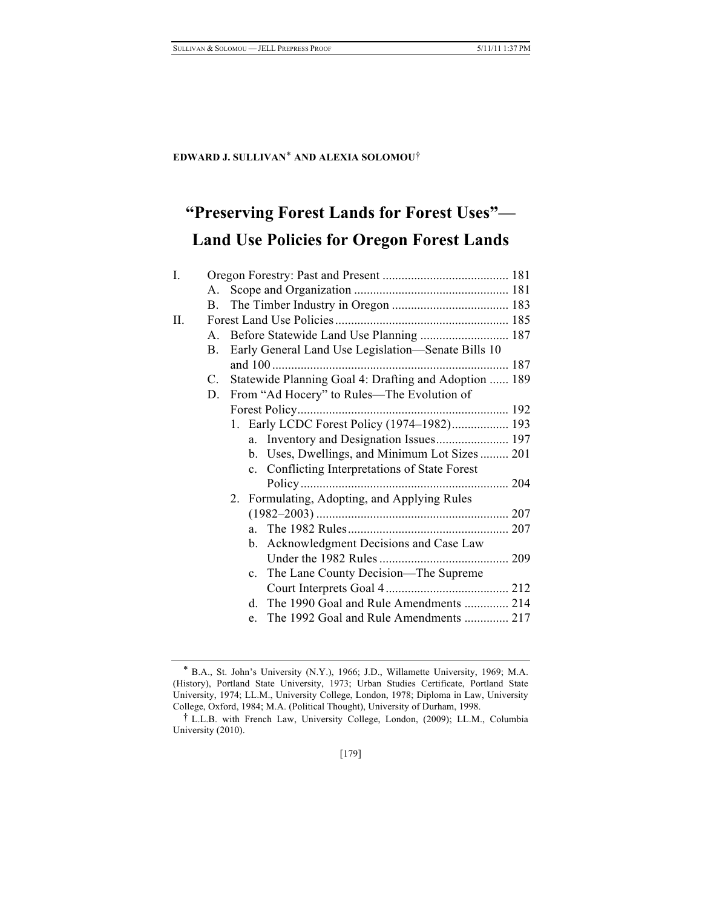#### **EDWARD J. SULLIVAN**\* **AND ALEXIA SOLOMOU**†

# **"Preserving Forest Lands for Forest Uses"— Land Use Policies for Oregon Forest Lands**

| I. |             |                                                       |  |
|----|-------------|-------------------------------------------------------|--|
|    | A.          |                                                       |  |
|    | B.          |                                                       |  |
| П. |             |                                                       |  |
|    | А.          |                                                       |  |
|    | B.          | Early General Land Use Legislation-Senate Bills 10    |  |
|    |             |                                                       |  |
|    | $C_{\cdot}$ | Statewide Planning Goal 4: Drafting and Adoption  189 |  |
|    | D.          | From "Ad Hocery" to Rules—The Evolution of            |  |
|    |             |                                                       |  |
|    |             | 1. Early LCDC Forest Policy (1974-1982) 193           |  |
|    |             |                                                       |  |
|    |             | b. Uses, Dwellings, and Minimum Lot Sizes  201        |  |
|    |             | c. Conflicting Interpretations of State Forest        |  |
|    |             |                                                       |  |
|    |             | 2. Formulating, Adopting, and Applying Rules          |  |
|    |             |                                                       |  |
|    |             |                                                       |  |
|    |             | b. Acknowledgment Decisions and Case Law              |  |
|    |             |                                                       |  |
|    |             | c. The Lane County Decision—The Supreme               |  |
|    |             |                                                       |  |
|    |             | d. The 1990 Goal and Rule Amendments  214             |  |
|    |             | The 1992 Goal and Rule Amendments  217<br>$e_{-}$     |  |
|    |             |                                                       |  |

<sup>\*</sup> B.A., St. John's University (N.Y.), 1966; J.D., Willamette University, 1969; M.A. (History), Portland State University, 1973; Urban Studies Certificate, Portland State University, 1974; LL.M., University College, London, 1978; Diploma in Law, University College, Oxford, 1984; M.A. (Political Thought), University of Durham, 1998.

<sup>†</sup> L.L.B. with French Law, University College, London, (2009); LL.M., Columbia University (2010).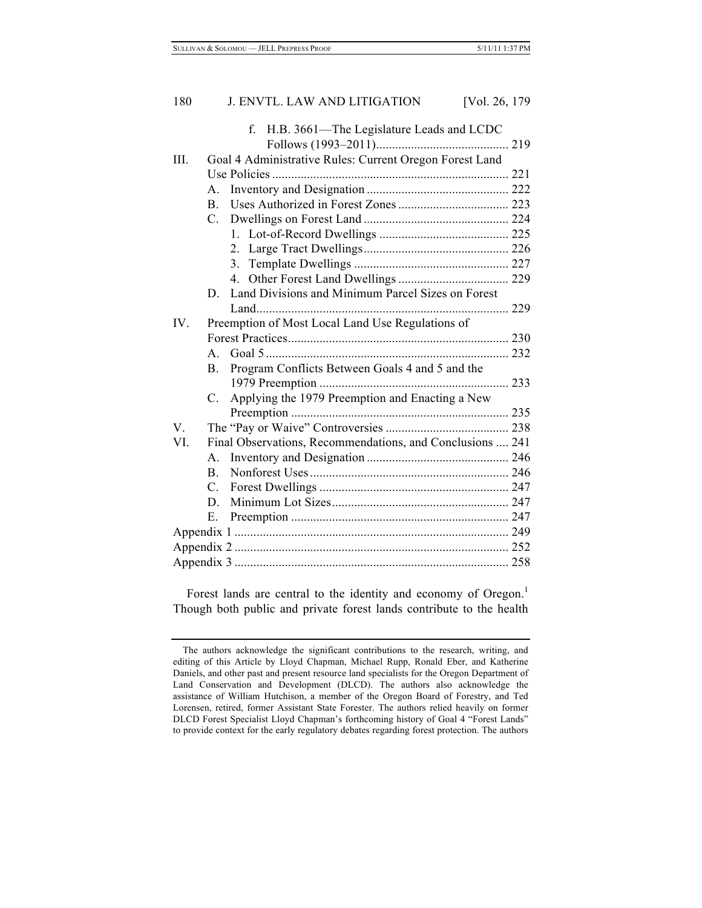|      |                                                  | H.B. 3661-The Legislature Leads and LCDC<br>$f_{\perp}$   |  |  |
|------|--------------------------------------------------|-----------------------------------------------------------|--|--|
|      |                                                  |                                                           |  |  |
| III. |                                                  | Goal 4 Administrative Rules: Current Oregon Forest Land   |  |  |
|      |                                                  |                                                           |  |  |
|      | $A_{-}$                                          |                                                           |  |  |
|      | B.                                               |                                                           |  |  |
|      | $C_{\cdot}$                                      |                                                           |  |  |
|      |                                                  |                                                           |  |  |
|      |                                                  | 2 <sup>1</sup>                                            |  |  |
|      |                                                  | 3 <sub>1</sub>                                            |  |  |
|      |                                                  |                                                           |  |  |
|      | D.                                               | Land Divisions and Minimum Parcel Sizes on Forest         |  |  |
|      |                                                  |                                                           |  |  |
| IV.  | Preemption of Most Local Land Use Regulations of |                                                           |  |  |
|      |                                                  |                                                           |  |  |
|      |                                                  |                                                           |  |  |
|      |                                                  |                                                           |  |  |
|      | $B_{-}$                                          | Program Conflicts Between Goals 4 and 5 and the           |  |  |
|      |                                                  |                                                           |  |  |
|      | $C_{\cdot}$                                      | Applying the 1979 Preemption and Enacting a New           |  |  |
|      |                                                  |                                                           |  |  |
| V    |                                                  |                                                           |  |  |
| VI.  |                                                  | Final Observations, Recommendations, and Conclusions  241 |  |  |
|      | $A_{-}$                                          |                                                           |  |  |
|      | B.                                               |                                                           |  |  |
|      | $C_{\cdot}$                                      |                                                           |  |  |
|      | D.                                               |                                                           |  |  |
|      | Е.                                               |                                                           |  |  |
|      |                                                  |                                                           |  |  |
|      |                                                  |                                                           |  |  |

Forest lands are central to the identity and economy of Oregon.<sup>1</sup> Though both public and private forest lands contribute to the health

The authors acknowledge the significant contributions to the research, writing, and editing of this Article by Lloyd Chapman, Michael Rupp, Ronald Eber, and Katherine Daniels, and other past and present resource land specialists for the Oregon Department of Land Conservation and Development (DLCD). The authors also acknowledge the assistance of William Hutchison, a member of the Oregon Board of Forestry, and Ted Lorensen, retired, former Assistant State Forester. The authors relied heavily on former DLCD Forest Specialist Lloyd Chapman's forthcoming history of Goal 4 "Forest Lands" to provide context for the early regulatory debates regarding forest protection. The authors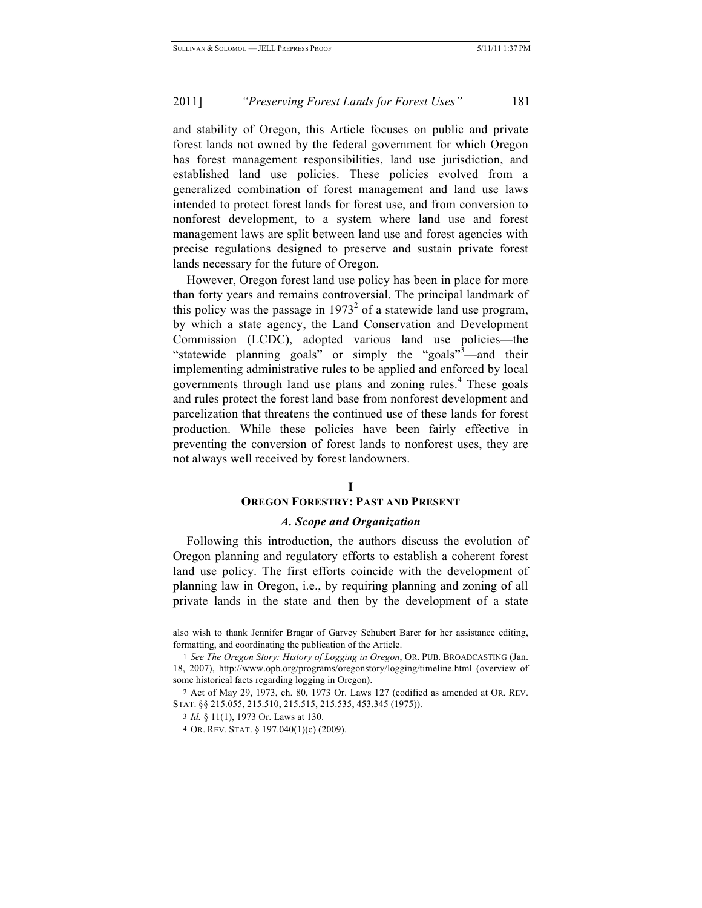and stability of Oregon, this Article focuses on public and private forest lands not owned by the federal government for which Oregon has forest management responsibilities, land use jurisdiction, and established land use policies. These policies evolved from a generalized combination of forest management and land use laws intended to protect forest lands for forest use, and from conversion to nonforest development, to a system where land use and forest management laws are split between land use and forest agencies with precise regulations designed to preserve and sustain private forest lands necessary for the future of Oregon.

However, Oregon forest land use policy has been in place for more than forty years and remains controversial. The principal landmark of this policy was the passage in  $1973<sup>2</sup>$  of a statewide land use program, by which a state agency, the Land Conservation and Development Commission (LCDC), adopted various land use policies—the "statewide planning goals" or simply the "goals"<sup>3</sup>—and their implementing administrative rules to be applied and enforced by local governments through land use plans and zoning rules.<sup>4</sup> These goals and rules protect the forest land base from nonforest development and parcelization that threatens the continued use of these lands for forest production. While these policies have been fairly effective in preventing the conversion of forest lands to nonforest uses, they are not always well received by forest landowners.

#### **I**

#### **OREGON FORESTRY: PAST AND PRESENT**

#### *A. Scope and Organization*

Following this introduction, the authors discuss the evolution of Oregon planning and regulatory efforts to establish a coherent forest land use policy. The first efforts coincide with the development of planning law in Oregon, i.e., by requiring planning and zoning of all private lands in the state and then by the development of a state

also wish to thank Jennifer Bragar of Garvey Schubert Barer for her assistance editing, formatting, and coordinating the publication of the Article.

<sup>1</sup> *See The Oregon Story: History of Logging in Oregon*, OR. PUB. BROADCASTING (Jan. 18, 2007), http://www.opb.org/programs/oregonstory/logging/timeline.html (overview of some historical facts regarding logging in Oregon).

<sup>2</sup> Act of May 29, 1973, ch. 80, 1973 Or. Laws 127 (codified as amended at OR. REV. STAT. §§ 215.055, 215.510, 215.515, 215.535, 453.345 (1975)).

<sup>3</sup> *Id.* § 11(1), 1973 Or. Laws at 130.

<sup>4</sup> OR. REV. STAT. § 197.040(1)(c) (2009).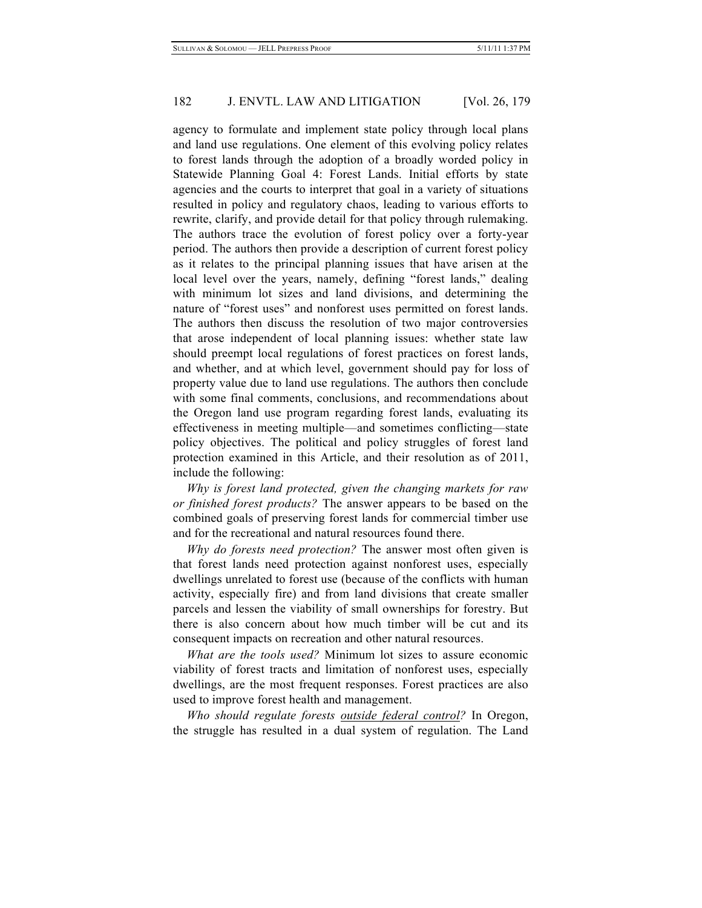agency to formulate and implement state policy through local plans and land use regulations. One element of this evolving policy relates to forest lands through the adoption of a broadly worded policy in Statewide Planning Goal 4: Forest Lands. Initial efforts by state agencies and the courts to interpret that goal in a variety of situations resulted in policy and regulatory chaos, leading to various efforts to rewrite, clarify, and provide detail for that policy through rulemaking. The authors trace the evolution of forest policy over a forty-year period. The authors then provide a description of current forest policy as it relates to the principal planning issues that have arisen at the local level over the years, namely, defining "forest lands," dealing with minimum lot sizes and land divisions, and determining the nature of "forest uses" and nonforest uses permitted on forest lands. The authors then discuss the resolution of two major controversies that arose independent of local planning issues: whether state law should preempt local regulations of forest practices on forest lands, and whether, and at which level, government should pay for loss of property value due to land use regulations. The authors then conclude with some final comments, conclusions, and recommendations about the Oregon land use program regarding forest lands, evaluating its effectiveness in meeting multiple—and sometimes conflicting—state policy objectives. The political and policy struggles of forest land protection examined in this Article, and their resolution as of 2011, include the following:

*Why is forest land protected, given the changing markets for raw or finished forest products?* The answer appears to be based on the combined goals of preserving forest lands for commercial timber use and for the recreational and natural resources found there.

*Why do forests need protection?* The answer most often given is that forest lands need protection against nonforest uses, especially dwellings unrelated to forest use (because of the conflicts with human activity, especially fire) and from land divisions that create smaller parcels and lessen the viability of small ownerships for forestry. But there is also concern about how much timber will be cut and its consequent impacts on recreation and other natural resources.

*What are the tools used?* Minimum lot sizes to assure economic viability of forest tracts and limitation of nonforest uses, especially dwellings, are the most frequent responses. Forest practices are also used to improve forest health and management.

*Who should regulate forests outside federal control?* In Oregon, the struggle has resulted in a dual system of regulation. The Land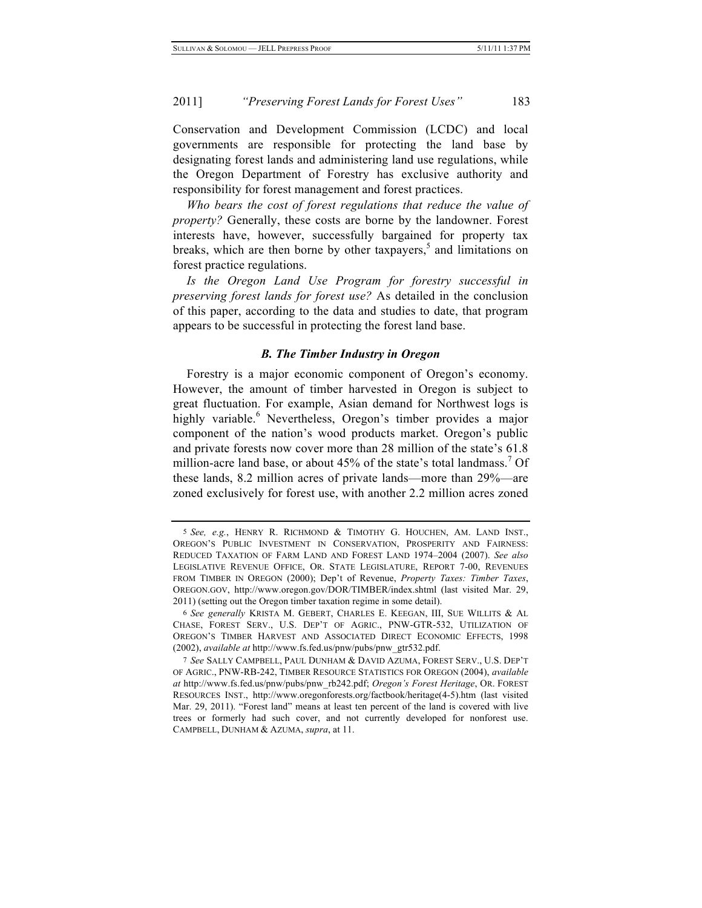Conservation and Development Commission (LCDC) and local governments are responsible for protecting the land base by designating forest lands and administering land use regulations, while the Oregon Department of Forestry has exclusive authority and responsibility for forest management and forest practices.

*Who bears the cost of forest regulations that reduce the value of property?* Generally, these costs are borne by the landowner. Forest interests have, however, successfully bargained for property tax breaks, which are then borne by other taxpayers, $5$  and limitations on forest practice regulations.

*Is the Oregon Land Use Program for forestry successful in preserving forest lands for forest use?* As detailed in the conclusion of this paper, according to the data and studies to date, that program appears to be successful in protecting the forest land base.

# *B. The Timber Industry in Oregon*

Forestry is a major economic component of Oregon's economy. However, the amount of timber harvested in Oregon is subject to great fluctuation. For example, Asian demand for Northwest logs is highly variable.<sup>6</sup> Nevertheless, Oregon's timber provides a major component of the nation's wood products market. Oregon's public and private forests now cover more than 28 million of the state's 61.8 million-acre land base, or about  $45\%$  of the state's total landmass.<sup>7</sup> Of these lands, 8.2 million acres of private lands—more than 29%—are zoned exclusively for forest use, with another 2.2 million acres zoned

<sup>5</sup> *See, e.g.*, HENRY R. RICHMOND & TIMOTHY G. HOUCHEN, AM. LAND INST., OREGON'S PUBLIC INVESTMENT IN CONSERVATION, PROSPERITY AND FAIRNESS: REDUCED TAXATION OF FARM LAND AND FOREST LAND 1974–2004 (2007). *See also* LEGISLATIVE REVENUE OFFICE, OR. STATE LEGISLATURE, REPORT 7-00, REVENUES FROM TIMBER IN OREGON (2000); Dep't of Revenue, *Property Taxes: Timber Taxes*, OREGON.GOV, http://www.oregon.gov/DOR/TIMBER/index.shtml (last visited Mar. 29, 2011) (setting out the Oregon timber taxation regime in some detail).

<sup>6</sup> *See generally* KRISTA M. GEBERT, CHARLES E. KEEGAN, III, SUE WILLITS & AL CHASE, FOREST SERV., U.S. DEP'T OF AGRIC., PNW-GTR-532, UTILIZATION OF OREGON'S TIMBER HARVEST AND ASSOCIATED DIRECT ECONOMIC EFFECTS, 1998 (2002), *available at* http://www.fs.fed.us/pnw/pubs/pnw\_gtr532.pdf.

<sup>7</sup> *See* SALLY CAMPBELL, PAUL DUNHAM & DAVID AZUMA, FOREST SERV., U.S. DEP'T OF AGRIC., PNW-RB-242, TIMBER RESOURCE STATISTICS FOR OREGON (2004), *available at* http://www.fs.fed.us/pnw/pubs/pnw\_rb242.pdf; *Oregon's Forest Heritage*, OR. FOREST RESOURCES INST., http://www.oregonforests.org/factbook/heritage(4-5).htm (last visited Mar. 29, 2011). "Forest land" means at least ten percent of the land is covered with live trees or formerly had such cover, and not currently developed for nonforest use. CAMPBELL, DUNHAM & AZUMA, *supra*, at 11.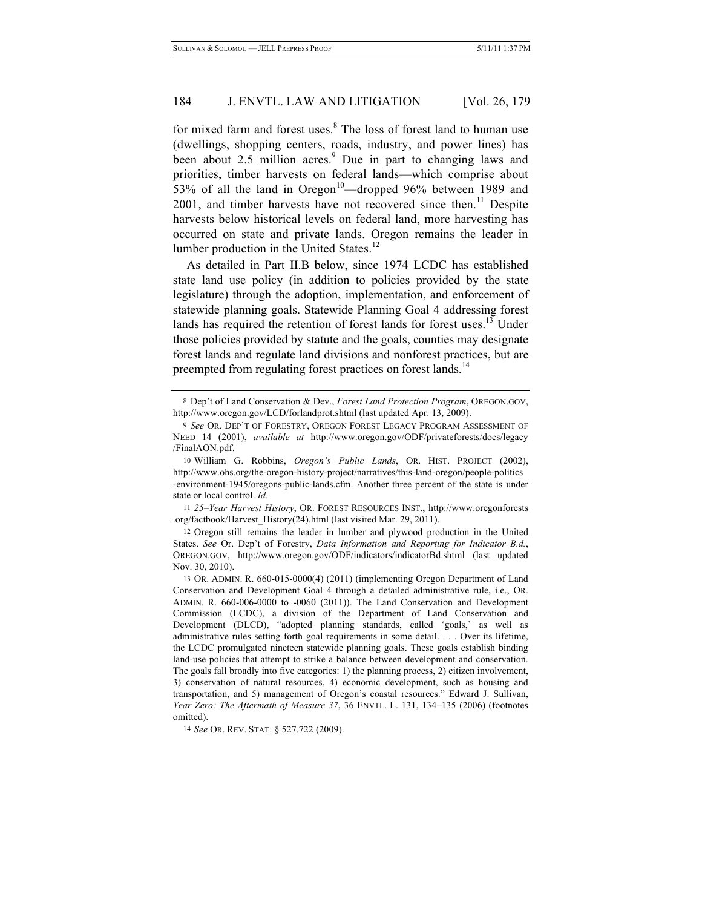for mixed farm and forest uses.<sup>8</sup> The loss of forest land to human use (dwellings, shopping centers, roads, industry, and power lines) has been about  $2.5$  million acres.<sup>9</sup> Due in part to changing laws and priorities, timber harvests on federal lands—which comprise about 53% of all the land in Oregon<sup>10</sup>—dropped 96% between 1989 and  $2001$ , and timber harvests have not recovered since then.<sup>11</sup> Despite harvests below historical levels on federal land, more harvesting has occurred on state and private lands. Oregon remains the leader in lumber production in the United States.<sup>12</sup>

As detailed in Part II.B below, since 1974 LCDC has established state land use policy (in addition to policies provided by the state legislature) through the adoption, implementation, and enforcement of statewide planning goals. Statewide Planning Goal 4 addressing forest lands has required the retention of forest lands for forest uses.<sup>13</sup> Under those policies provided by statute and the goals, counties may designate forest lands and regulate land divisions and nonforest practices, but are preempted from regulating forest practices on forest lands.<sup>14</sup>

14 *See* OR. REV. STAT. § 527.722 (2009).

<sup>8</sup> Dep't of Land Conservation & Dev., *Forest Land Protection Program*, OREGON.GOV, http://www.oregon.gov/LCD/forlandprot.shtml (last updated Apr. 13, 2009).

<sup>9</sup> *See* OR. DEP'T OF FORESTRY, OREGON FOREST LEGACY PROGRAM ASSESSMENT OF NEED 14 (2001), *available at* http://www.oregon.gov/ODF/privateforests/docs/legacy /FinalAON.pdf.

<sup>10</sup> William G. Robbins, *Oregon's Public Lands*, OR. HIST. PROJECT (2002), http://www.ohs.org/the-oregon-history-project/narratives/this-land-oregon/people-politics -environment-1945/oregons-public-lands.cfm. Another three percent of the state is under state or local control. *Id.*

<sup>11</sup> *25–Year Harvest History*, OR. FOREST RESOURCES INST., http://www.oregonforests .org/factbook/Harvest\_History(24).html (last visited Mar. 29, 2011).

<sup>12</sup> Oregon still remains the leader in lumber and plywood production in the United States. *See* Or. Dep't of Forestry, *Data Information and Reporting for Indicator B.d.*, OREGON.GOV, http://www.oregon.gov/ODF/indicators/indicatorBd.shtml (last updated Nov. 30, 2010).

<sup>13</sup> OR. ADMIN. R. 660-015-0000(4) (2011) (implementing Oregon Department of Land Conservation and Development Goal 4 through a detailed administrative rule, i.e., OR. ADMIN. R. 660-006-0000 to -0060 (2011)). The Land Conservation and Development Commission (LCDC), a division of the Department of Land Conservation and Development (DLCD), "adopted planning standards, called 'goals,' as well as administrative rules setting forth goal requirements in some detail. . . . Over its lifetime, the LCDC promulgated nineteen statewide planning goals. These goals establish binding land-use policies that attempt to strike a balance between development and conservation. The goals fall broadly into five categories: 1) the planning process, 2) citizen involvement, 3) conservation of natural resources, 4) economic development, such as housing and transportation, and 5) management of Oregon's coastal resources." Edward J. Sullivan, *Year Zero: The Aftermath of Measure 37*, 36 ENVTL. L. 131, 134–135 (2006) (footnotes omitted).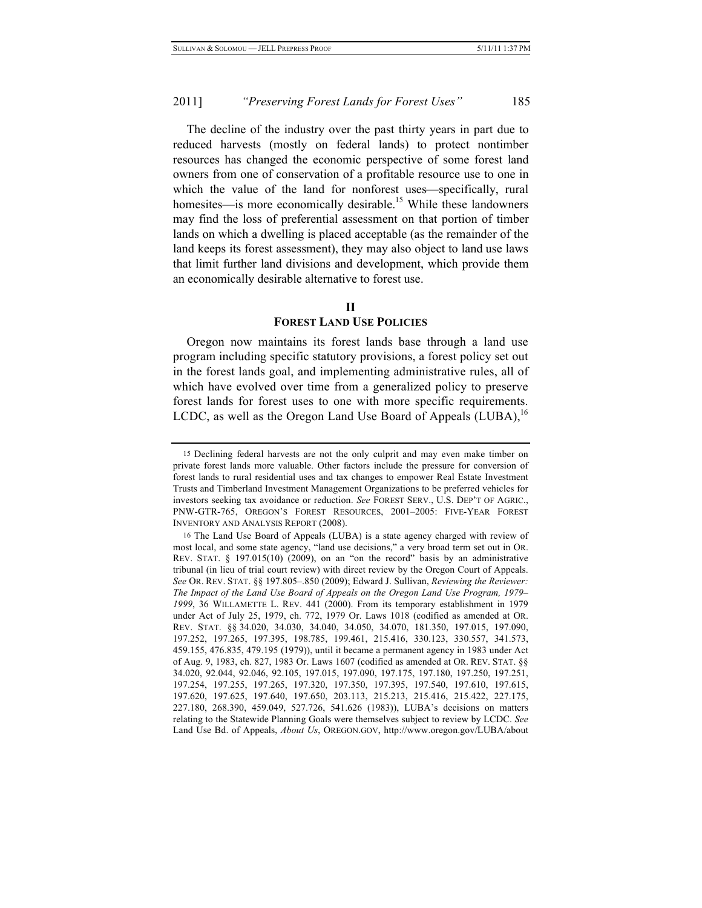The decline of the industry over the past thirty years in part due to reduced harvests (mostly on federal lands) to protect nontimber resources has changed the economic perspective of some forest land owners from one of conservation of a profitable resource use to one in which the value of the land for nonforest uses—specifically, rural homesites—is more economically desirable.<sup>15</sup> While these landowners may find the loss of preferential assessment on that portion of timber lands on which a dwelling is placed acceptable (as the remainder of the land keeps its forest assessment), they may also object to land use laws that limit further land divisions and development, which provide them an economically desirable alternative to forest use.

#### **II**

## **FOREST LAND USE POLICIES**

Oregon now maintains its forest lands base through a land use program including specific statutory provisions, a forest policy set out in the forest lands goal, and implementing administrative rules, all of which have evolved over time from a generalized policy to preserve forest lands for forest uses to one with more specific requirements. LCDC, as well as the Oregon Land Use Board of Appeals  $(LUBA)$ ,<sup>16</sup>

<sup>15</sup> Declining federal harvests are not the only culprit and may even make timber on private forest lands more valuable. Other factors include the pressure for conversion of forest lands to rural residential uses and tax changes to empower Real Estate Investment Trusts and Timberland Investment Management Organizations to be preferred vehicles for investors seeking tax avoidance or reduction. *See* FOREST SERV., U.S. DEP'T OF AGRIC., PNW-GTR-765, OREGON'S FOREST RESOURCES, 2001–2005: FIVE-YEAR FOREST INVENTORY AND ANALYSIS REPORT (2008).

<sup>16</sup> The Land Use Board of Appeals (LUBA) is a state agency charged with review of most local, and some state agency, "land use decisions," a very broad term set out in OR. REV. STAT. § 197.015(10) (2009), on an "on the record" basis by an administrative tribunal (in lieu of trial court review) with direct review by the Oregon Court of Appeals. *See* OR. REV. STAT. §§ 197.805–.850 (2009); Edward J. Sullivan, *Reviewing the Reviewer: The Impact of the Land Use Board of Appeals on the Oregon Land Use Program, 1979– 1999*, 36 WILLAMETTE L. REV. 441 (2000). From its temporary establishment in 1979 under Act of July 25, 1979, ch. 772, 1979 Or. Laws 1018 (codified as amended at OR. REV. STAT. §§ 34.020, 34.030, 34.040, 34.050, 34.070, 181.350, 197.015, 197.090, 197.252, 197.265, 197.395, 198.785, 199.461, 215.416, 330.123, 330.557, 341.573, 459.155, 476.835, 479.195 (1979)), until it became a permanent agency in 1983 under Act of Aug. 9, 1983, ch. 827, 1983 Or. Laws 1607 (codified as amended at OR. REV. STAT. §§ 34.020, 92.044, 92.046, 92.105, 197.015, 197.090, 197.175, 197.180, 197.250, 197.251, 197.254, 197.255, 197.265, 197.320, 197.350, 197.395, 197.540, 197.610, 197.615, 197.620, 197.625, 197.640, 197.650, 203.113, 215.213, 215.416, 215.422, 227.175, 227.180, 268.390, 459.049, 527.726, 541.626 (1983)), LUBA's decisions on matters relating to the Statewide Planning Goals were themselves subject to review by LCDC. *See* Land Use Bd. of Appeals, *About Us*, OREGON.GOV, http://www.oregon.gov/LUBA/about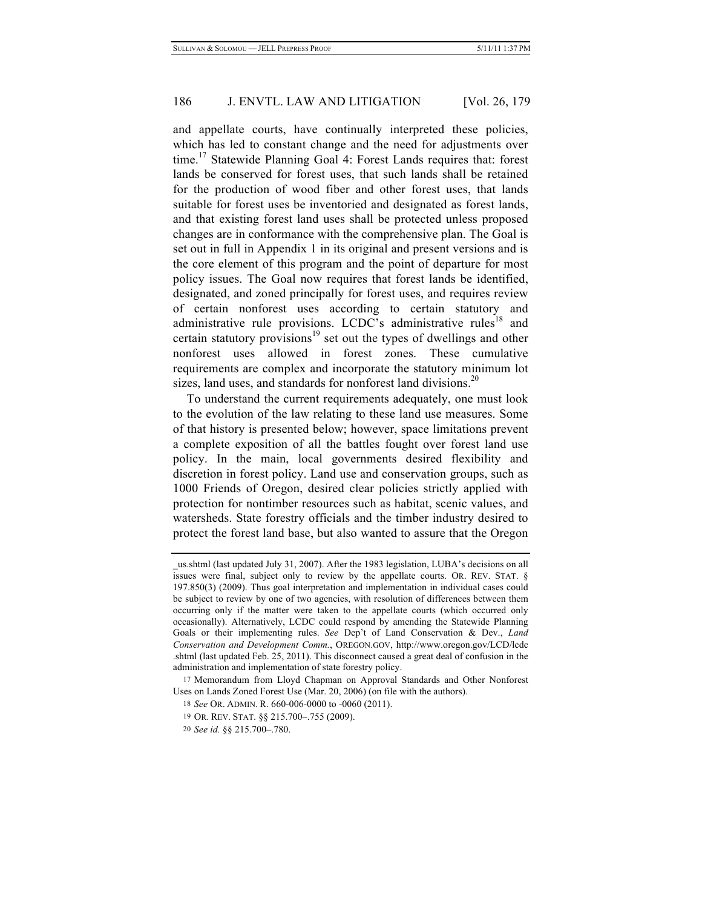and appellate courts, have continually interpreted these policies, which has led to constant change and the need for adjustments over time.<sup>17</sup> Statewide Planning Goal 4: Forest Lands requires that: forest lands be conserved for forest uses, that such lands shall be retained for the production of wood fiber and other forest uses, that lands suitable for forest uses be inventoried and designated as forest lands, and that existing forest land uses shall be protected unless proposed changes are in conformance with the comprehensive plan. The Goal is set out in full in Appendix 1 in its original and present versions and is the core element of this program and the point of departure for most policy issues. The Goal now requires that forest lands be identified, designated, and zoned principally for forest uses, and requires review of certain nonforest uses according to certain statutory and administrative rule provisions. LCDC's administrative rules<sup>18</sup> and certain statutory provisions<sup>19</sup> set out the types of dwellings and other nonforest uses allowed in forest zones. These cumulative requirements are complex and incorporate the statutory minimum lot sizes, land uses, and standards for nonforest land divisions.<sup>20</sup>

To understand the current requirements adequately, one must look to the evolution of the law relating to these land use measures. Some of that history is presented below; however, space limitations prevent a complete exposition of all the battles fought over forest land use policy. In the main, local governments desired flexibility and discretion in forest policy. Land use and conservation groups, such as 1000 Friends of Oregon, desired clear policies strictly applied with protection for nontimber resources such as habitat, scenic values, and watersheds. State forestry officials and the timber industry desired to protect the forest land base, but also wanted to assure that the Oregon

\_us.shtml (last updated July 31, 2007). After the 1983 legislation, LUBA's decisions on all issues were final, subject only to review by the appellate courts. OR. REV. STAT. § 197.850(3) (2009). Thus goal interpretation and implementation in individual cases could be subject to review by one of two agencies, with resolution of differences between them occurring only if the matter were taken to the appellate courts (which occurred only occasionally). Alternatively, LCDC could respond by amending the Statewide Planning Goals or their implementing rules. *See* Dep't of Land Conservation & Dev., *Land Conservation and Development Comm.*, OREGON.GOV, http://www.oregon.gov/LCD/lcdc .shtml (last updated Feb. 25, 2011). This disconnect caused a great deal of confusion in the administration and implementation of state forestry policy.

<sup>17</sup> Memorandum from Lloyd Chapman on Approval Standards and Other Nonforest Uses on Lands Zoned Forest Use (Mar. 20, 2006) (on file with the authors).

<sup>18</sup> *See* OR. ADMIN. R. 660-006-0000 to -0060 (2011).

<sup>19</sup> OR. REV. STAT. §§ 215.700–.755 (2009).

<sup>20</sup> *See id.* §§ 215.700–.780.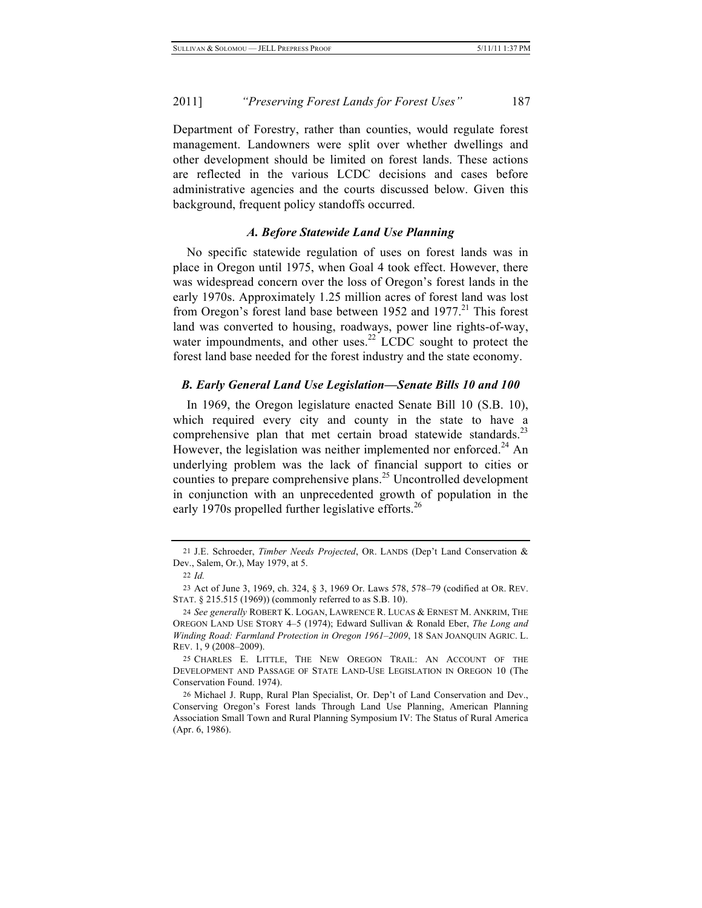Department of Forestry, rather than counties, would regulate forest management. Landowners were split over whether dwellings and other development should be limited on forest lands. These actions are reflected in the various LCDC decisions and cases before administrative agencies and the courts discussed below. Given this background, frequent policy standoffs occurred.

# *A. Before Statewide Land Use Planning*

No specific statewide regulation of uses on forest lands was in place in Oregon until 1975, when Goal 4 took effect. However, there was widespread concern over the loss of Oregon's forest lands in the early 1970s. Approximately 1.25 million acres of forest land was lost from Oregon's forest land base between 1952 and  $1977$ <sup>21</sup>. This forest land was converted to housing, roadways, power line rights-of-way, water impoundments, and other uses.<sup>22</sup> LCDC sought to protect the forest land base needed for the forest industry and the state economy.

#### *B. Early General Land Use Legislation—Senate Bills 10 and 100*

In 1969, the Oregon legislature enacted Senate Bill 10 (S.B. 10), which required every city and county in the state to have a comprehensive plan that met certain broad statewide standards.<sup>23</sup> However, the legislation was neither implemented nor enforced.<sup>24</sup> An underlying problem was the lack of financial support to cities or counties to prepare comprehensive plans.<sup>25</sup> Uncontrolled development in conjunction with an unprecedented growth of population in the early 1970s propelled further legislative efforts.<sup>26</sup>

<sup>21</sup> J.E. Schroeder, *Timber Needs Projected*, OR. LANDS (Dep't Land Conservation & Dev., Salem, Or.), May 1979, at 5.

<sup>22</sup> *Id.*

<sup>23</sup> Act of June 3, 1969, ch. 324, § 3, 1969 Or. Laws 578, 578–79 (codified at OR. REV. STAT. § 215.515 (1969)) (commonly referred to as S.B. 10).

<sup>24</sup> *See generally* ROBERT K. LOGAN, LAWRENCE R. LUCAS & ERNEST M. ANKRIM, THE OREGON LAND USE STORY 4–5 (1974); Edward Sullivan & Ronald Eber, *The Long and Winding Road: Farmland Protection in Oregon 1961–2009*, 18 SAN JOANQUIN AGRIC. L. REV. 1, 9 (2008–2009).

<sup>25</sup> CHARLES E. LITTLE, THE NEW OREGON TRAIL: AN ACCOUNT OF THE DEVELOPMENT AND PASSAGE OF STATE LAND-USE LEGISLATION IN OREGON 10 (The Conservation Found. 1974).

<sup>26</sup> Michael J. Rupp, Rural Plan Specialist, Or. Dep't of Land Conservation and Dev., Conserving Oregon's Forest lands Through Land Use Planning, American Planning Association Small Town and Rural Planning Symposium IV: The Status of Rural America (Apr. 6, 1986).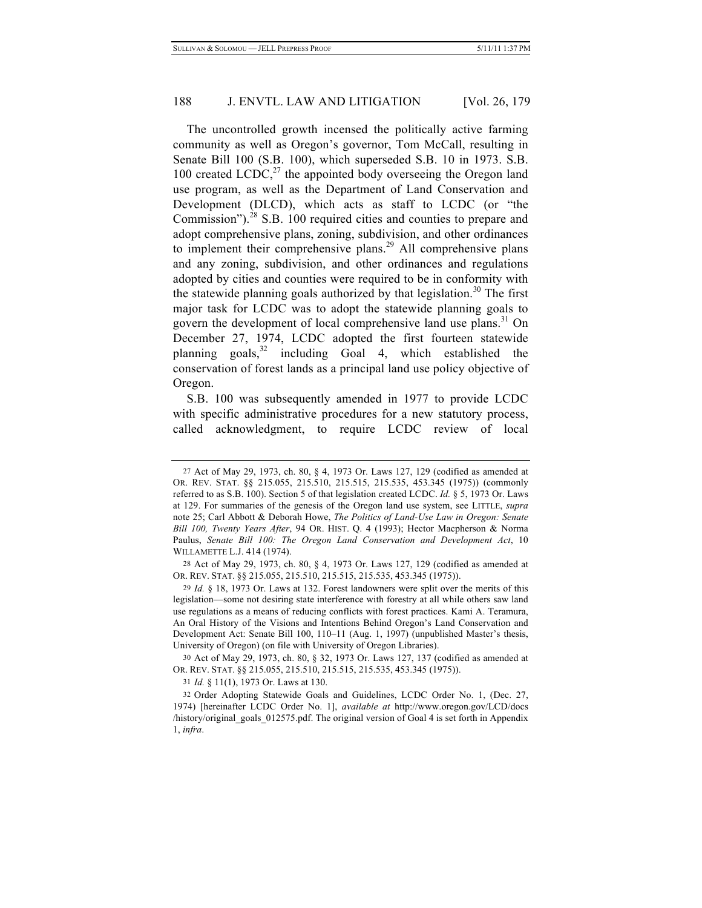The uncontrolled growth incensed the politically active farming community as well as Oregon's governor, Tom McCall, resulting in Senate Bill 100 (S.B. 100), which superseded S.B. 10 in 1973. S.B. 100 created LCDC, $^{27}$  the appointed body overseeing the Oregon land use program, as well as the Department of Land Conservation and Development (DLCD), which acts as staff to LCDC (or "the Commission").<sup>28</sup> S.B. 100 required cities and counties to prepare and adopt comprehensive plans, zoning, subdivision, and other ordinances to implement their comprehensive plans.<sup>29</sup> All comprehensive plans and any zoning, subdivision, and other ordinances and regulations adopted by cities and counties were required to be in conformity with the statewide planning goals authorized by that legislation.<sup>30</sup> The first major task for LCDC was to adopt the statewide planning goals to govern the development of local comprehensive land use plans.<sup>31</sup> On December 27, 1974, LCDC adopted the first fourteen statewide planning goals, $32$  including Goal 4, which established the conservation of forest lands as a principal land use policy objective of Oregon.

S.B. 100 was subsequently amended in 1977 to provide LCDC with specific administrative procedures for a new statutory process, called acknowledgment, to require LCDC review of local

30 Act of May 29, 1973, ch. 80, § 32, 1973 Or. Laws 127, 137 (codified as amended at OR. REV. STAT. §§ 215.055, 215.510, 215.515, 215.535, 453.345 (1975)).

31 *Id.* § 11(1), 1973 Or. Laws at 130.

<sup>27</sup> Act of May 29, 1973, ch. 80, § 4, 1973 Or. Laws 127, 129 (codified as amended at OR. REV. STAT. §§ 215.055, 215.510, 215.515, 215.535, 453.345 (1975)) (commonly referred to as S.B. 100). Section 5 of that legislation created LCDC. *Id.* § 5, 1973 Or. Laws at 129. For summaries of the genesis of the Oregon land use system, see LITTLE, *supra* note 25; Carl Abbott & Deborah Howe, *The Politics of Land-Use Law in Oregon: Senate Bill 100, Twenty Years After*, 94 OR. HIST. Q. 4 (1993); Hector Macpherson & Norma Paulus, *Senate Bill 100: The Oregon Land Conservation and Development Act*, 10 WILLAMETTE L.J. 414 (1974).

<sup>28</sup> Act of May 29, 1973, ch. 80, § 4, 1973 Or. Laws 127, 129 (codified as amended at OR. REV. STAT. §§ 215.055, 215.510, 215.515, 215.535, 453.345 (1975)).

<sup>29</sup> *Id.* § 18, 1973 Or. Laws at 132. Forest landowners were split over the merits of this legislation—some not desiring state interference with forestry at all while others saw land use regulations as a means of reducing conflicts with forest practices. Kami A. Teramura, An Oral History of the Visions and Intentions Behind Oregon's Land Conservation and Development Act: Senate Bill 100, 110–11 (Aug. 1, 1997) (unpublished Master's thesis, University of Oregon) (on file with University of Oregon Libraries).

<sup>32</sup> Order Adopting Statewide Goals and Guidelines, LCDC Order No. 1, (Dec. 27, 1974) [hereinafter LCDC Order No. 1], *available at* http://www.oregon.gov/LCD/docs /history/original\_goals\_012575.pdf. The original version of Goal 4 is set forth in Appendix 1, *infra*.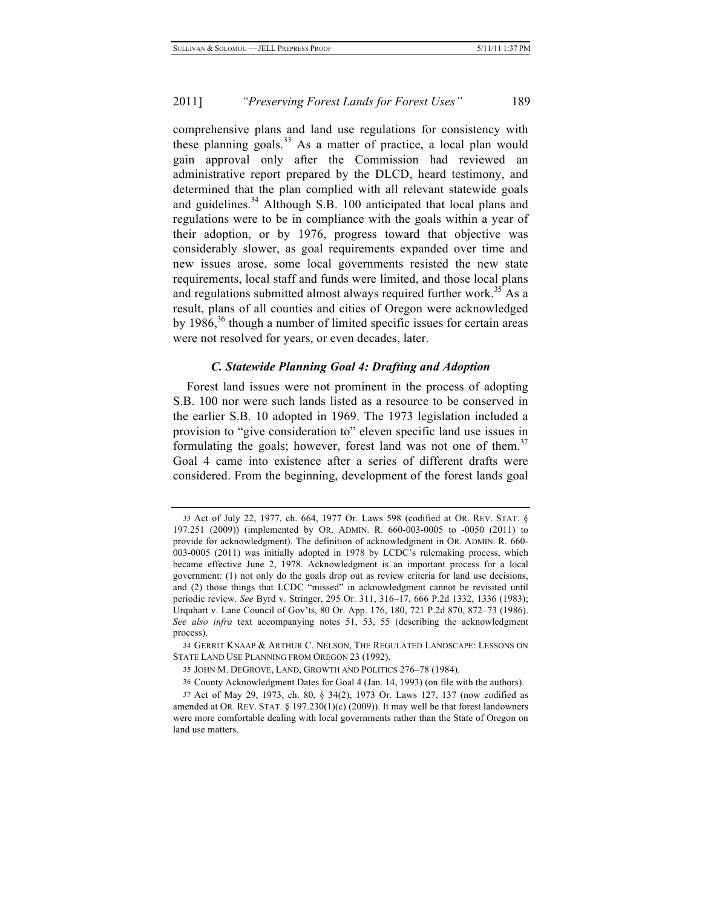comprehensive plans and land use regulations for consistency with these planning goals.<sup>33</sup> As a matter of practice, a local plan would gain approval only after the Commission had reviewed an administrative report prepared by the DLCD, heard testimony, and determined that the plan complied with all relevant statewide goals and guidelines.<sup>34</sup> Although S.B. 100 anticipated that local plans and regulations were to be in compliance with the goals within a year of their adoption, or by 1976, progress toward that objective was considerably slower, as goal requirements expanded over time and new issues arose, some local governments resisted the new state requirements, local staff and funds were limited, and those local plans and regulations submitted almost always required further work.<sup>35</sup> As a result, plans of all counties and cities of Oregon were acknowledged by 1986, $36$  though a number of limited specific issues for certain areas were not resolved for years, or even decades, later.

## *C. Statewide Planning Goal 4: Drafting and Adoption*

Forest land issues were not prominent in the process of adopting S.B. 100 nor were such lands listed as a resource to be conserved in the earlier S.B. 10 adopted in 1969. The 1973 legislation included a provision to "give consideration to" eleven specific land use issues in formulating the goals; however, forest land was not one of them.<sup>37</sup> Goal 4 came into existence after a series of different drafts were considered. From the beginning, development of the forest lands goal

<sup>33</sup> Act of July 22, 1977, ch. 664, 1977 Or. Laws 598 (codified at OR. REV. STAT. § 197.251 (2009)) (implemented by OR. ADMIN. R. 660-003-0005 to -0050 (2011) to provide for acknowledgment). The definition of acknowledgment in OR. ADMIN. R. 660- 003-0005 (2011) was initially adopted in 1978 by LCDC's rulemaking process, which became effective June 2, 1978. Acknowledgment is an important process for a local government: (1) not only do the goals drop out as review criteria for land use decisions, and (2) those things that LCDC "missed" in acknowledgment cannot be revisited until periodic review. *See* Byrd v. Stringer, 295 Or. 311, 316–17, 666 P.2d 1332, 1336 (1983); Urquhart v. Lane Council of Gov'ts, 80 Or. App. 176, 180, 721 P.2d 870, 872–73 (1986). *See also infra* text accompanying notes 51, 53, 55 (describing the acknowledgment process).

<sup>34</sup> GERRIT KNAAP & ARTHUR C. NELSON, THE REGULATED LANDSCAPE: LESSONS ON STATE LAND USE PLANNING FROM OREGON 23 (1992).

<sup>35</sup> JOHN M. DEGROVE, LAND, GROWTH AND POLITICS 276–78 (1984).

<sup>36</sup> County Acknowledgment Dates for Goal 4 (Jan. 14, 1993) (on file with the authors).

<sup>37</sup> Act of May 29, 1973, ch. 80, § 34(2), 1973 Or. Laws 127, 137 (now codified as amended at OR. REV. STAT. § 197.230(1)(c) (2009)). It may well be that forest landowners were more comfortable dealing with local governments rather than the State of Oregon on land use matters.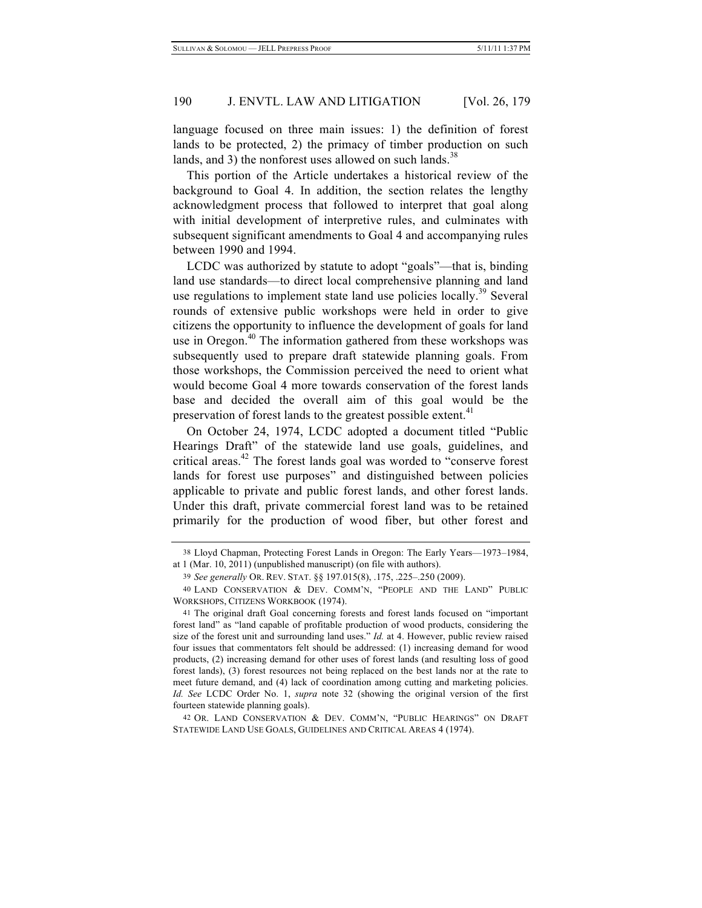language focused on three main issues: 1) the definition of forest lands to be protected, 2) the primacy of timber production on such lands, and 3) the nonforest uses allowed on such lands.<sup>38</sup>

This portion of the Article undertakes a historical review of the background to Goal 4. In addition, the section relates the lengthy acknowledgment process that followed to interpret that goal along with initial development of interpretive rules, and culminates with subsequent significant amendments to Goal 4 and accompanying rules between 1990 and 1994.

LCDC was authorized by statute to adopt "goals"—that is, binding land use standards—to direct local comprehensive planning and land use regulations to implement state land use policies locally.<sup>39</sup> Several rounds of extensive public workshops were held in order to give citizens the opportunity to influence the development of goals for land use in Oregon.<sup>40</sup> The information gathered from these workshops was subsequently used to prepare draft statewide planning goals. From those workshops, the Commission perceived the need to orient what would become Goal 4 more towards conservation of the forest lands base and decided the overall aim of this goal would be the preservation of forest lands to the greatest possible extent.<sup>41</sup>

On October 24, 1974, LCDC adopted a document titled "Public Hearings Draft" of the statewide land use goals, guidelines, and critical areas.<sup>42</sup> The forest lands goal was worded to "conserve forest" lands for forest use purposes" and distinguished between policies applicable to private and public forest lands, and other forest lands. Under this draft, private commercial forest land was to be retained primarily for the production of wood fiber, but other forest and

<sup>38</sup> Lloyd Chapman, Protecting Forest Lands in Oregon: The Early Years—1973–1984, at 1 (Mar. 10, 2011) (unpublished manuscript) (on file with authors).

<sup>39</sup> *See generally* OR. REV. STAT. §§ 197.015(8), .175, .225–.250 (2009).

<sup>40</sup> LAND CONSERVATION & DEV. COMM'N, "PEOPLE AND THE LAND" PUBLIC WORKSHOPS, CITIZENS WORKBOOK (1974).

<sup>41</sup> The original draft Goal concerning forests and forest lands focused on "important forest land" as "land capable of profitable production of wood products, considering the size of the forest unit and surrounding land uses." *Id.* at 4. However, public review raised four issues that commentators felt should be addressed: (1) increasing demand for wood products, (2) increasing demand for other uses of forest lands (and resulting loss of good forest lands), (3) forest resources not being replaced on the best lands nor at the rate to meet future demand, and (4) lack of coordination among cutting and marketing policies. *Id. See* LCDC Order No. 1, *supra* note 32 (showing the original version of the first fourteen statewide planning goals).

<sup>42</sup> OR. LAND CONSERVATION & DEV. COMM'N, "PUBLIC HEARINGS" ON DRAFT STATEWIDE LAND USE GOALS, GUIDELINES AND CRITICAL AREAS 4 (1974).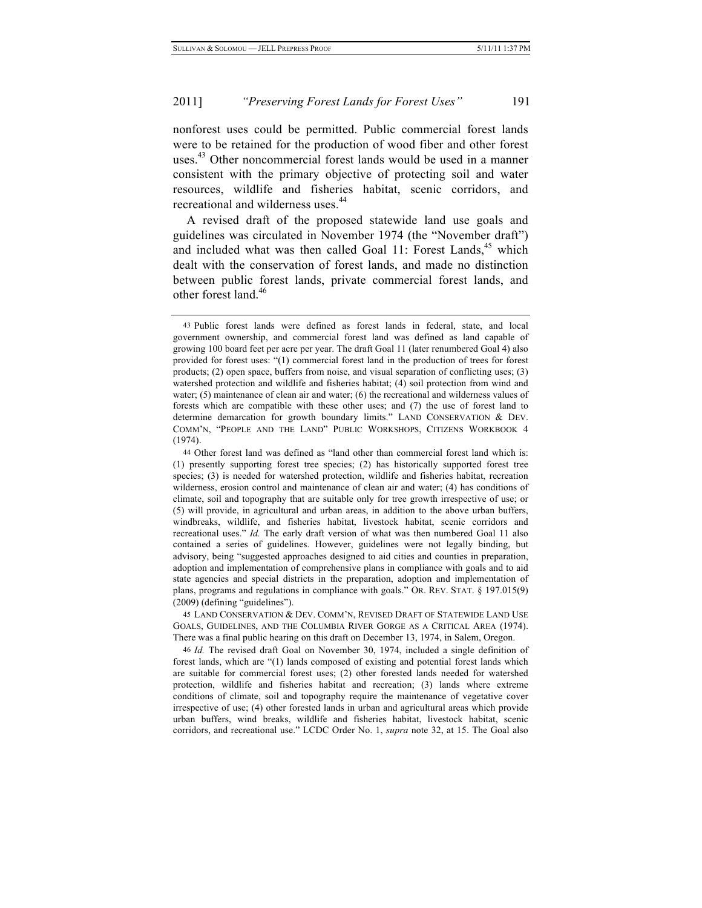nonforest uses could be permitted. Public commercial forest lands were to be retained for the production of wood fiber and other forest uses.<sup>43</sup> Other noncommercial forest lands would be used in a manner consistent with the primary objective of protecting soil and water resources, wildlife and fisheries habitat, scenic corridors, and recreational and wilderness uses.<sup>44</sup>

A revised draft of the proposed statewide land use goals and guidelines was circulated in November 1974 (the "November draft") and included what was then called Goal 11: Forest Lands, $45$  which dealt with the conservation of forest lands, and made no distinction between public forest lands, private commercial forest lands, and other forest land.<sup>46</sup>

45 LAND CONSERVATION & DEV. COMM'N, REVISED DRAFT OF STATEWIDE LAND USE GOALS, GUIDELINES, AND THE COLUMBIA RIVER GORGE AS A CRITICAL AREA (1974). There was a final public hearing on this draft on December 13, 1974, in Salem, Oregon.

46 *Id.* The revised draft Goal on November 30, 1974, included a single definition of forest lands, which are "(1) lands composed of existing and potential forest lands which are suitable for commercial forest uses; (2) other forested lands needed for watershed protection, wildlife and fisheries habitat and recreation; (3) lands where extreme conditions of climate, soil and topography require the maintenance of vegetative cover irrespective of use; (4) other forested lands in urban and agricultural areas which provide urban buffers, wind breaks, wildlife and fisheries habitat, livestock habitat, scenic corridors, and recreational use." LCDC Order No. 1, *supra* note 32, at 15. The Goal also

<sup>43</sup> Public forest lands were defined as forest lands in federal, state, and local government ownership, and commercial forest land was defined as land capable of growing 100 board feet per acre per year. The draft Goal 11 (later renumbered Goal 4) also provided for forest uses: "(1) commercial forest land in the production of trees for forest products; (2) open space, buffers from noise, and visual separation of conflicting uses; (3) watershed protection and wildlife and fisheries habitat; (4) soil protection from wind and water; (5) maintenance of clean air and water; (6) the recreational and wilderness values of forests which are compatible with these other uses; and (7) the use of forest land to determine demarcation for growth boundary limits." LAND CONSERVATION & DEV. COMM'N, "PEOPLE AND THE LAND" PUBLIC WORKSHOPS, CITIZENS WORKBOOK 4 (1974).

<sup>44</sup> Other forest land was defined as "land other than commercial forest land which is: (1) presently supporting forest tree species; (2) has historically supported forest tree species; (3) is needed for watershed protection, wildlife and fisheries habitat, recreation wilderness, erosion control and maintenance of clean air and water; (4) has conditions of climate, soil and topography that are suitable only for tree growth irrespective of use; or (5) will provide, in agricultural and urban areas, in addition to the above urban buffers, windbreaks, wildlife, and fisheries habitat, livestock habitat, scenic corridors and recreational uses." *Id.* The early draft version of what was then numbered Goal 11 also contained a series of guidelines. However, guidelines were not legally binding, but advisory, being "suggested approaches designed to aid cities and counties in preparation, adoption and implementation of comprehensive plans in compliance with goals and to aid state agencies and special districts in the preparation, adoption and implementation of plans, programs and regulations in compliance with goals." OR. REV. STAT. § 197.015(9) (2009) (defining "guidelines").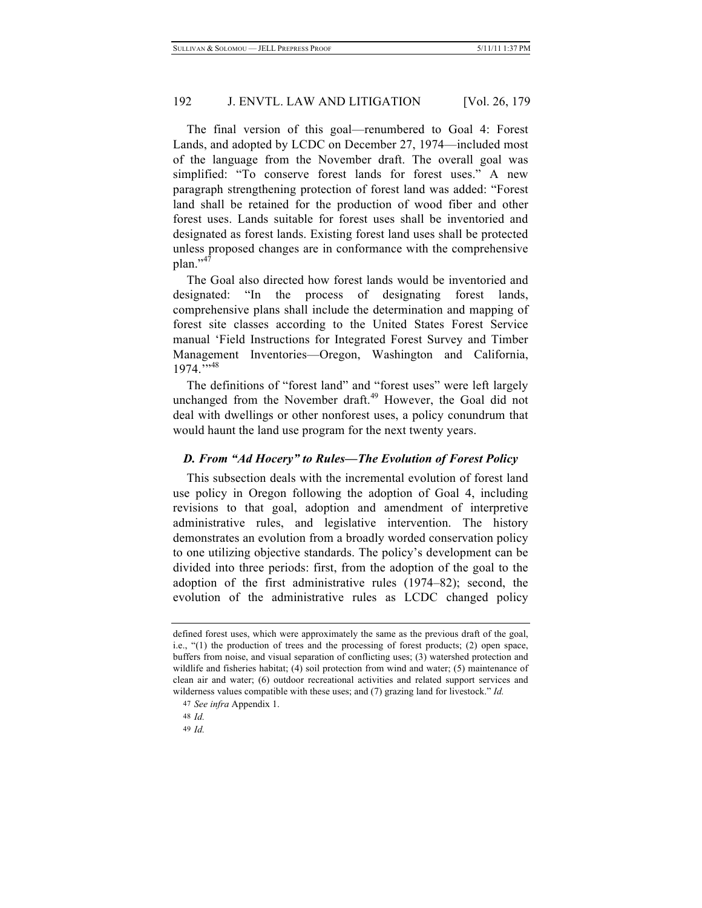The final version of this goal—renumbered to Goal 4: Forest Lands, and adopted by LCDC on December 27, 1974—included most of the language from the November draft. The overall goal was simplified: "To conserve forest lands for forest uses." A new paragraph strengthening protection of forest land was added: "Forest land shall be retained for the production of wood fiber and other forest uses. Lands suitable for forest uses shall be inventoried and designated as forest lands. Existing forest land uses shall be protected unless proposed changes are in conformance with the comprehensive  $plan.^{9,47}$ 

The Goal also directed how forest lands would be inventoried and designated: "In the process of designating forest lands, comprehensive plans shall include the determination and mapping of forest site classes according to the United States Forest Service manual 'Field Instructions for Integrated Forest Survey and Timber Management Inventories—Oregon, Washington and California, 1974.">48

The definitions of "forest land" and "forest uses" were left largely unchanged from the November draft.<sup>49</sup> However, the Goal did not deal with dwellings or other nonforest uses, a policy conundrum that would haunt the land use program for the next twenty years.

## *D. From "Ad Hocery" to Rules—The Evolution of Forest Policy*

This subsection deals with the incremental evolution of forest land use policy in Oregon following the adoption of Goal 4, including revisions to that goal, adoption and amendment of interpretive administrative rules, and legislative intervention. The history demonstrates an evolution from a broadly worded conservation policy to one utilizing objective standards. The policy's development can be divided into three periods: first, from the adoption of the goal to the adoption of the first administrative rules (1974–82); second, the evolution of the administrative rules as LCDC changed policy

48 *Id.*

49 *Id.*

defined forest uses, which were approximately the same as the previous draft of the goal, i.e., "(1) the production of trees and the processing of forest products; (2) open space, buffers from noise, and visual separation of conflicting uses; (3) watershed protection and wildlife and fisheries habitat; (4) soil protection from wind and water; (5) maintenance of clean air and water; (6) outdoor recreational activities and related support services and wilderness values compatible with these uses; and (7) grazing land for livestock." *Id.*

<sup>47</sup> *See infra* Appendix 1.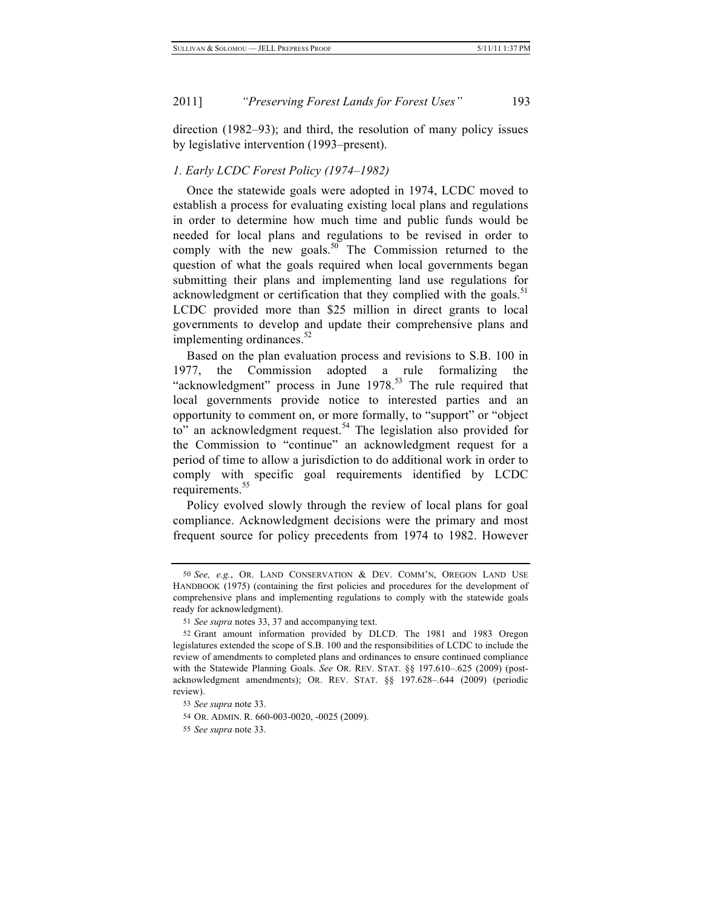direction (1982–93); and third, the resolution of many policy issues by legislative intervention (1993–present).

## *1. Early LCDC Forest Policy (1974–1982)*

Once the statewide goals were adopted in 1974, LCDC moved to establish a process for evaluating existing local plans and regulations in order to determine how much time and public funds would be needed for local plans and regulations to be revised in order to comply with the new goals.<sup>50</sup> The Commission returned to the question of what the goals required when local governments began submitting their plans and implementing land use regulations for acknowledgment or certification that they complied with the goals. $51$ LCDC provided more than \$25 million in direct grants to local governments to develop and update their comprehensive plans and implementing ordinances. $52$ 

Based on the plan evaluation process and revisions to S.B. 100 in 1977, the Commission adopted a rule formalizing the "acknowledgment" process in June 1978.<sup>53</sup> The rule required that local governments provide notice to interested parties and an opportunity to comment on, or more formally, to "support" or "object to" an acknowledgment request.<sup>54</sup> The legislation also provided for the Commission to "continue" an acknowledgment request for a period of time to allow a jurisdiction to do additional work in order to comply with specific goal requirements identified by LCDC requirements.<sup>55</sup>

Policy evolved slowly through the review of local plans for goal compliance. Acknowledgment decisions were the primary and most frequent source for policy precedents from 1974 to 1982. However

<sup>50</sup> *See, e.g.*, OR. LAND CONSERVATION & DEV. COMM'N, OREGON LAND USE HANDBOOK (1975) (containing the first policies and procedures for the development of comprehensive plans and implementing regulations to comply with the statewide goals ready for acknowledgment).

<sup>51</sup> *See supra* notes 33, 37 and accompanying text.

<sup>52</sup> Grant amount information provided by DLCD. The 1981 and 1983 Oregon legislatures extended the scope of S.B. 100 and the responsibilities of LCDC to include the review of amendments to completed plans and ordinances to ensure continued compliance with the Statewide Planning Goals. *See* OR. REV. STAT. §§ 197.610–.625 (2009) (postacknowledgment amendments); OR. REV. STAT. §§ 197.628–.644 (2009) (periodic review).

<sup>53</sup> *See supra* note 33.

<sup>54</sup> OR. ADMIN. R. 660-003-0020, -0025 (2009).

<sup>55</sup> *See supra* note 33.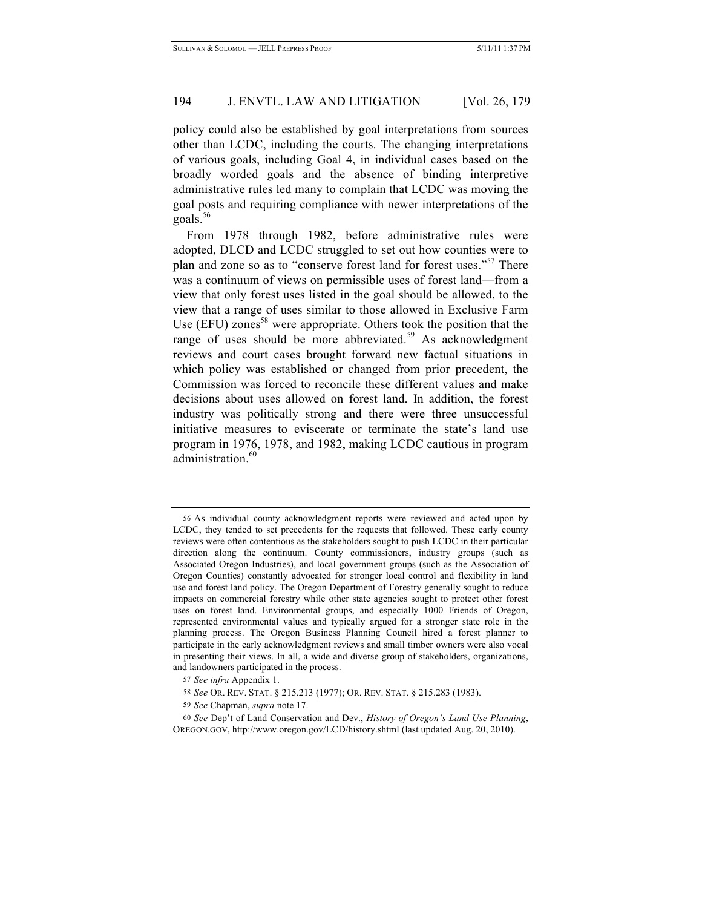policy could also be established by goal interpretations from sources other than LCDC, including the courts. The changing interpretations of various goals, including Goal 4, in individual cases based on the broadly worded goals and the absence of binding interpretive administrative rules led many to complain that LCDC was moving the goal posts and requiring compliance with newer interpretations of the goals. $56$ 

From 1978 through 1982, before administrative rules were adopted, DLCD and LCDC struggled to set out how counties were to plan and zone so as to "conserve forest land for forest uses."<sup>57</sup> There was a continuum of views on permissible uses of forest land—from a view that only forest uses listed in the goal should be allowed, to the view that a range of uses similar to those allowed in Exclusive Farm Use (EFU) zones<sup>58</sup> were appropriate. Others took the position that the range of uses should be more abbreviated.<sup>59</sup> As acknowledgment reviews and court cases brought forward new factual situations in which policy was established or changed from prior precedent, the Commission was forced to reconcile these different values and make decisions about uses allowed on forest land. In addition, the forest industry was politically strong and there were three unsuccessful initiative measures to eviscerate or terminate the state's land use program in 1976, 1978, and 1982, making LCDC cautious in program administration.<sup>60</sup>

<sup>56</sup> As individual county acknowledgment reports were reviewed and acted upon by LCDC, they tended to set precedents for the requests that followed. These early county reviews were often contentious as the stakeholders sought to push LCDC in their particular direction along the continuum. County commissioners, industry groups (such as Associated Oregon Industries), and local government groups (such as the Association of Oregon Counties) constantly advocated for stronger local control and flexibility in land use and forest land policy. The Oregon Department of Forestry generally sought to reduce impacts on commercial forestry while other state agencies sought to protect other forest uses on forest land. Environmental groups, and especially 1000 Friends of Oregon, represented environmental values and typically argued for a stronger state role in the planning process. The Oregon Business Planning Council hired a forest planner to participate in the early acknowledgment reviews and small timber owners were also vocal in presenting their views. In all, a wide and diverse group of stakeholders, organizations, and landowners participated in the process.

<sup>57</sup> *See infra* Appendix 1.

<sup>58</sup> *See* OR. REV. STAT. § 215.213 (1977); OR. REV. STAT. § 215.283 (1983).

<sup>59</sup> *See* Chapman, *supra* note 17.

<sup>60</sup> *See* Dep't of Land Conservation and Dev., *History of Oregon's Land Use Planning*, OREGON.GOV, http://www.oregon.gov/LCD/history.shtml (last updated Aug. 20, 2010).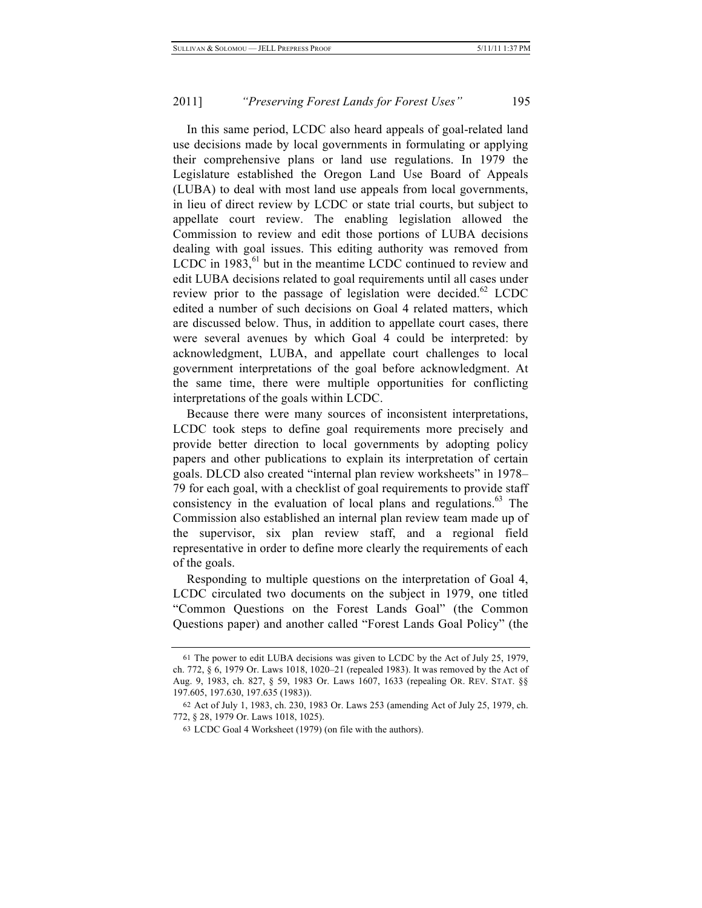In this same period, LCDC also heard appeals of goal-related land use decisions made by local governments in formulating or applying their comprehensive plans or land use regulations. In 1979 the Legislature established the Oregon Land Use Board of Appeals (LUBA) to deal with most land use appeals from local governments, in lieu of direct review by LCDC or state trial courts, but subject to appellate court review. The enabling legislation allowed the Commission to review and edit those portions of LUBA decisions dealing with goal issues. This editing authority was removed from LCDC in  $1983$ , <sup>61</sup> but in the meantime LCDC continued to review and edit LUBA decisions related to goal requirements until all cases under review prior to the passage of legislation were decided.<sup>62</sup> LCDC edited a number of such decisions on Goal 4 related matters, which are discussed below. Thus, in addition to appellate court cases, there were several avenues by which Goal 4 could be interpreted: by acknowledgment, LUBA, and appellate court challenges to local government interpretations of the goal before acknowledgment. At the same time, there were multiple opportunities for conflicting interpretations of the goals within LCDC.

Because there were many sources of inconsistent interpretations, LCDC took steps to define goal requirements more precisely and provide better direction to local governments by adopting policy papers and other publications to explain its interpretation of certain goals. DLCD also created "internal plan review worksheets" in 1978– 79 for each goal, with a checklist of goal requirements to provide staff consistency in the evaluation of local plans and regulations. $63$  The Commission also established an internal plan review team made up of the supervisor, six plan review staff, and a regional field representative in order to define more clearly the requirements of each of the goals.

Responding to multiple questions on the interpretation of Goal 4, LCDC circulated two documents on the subject in 1979, one titled "Common Questions on the Forest Lands Goal" (the Common Questions paper) and another called "Forest Lands Goal Policy" (the

<sup>61</sup> The power to edit LUBA decisions was given to LCDC by the Act of July 25, 1979, ch. 772, § 6, 1979 Or. Laws 1018, 1020–21 (repealed 1983). It was removed by the Act of Aug. 9, 1983, ch. 827, § 59, 1983 Or. Laws 1607, 1633 (repealing OR. REV. STAT. §§ 197.605, 197.630, 197.635 (1983)).

<sup>62</sup> Act of July 1, 1983, ch. 230, 1983 Or. Laws 253 (amending Act of July 25, 1979, ch. 772, § 28, 1979 Or. Laws 1018, 1025).

<sup>63</sup> LCDC Goal 4 Worksheet (1979) (on file with the authors).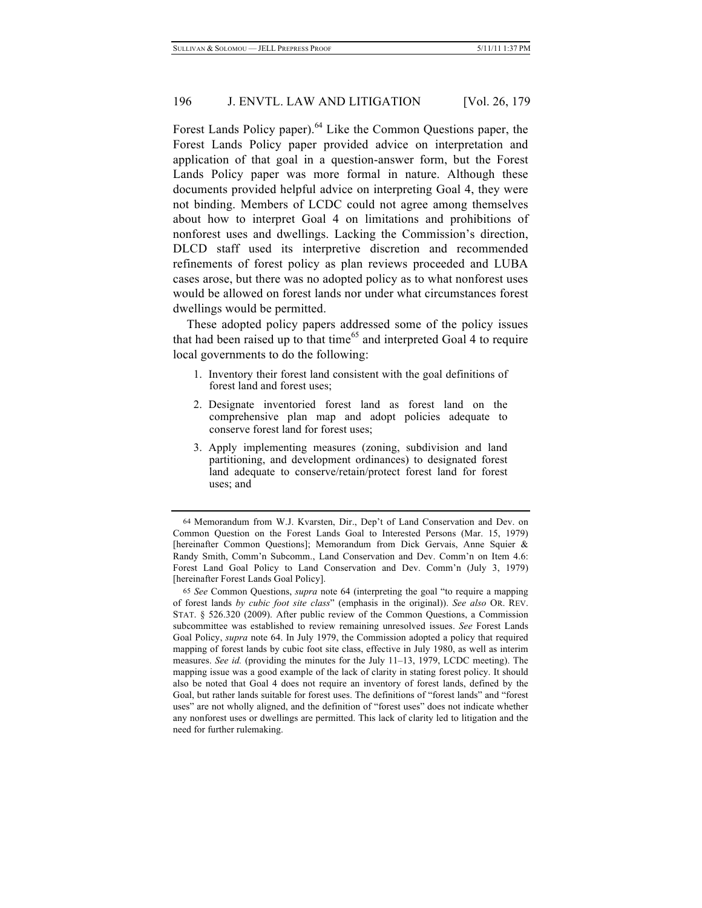Forest Lands Policy paper).<sup>64</sup> Like the Common Questions paper, the Forest Lands Policy paper provided advice on interpretation and application of that goal in a question-answer form, but the Forest Lands Policy paper was more formal in nature. Although these documents provided helpful advice on interpreting Goal 4, they were not binding. Members of LCDC could not agree among themselves about how to interpret Goal 4 on limitations and prohibitions of nonforest uses and dwellings. Lacking the Commission's direction, DLCD staff used its interpretive discretion and recommended refinements of forest policy as plan reviews proceeded and LUBA cases arose, but there was no adopted policy as to what nonforest uses would be allowed on forest lands nor under what circumstances forest dwellings would be permitted.

These adopted policy papers addressed some of the policy issues that had been raised up to that time<sup>65</sup> and interpreted Goal 4 to require local governments to do the following:

- 1. Inventory their forest land consistent with the goal definitions of forest land and forest uses;
- 2. Designate inventoried forest land as forest land on the comprehensive plan map and adopt policies adequate to conserve forest land for forest uses;
- 3. Apply implementing measures (zoning, subdivision and land partitioning, and development ordinances) to designated forest land adequate to conserve/retain/protect forest land for forest uses; and

<sup>64</sup> Memorandum from W.J. Kvarsten, Dir., Dep't of Land Conservation and Dev. on Common Question on the Forest Lands Goal to Interested Persons (Mar. 15, 1979) [hereinafter Common Questions]; Memorandum from Dick Gervais, Anne Squier & Randy Smith, Comm'n Subcomm., Land Conservation and Dev. Comm'n on Item 4.6: Forest Land Goal Policy to Land Conservation and Dev. Comm'n (July 3, 1979) [hereinafter Forest Lands Goal Policy].

<sup>65</sup> *See* Common Questions, *supra* note 64 (interpreting the goal "to require a mapping of forest lands *by cubic foot site class*" (emphasis in the original)). *See also* OR. REV. STAT. § 526.320 (2009). After public review of the Common Questions, a Commission subcommittee was established to review remaining unresolved issues. *See* Forest Lands Goal Policy, *supra* note 64. In July 1979, the Commission adopted a policy that required mapping of forest lands by cubic foot site class, effective in July 1980, as well as interim measures. *See id.* (providing the minutes for the July 11–13, 1979, LCDC meeting). The mapping issue was a good example of the lack of clarity in stating forest policy. It should also be noted that Goal 4 does not require an inventory of forest lands, defined by the Goal, but rather lands suitable for forest uses. The definitions of "forest lands" and "forest uses" are not wholly aligned, and the definition of "forest uses" does not indicate whether any nonforest uses or dwellings are permitted. This lack of clarity led to litigation and the need for further rulemaking.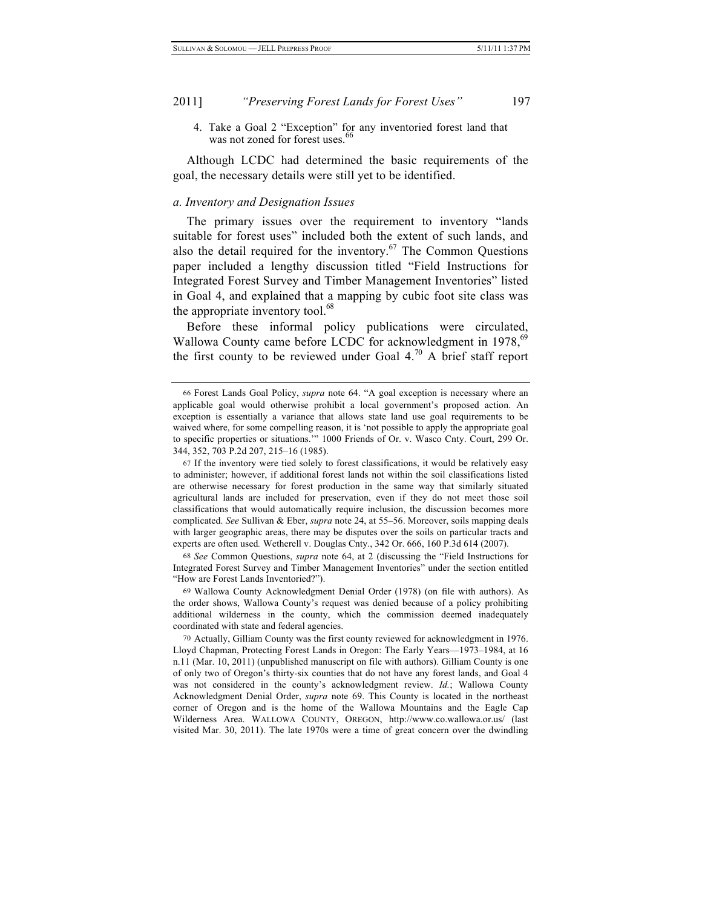4. Take a Goal 2 "Exception" for any inventoried forest land that was not zoned for forest uses.

Although LCDC had determined the basic requirements of the goal, the necessary details were still yet to be identified.

#### *a. Inventory and Designation Issues*

The primary issues over the requirement to inventory "lands suitable for forest uses" included both the extent of such lands, and also the detail required for the inventory.<sup>67</sup> The Common Questions paper included a lengthy discussion titled "Field Instructions for Integrated Forest Survey and Timber Management Inventories" listed in Goal 4, and explained that a mapping by cubic foot site class was the appropriate inventory tool.<sup>68</sup>

Before these informal policy publications were circulated, Wallowa County came before LCDC for acknowledgment in 1978,<sup>69</sup> the first county to be reviewed under Goal  $4.^{70}$  A brief staff report

68 *See* Common Questions, *supra* note 64, at 2 (discussing the "Field Instructions for Integrated Forest Survey and Timber Management Inventories" under the section entitled "How are Forest Lands Inventoried?").

69 Wallowa County Acknowledgment Denial Order (1978) (on file with authors). As the order shows, Wallowa County's request was denied because of a policy prohibiting additional wilderness in the county, which the commission deemed inadequately coordinated with state and federal agencies.

70 Actually, Gilliam County was the first county reviewed for acknowledgment in 1976. Lloyd Chapman, Protecting Forest Lands in Oregon: The Early Years—1973–1984, at 16 n.11 (Mar. 10, 2011) (unpublished manuscript on file with authors). Gilliam County is one of only two of Oregon's thirty-six counties that do not have any forest lands, and Goal 4 was not considered in the county's acknowledgment review. *Id.*; Wallowa County Acknowledgment Denial Order, *supra* note 69. This County is located in the northeast corner of Oregon and is the home of the Wallowa Mountains and the Eagle Cap Wilderness Area. WALLOWA COUNTY, OREGON, http://www.co.wallowa.or.us/ (last visited Mar. 30, 2011). The late 1970s were a time of great concern over the dwindling

<sup>66</sup> Forest Lands Goal Policy, *supra* note 64. "A goal exception is necessary where an applicable goal would otherwise prohibit a local government's proposed action. An exception is essentially a variance that allows state land use goal requirements to be waived where, for some compelling reason, it is 'not possible to apply the appropriate goal to specific properties or situations.'" 1000 Friends of Or. v. Wasco Cnty. Court, 299 Or. 344, 352, 703 P.2d 207, 215–16 (1985).

<sup>67</sup> If the inventory were tied solely to forest classifications, it would be relatively easy to administer; however, if additional forest lands not within the soil classifications listed are otherwise necessary for forest production in the same way that similarly situated agricultural lands are included for preservation, even if they do not meet those soil classifications that would automatically require inclusion, the discussion becomes more complicated. *See* Sullivan & Eber, *supra* note 24, at 55–56. Moreover, soils mapping deals with larger geographic areas, there may be disputes over the soils on particular tracts and experts are often used*.* Wetherell v. Douglas Cnty., 342 Or. 666, 160 P.3d 614 (2007).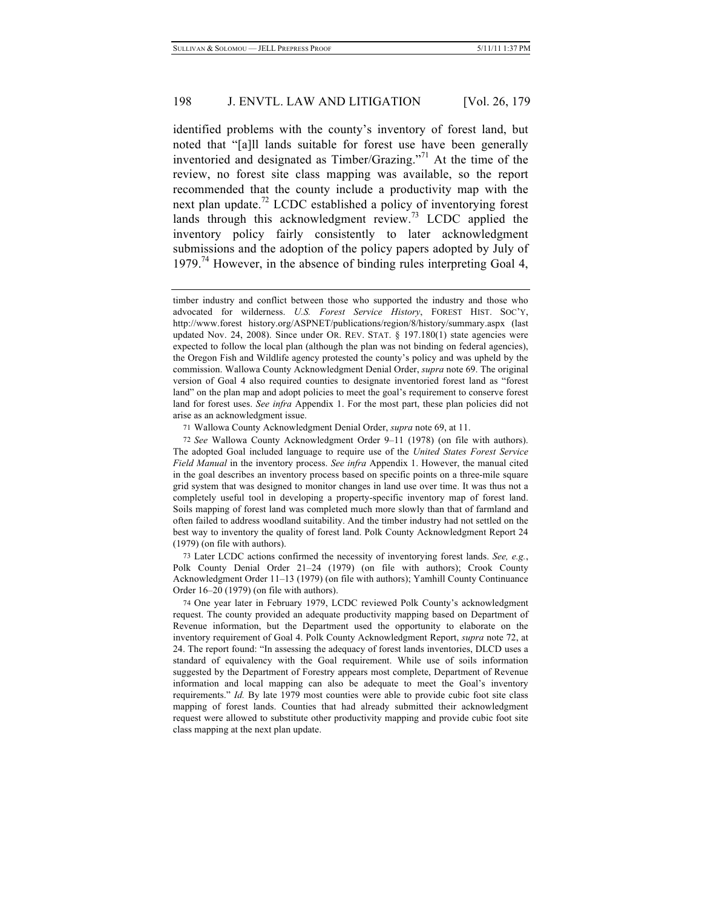identified problems with the county's inventory of forest land, but noted that "[a]ll lands suitable for forest use have been generally inventoried and designated as Timber/Grazing."71 At the time of the review, no forest site class mapping was available, so the report recommended that the county include a productivity map with the next plan update.<sup>72</sup> LCDC established a policy of inventorying forest lands through this acknowledgment review.<sup>73</sup> LCDC applied the inventory policy fairly consistently to later acknowledgment submissions and the adoption of the policy papers adopted by July of 1979.<sup>74</sup> However, in the absence of binding rules interpreting Goal 4,

71 Wallowa County Acknowledgment Denial Order, *supra* note 69, at 11.

73 Later LCDC actions confirmed the necessity of inventorying forest lands. *See, e.g.*, Polk County Denial Order 21–24 (1979) (on file with authors); Crook County Acknowledgment Order 11–13 (1979) (on file with authors); Yamhill County Continuance Order 16–20 (1979) (on file with authors).

timber industry and conflict between those who supported the industry and those who advocated for wilderness. *U.S. Forest Service History*, FOREST HIST. SOC'Y, http://www.forest history.org/ASPNET/publications/region/8/history/summary.aspx (last updated Nov. 24, 2008). Since under OR. REV. STAT. § 197.180(1) state agencies were expected to follow the local plan (although the plan was not binding on federal agencies), the Oregon Fish and Wildlife agency protested the county's policy and was upheld by the commission. Wallowa County Acknowledgment Denial Order, *supra* note 69. The original version of Goal 4 also required counties to designate inventoried forest land as "forest land" on the plan map and adopt policies to meet the goal's requirement to conserve forest land for forest uses. *See infra* Appendix 1. For the most part, these plan policies did not arise as an acknowledgment issue.

<sup>72</sup> *See* Wallowa County Acknowledgment Order 9–11 (1978) (on file with authors). The adopted Goal included language to require use of the *United States Forest Service Field Manual* in the inventory process. *See infra* Appendix 1. However, the manual cited in the goal describes an inventory process based on specific points on a three-mile square grid system that was designed to monitor changes in land use over time. It was thus not a completely useful tool in developing a property-specific inventory map of forest land. Soils mapping of forest land was completed much more slowly than that of farmland and often failed to address woodland suitability. And the timber industry had not settled on the best way to inventory the quality of forest land. Polk County Acknowledgment Report 24 (1979) (on file with authors).

<sup>74</sup> One year later in February 1979, LCDC reviewed Polk County's acknowledgment request. The county provided an adequate productivity mapping based on Department of Revenue information, but the Department used the opportunity to elaborate on the inventory requirement of Goal 4. Polk County Acknowledgment Report, *supra* note 72, at 24. The report found: "In assessing the adequacy of forest lands inventories, DLCD uses a standard of equivalency with the Goal requirement. While use of soils information suggested by the Department of Forestry appears most complete, Department of Revenue information and local mapping can also be adequate to meet the Goal's inventory requirements." *Id.* By late 1979 most counties were able to provide cubic foot site class mapping of forest lands. Counties that had already submitted their acknowledgment request were allowed to substitute other productivity mapping and provide cubic foot site class mapping at the next plan update.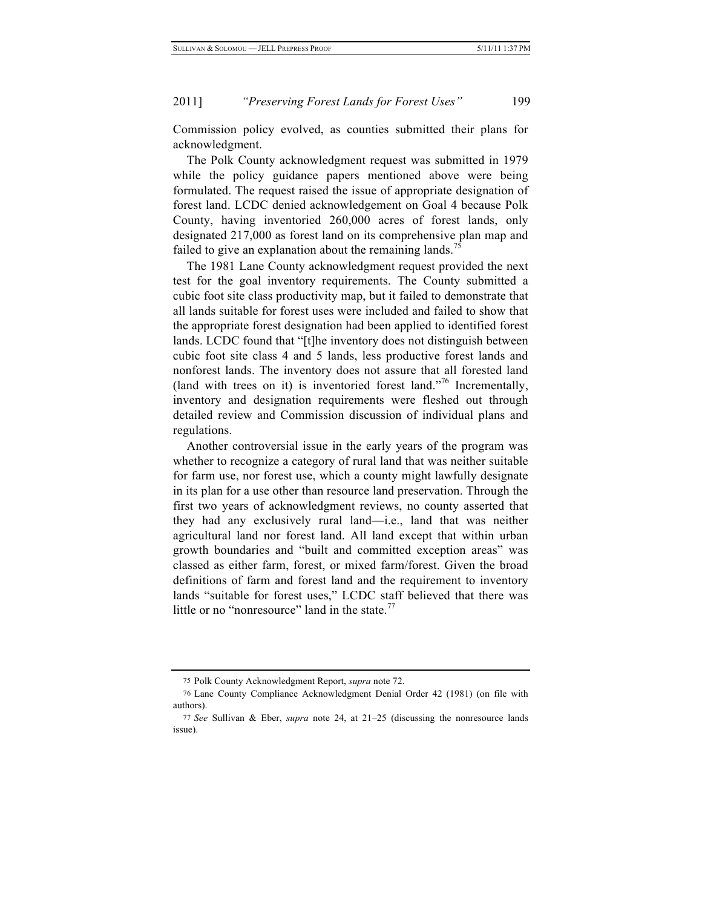Commission policy evolved, as counties submitted their plans for acknowledgment.

The Polk County acknowledgment request was submitted in 1979 while the policy guidance papers mentioned above were being formulated. The request raised the issue of appropriate designation of forest land. LCDC denied acknowledgement on Goal 4 because Polk County, having inventoried 260,000 acres of forest lands, only designated 217,000 as forest land on its comprehensive plan map and failed to give an explanation about the remaining lands.<sup>75</sup>

The 1981 Lane County acknowledgment request provided the next test for the goal inventory requirements. The County submitted a cubic foot site class productivity map, but it failed to demonstrate that all lands suitable for forest uses were included and failed to show that the appropriate forest designation had been applied to identified forest lands. LCDC found that "[t]he inventory does not distinguish between cubic foot site class 4 and 5 lands, less productive forest lands and nonforest lands. The inventory does not assure that all forested land (land with trees on it) is inventoried forest land."76 Incrementally, inventory and designation requirements were fleshed out through detailed review and Commission discussion of individual plans and regulations.

Another controversial issue in the early years of the program was whether to recognize a category of rural land that was neither suitable for farm use, nor forest use, which a county might lawfully designate in its plan for a use other than resource land preservation. Through the first two years of acknowledgment reviews, no county asserted that they had any exclusively rural land—i.e., land that was neither agricultural land nor forest land. All land except that within urban growth boundaries and "built and committed exception areas" was classed as either farm, forest, or mixed farm/forest. Given the broad definitions of farm and forest land and the requirement to inventory lands "suitable for forest uses," LCDC staff believed that there was little or no "nonresource" land in the state. $\frac{7}{7}$ 

<sup>75</sup> Polk County Acknowledgment Report, *supra* note 72.

<sup>76</sup> Lane County Compliance Acknowledgment Denial Order 42 (1981) (on file with authors).

<sup>77</sup> *See* Sullivan & Eber, *supra* note 24, at 21–25 (discussing the nonresource lands issue).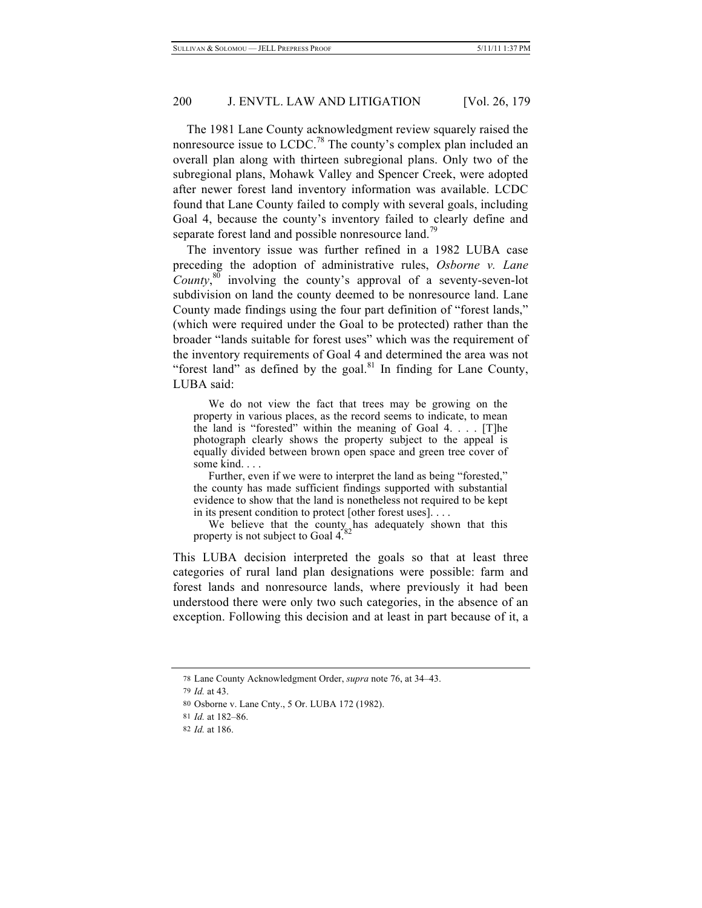The 1981 Lane County acknowledgment review squarely raised the nonresource issue to LCDC.<sup>78</sup> The county's complex plan included an overall plan along with thirteen subregional plans. Only two of the subregional plans, Mohawk Valley and Spencer Creek, were adopted after newer forest land inventory information was available. LCDC found that Lane County failed to comply with several goals, including Goal 4, because the county's inventory failed to clearly define and separate forest land and possible nonresource land.<sup>79</sup>

The inventory issue was further refined in a 1982 LUBA case preceding the adoption of administrative rules, *Osborne v. Lane County*, 80 involving the county's approval of a seventy-seven-lot subdivision on land the county deemed to be nonresource land. Lane County made findings using the four part definition of "forest lands," (which were required under the Goal to be protected) rather than the broader "lands suitable for forest uses" which was the requirement of the inventory requirements of Goal 4 and determined the area was not "forest land" as defined by the goal. $81$  In finding for Lane County, LUBA said:

We do not view the fact that trees may be growing on the property in various places, as the record seems to indicate, to mean the land is "forested" within the meaning of Goal 4. . . . [T]he photograph clearly shows the property subject to the appeal is equally divided between brown open space and green tree cover of some kind. . . .

Further, even if we were to interpret the land as being "forested," the county has made sufficient findings supported with substantial evidence to show that the land is nonetheless not required to be kept in its present condition to protect [other forest uses]. . . .

We believe that the county has adequately shown that this property is not subject to Goal 4.

This LUBA decision interpreted the goals so that at least three categories of rural land plan designations were possible: farm and forest lands and nonresource lands, where previously it had been understood there were only two such categories, in the absence of an exception. Following this decision and at least in part because of it, a

<sup>78</sup> Lane County Acknowledgment Order, *supra* note 76, at 34–43.

<sup>79</sup> *Id.* at 43.

<sup>80</sup> Osborne v. Lane Cnty., 5 Or. LUBA 172 (1982).

<sup>81</sup> *Id.* at 182–86.

<sup>82</sup> *Id.* at 186.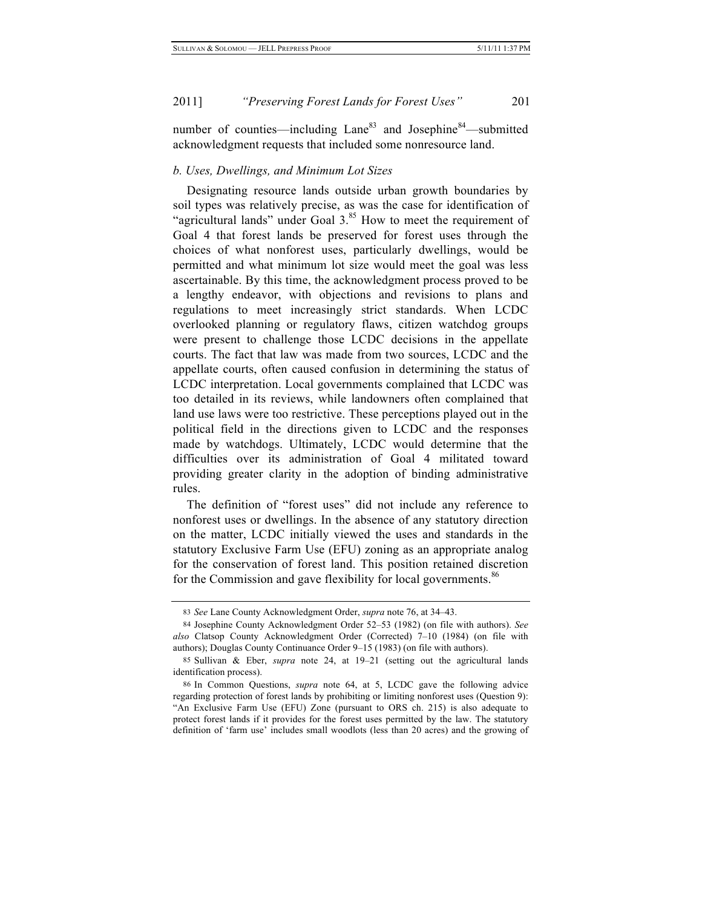number of counties—including  $Lane^{83}$  and Josephine<sup>84</sup>—submitted acknowledgment requests that included some nonresource land.

#### *b. Uses, Dwellings, and Minimum Lot Sizes*

Designating resource lands outside urban growth boundaries by soil types was relatively precise, as was the case for identification of "agricultural lands" under Goal  $3.^{85}$  How to meet the requirement of Goal 4 that forest lands be preserved for forest uses through the choices of what nonforest uses, particularly dwellings, would be permitted and what minimum lot size would meet the goal was less ascertainable. By this time, the acknowledgment process proved to be a lengthy endeavor, with objections and revisions to plans and regulations to meet increasingly strict standards. When LCDC overlooked planning or regulatory flaws, citizen watchdog groups were present to challenge those LCDC decisions in the appellate courts. The fact that law was made from two sources, LCDC and the appellate courts, often caused confusion in determining the status of LCDC interpretation. Local governments complained that LCDC was too detailed in its reviews, while landowners often complained that land use laws were too restrictive. These perceptions played out in the political field in the directions given to LCDC and the responses made by watchdogs. Ultimately, LCDC would determine that the difficulties over its administration of Goal 4 militated toward providing greater clarity in the adoption of binding administrative rules.

The definition of "forest uses" did not include any reference to nonforest uses or dwellings. In the absence of any statutory direction on the matter, LCDC initially viewed the uses and standards in the statutory Exclusive Farm Use (EFU) zoning as an appropriate analog for the conservation of forest land. This position retained discretion for the Commission and gave flexibility for local governments.<sup>86</sup>

<sup>83</sup> *See* Lane County Acknowledgment Order, *supra* note 76, at 34–43.

<sup>84</sup> Josephine County Acknowledgment Order 52–53 (1982) (on file with authors). *See also* Clatsop County Acknowledgment Order (Corrected) 7–10 (1984) (on file with authors); Douglas County Continuance Order 9–15 (1983) (on file with authors).

<sup>85</sup> Sullivan & Eber, *supra* note 24, at 19–21 (setting out the agricultural lands identification process).

<sup>86</sup> In Common Questions, *supra* note 64, at 5, LCDC gave the following advice regarding protection of forest lands by prohibiting or limiting nonforest uses (Question 9): "An Exclusive Farm Use (EFU) Zone (pursuant to ORS ch. 215) is also adequate to protect forest lands if it provides for the forest uses permitted by the law. The statutory definition of 'farm use' includes small woodlots (less than 20 acres) and the growing of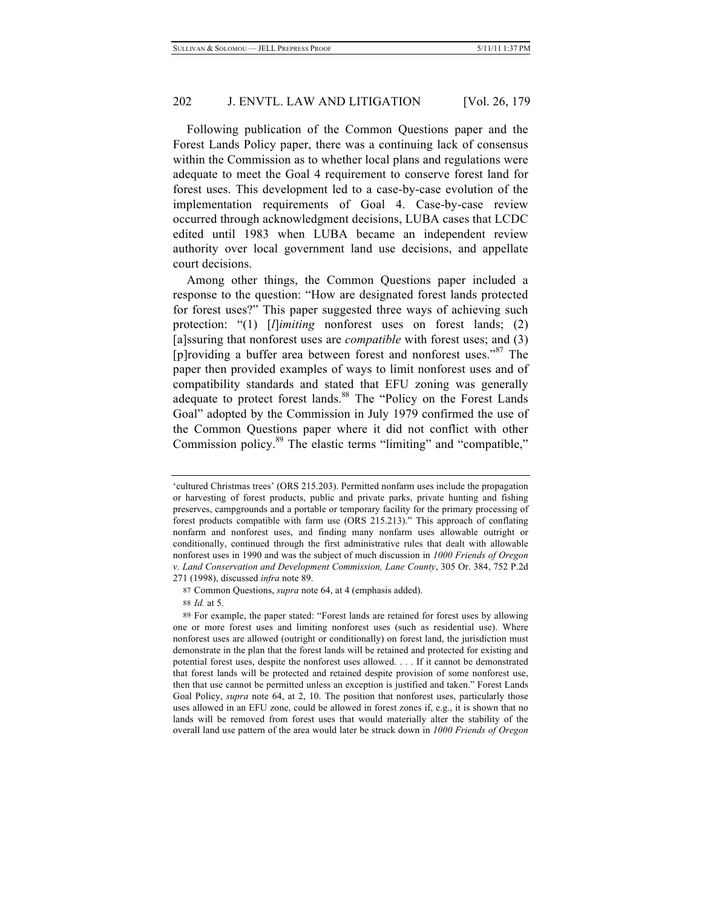Following publication of the Common Questions paper and the Forest Lands Policy paper, there was a continuing lack of consensus within the Commission as to whether local plans and regulations were adequate to meet the Goal 4 requirement to conserve forest land for forest uses. This development led to a case-by-case evolution of the implementation requirements of Goal 4. Case-by-case review occurred through acknowledgment decisions, LUBA cases that LCDC edited until 1983 when LUBA became an independent review authority over local government land use decisions, and appellate court decisions.

Among other things, the Common Questions paper included a response to the question: "How are designated forest lands protected for forest uses?" This paper suggested three ways of achieving such protection: "(1) [*l*]*imiting* nonforest uses on forest lands; (2) [a]ssuring that nonforest uses are *compatible* with forest uses; and (3) [p]roviding a buffer area between forest and nonforest uses."<sup>87</sup> The paper then provided examples of ways to limit nonforest uses and of compatibility standards and stated that EFU zoning was generally adequate to protect forest lands.<sup>88</sup> The "Policy on the Forest Lands Goal" adopted by the Commission in July 1979 confirmed the use of the Common Questions paper where it did not conflict with other Commission policy.<sup>89</sup> The elastic terms "limiting" and "compatible,"

<sup>&#</sup>x27;cultured Christmas trees' (ORS 215.203). Permitted nonfarm uses include the propagation or harvesting of forest products, public and private parks, private hunting and fishing preserves, campgrounds and a portable or temporary facility for the primary processing of forest products compatible with farm use (ORS 215.213)." This approach of conflating nonfarm and nonforest uses, and finding many nonfarm uses allowable outright or conditionally, continued through the first administrative rules that dealt with allowable nonforest uses in 1990 and was the subject of much discussion in *1000 Friends of Oregon v. Land Conservation and Development Commission, Lane County*, 305 Or. 384, 752 P.2d 271 (1998), discussed *infra* note 89.

<sup>87</sup> Common Questions, *supra* note 64, at 4 (emphasis added).

<sup>88</sup> *Id.* at 5.

<sup>89</sup> For example, the paper stated: "Forest lands are retained for forest uses by allowing one or more forest uses and limiting nonforest uses (such as residential use). Where nonforest uses are allowed (outright or conditionally) on forest land, the jurisdiction must demonstrate in the plan that the forest lands will be retained and protected for existing and potential forest uses, despite the nonforest uses allowed. . . . If it cannot be demonstrated that forest lands will be protected and retained despite provision of some nonforest use, then that use cannot be permitted unless an exception is justified and taken." Forest Lands Goal Policy, *supra* note 64, at 2, 10. The position that nonforest uses, particularly those uses allowed in an EFU zone, could be allowed in forest zones if, e.g., it is shown that no lands will be removed from forest uses that would materially alter the stability of the overall land use pattern of the area would later be struck down in *1000 Friends of Oregon*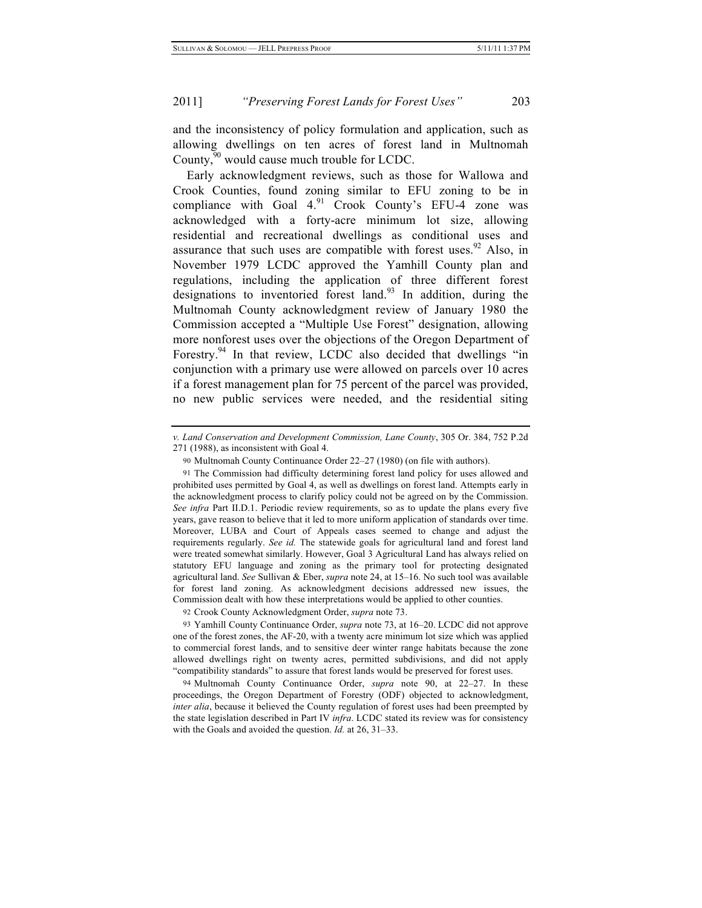and the inconsistency of policy formulation and application, such as allowing dwellings on ten acres of forest land in Multnomah County,<sup>90</sup> would cause much trouble for LCDC.

Early acknowledgment reviews, such as those for Wallowa and Crook Counties, found zoning similar to EFU zoning to be in compliance with Goal  $4.91$  Crook County's EFU-4 zone was acknowledged with a forty-acre minimum lot size, allowing residential and recreational dwellings as conditional uses and assurance that such uses are compatible with forest uses.  $92$  Also, in November 1979 LCDC approved the Yamhill County plan and regulations, including the application of three different forest designations to inventoried forest land.<sup>93</sup> In addition, during the Multnomah County acknowledgment review of January 1980 the Commission accepted a "Multiple Use Forest" designation, allowing more nonforest uses over the objections of the Oregon Department of Forestry.<sup>94</sup> In that review, LCDC also decided that dwellings "in conjunction with a primary use were allowed on parcels over 10 acres if a forest management plan for 75 percent of the parcel was provided, no new public services were needed, and the residential siting

*v. Land Conservation and Development Commission, Lane County*, 305 Or. 384, 752 P.2d 271 (1988), as inconsistent with Goal 4.

<sup>90</sup> Multnomah County Continuance Order 22–27 (1980) (on file with authors).

<sup>91</sup> The Commission had difficulty determining forest land policy for uses allowed and prohibited uses permitted by Goal 4, as well as dwellings on forest land. Attempts early in the acknowledgment process to clarify policy could not be agreed on by the Commission. *See infra* Part II.D.1. Periodic review requirements, so as to update the plans every five years, gave reason to believe that it led to more uniform application of standards over time. Moreover, LUBA and Court of Appeals cases seemed to change and adjust the requirements regularly. *See id.* The statewide goals for agricultural land and forest land were treated somewhat similarly. However, Goal 3 Agricultural Land has always relied on statutory EFU language and zoning as the primary tool for protecting designated agricultural land. *See* Sullivan & Eber, *supra* note 24, at 15–16. No such tool was available for forest land zoning. As acknowledgment decisions addressed new issues, the Commission dealt with how these interpretations would be applied to other counties.

<sup>92</sup> Crook County Acknowledgment Order, *supra* note 73.

<sup>93</sup> Yamhill County Continuance Order, *supra* note 73, at 16–20. LCDC did not approve one of the forest zones, the AF-20, with a twenty acre minimum lot size which was applied to commercial forest lands, and to sensitive deer winter range habitats because the zone allowed dwellings right on twenty acres, permitted subdivisions, and did not apply "compatibility standards" to assure that forest lands would be preserved for forest uses.

<sup>94</sup> Multnomah County Continuance Order, *supra* note 90, at 22–27. In these proceedings, the Oregon Department of Forestry (ODF) objected to acknowledgment, *inter alia*, because it believed the County regulation of forest uses had been preempted by the state legislation described in Part IV *infra*. LCDC stated its review was for consistency with the Goals and avoided the question. *Id.* at 26, 31–33.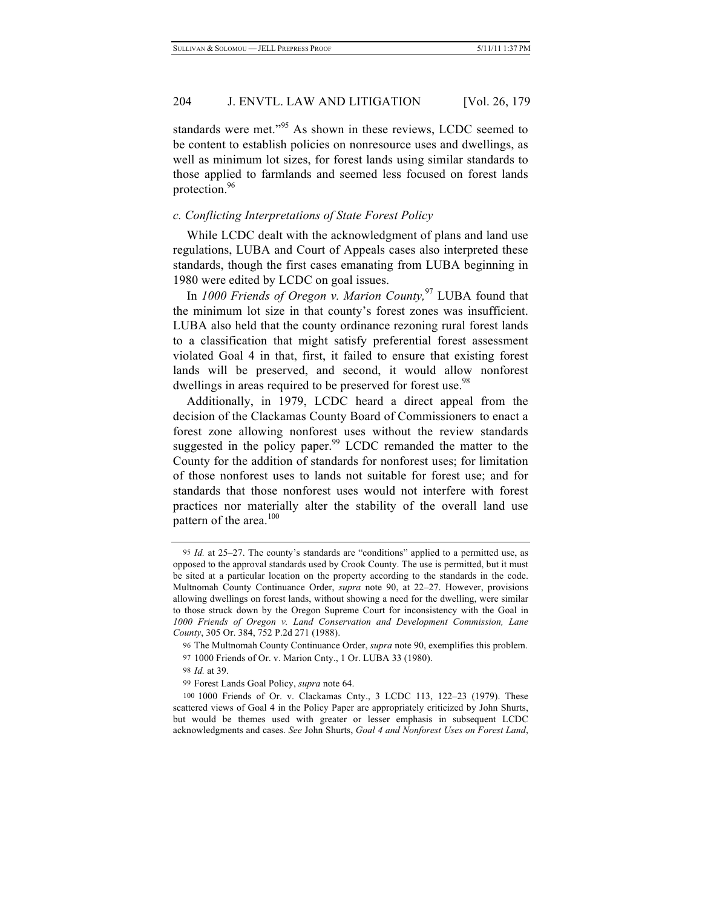standards were met."<sup>95</sup> As shown in these reviews, LCDC seemed to be content to establish policies on nonresource uses and dwellings, as well as minimum lot sizes, for forest lands using similar standards to those applied to farmlands and seemed less focused on forest lands protection.<sup>96</sup>

# *c. Conflicting Interpretations of State Forest Policy*

While LCDC dealt with the acknowledgment of plans and land use regulations, LUBA and Court of Appeals cases also interpreted these standards, though the first cases emanating from LUBA beginning in 1980 were edited by LCDC on goal issues.

In *1000 Friends of Oregon v. Marion County,*97 LUBA found that the minimum lot size in that county's forest zones was insufficient. LUBA also held that the county ordinance rezoning rural forest lands to a classification that might satisfy preferential forest assessment violated Goal 4 in that, first, it failed to ensure that existing forest lands will be preserved, and second, it would allow nonforest dwellings in areas required to be preserved for forest use.<sup>98</sup>

Additionally, in 1979, LCDC heard a direct appeal from the decision of the Clackamas County Board of Commissioners to enact a forest zone allowing nonforest uses without the review standards suggested in the policy paper. $99$  LCDC remanded the matter to the County for the addition of standards for nonforest uses; for limitation of those nonforest uses to lands not suitable for forest use; and for standards that those nonforest uses would not interfere with forest practices nor materially alter the stability of the overall land use pattern of the area. $100$ 

<sup>95</sup> *Id.* at 25–27. The county's standards are "conditions" applied to a permitted use, as opposed to the approval standards used by Crook County. The use is permitted, but it must be sited at a particular location on the property according to the standards in the code. Multnomah County Continuance Order, *supra* note 90, at 22–27. However, provisions allowing dwellings on forest lands, without showing a need for the dwelling, were similar to those struck down by the Oregon Supreme Court for inconsistency with the Goal in *1000 Friends of Oregon v. Land Conservation and Development Commission, Lane County*, 305 Or. 384, 752 P.2d 271 (1988).

<sup>96</sup> The Multnomah County Continuance Order, *supra* note 90, exemplifies this problem. 97 1000 Friends of Or. v. Marion Cnty., 1 Or. LUBA 33 (1980).

<sup>98</sup> *Id.* at 39.

<sup>99</sup> Forest Lands Goal Policy, *supra* note 64.

<sup>100</sup> 1000 Friends of Or. v. Clackamas Cnty., 3 LCDC 113, 122–23 (1979). These scattered views of Goal 4 in the Policy Paper are appropriately criticized by John Shurts, but would be themes used with greater or lesser emphasis in subsequent LCDC acknowledgments and cases. *See* John Shurts, *Goal 4 and Nonforest Uses on Forest Land*,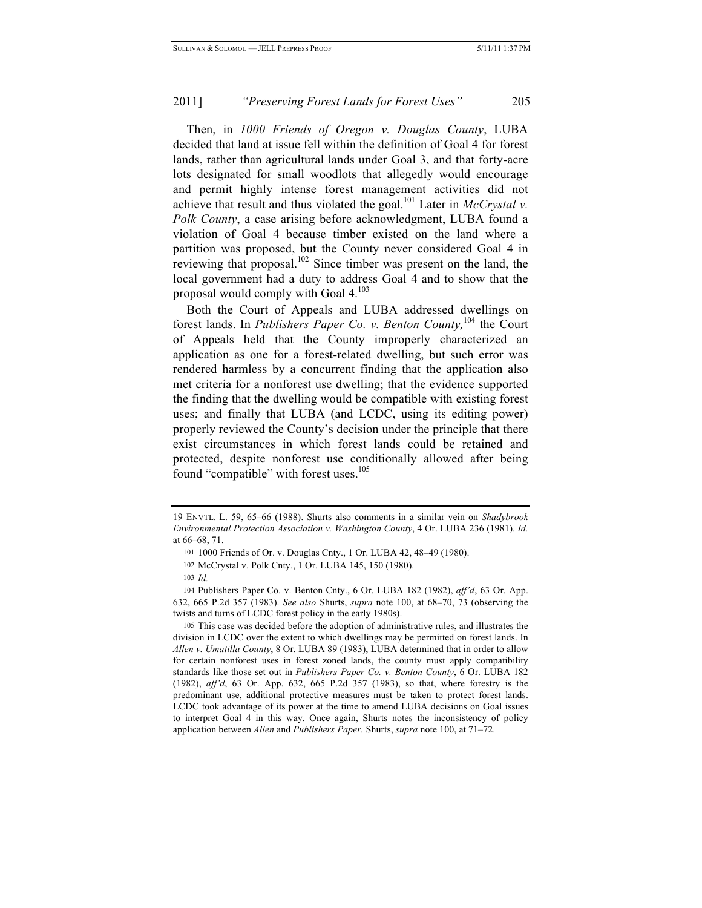Then, in *1000 Friends of Oregon v. Douglas County*, LUBA decided that land at issue fell within the definition of Goal 4 for forest lands, rather than agricultural lands under Goal 3, and that forty-acre lots designated for small woodlots that allegedly would encourage and permit highly intense forest management activities did not achieve that result and thus violated the goal.<sup>101</sup> Later in *McCrystal v. Polk County*, a case arising before acknowledgment, LUBA found a violation of Goal 4 because timber existed on the land where a partition was proposed, but the County never considered Goal 4 in reviewing that proposal.<sup>102</sup> Since timber was present on the land, the local government had a duty to address Goal 4 and to show that the proposal would comply with Goal  $4^{103}$ 

Both the Court of Appeals and LUBA addressed dwellings on forest lands. In *Publishers Paper Co. v. Benton County,*104 the Court of Appeals held that the County improperly characterized an application as one for a forest-related dwelling, but such error was rendered harmless by a concurrent finding that the application also met criteria for a nonforest use dwelling; that the evidence supported the finding that the dwelling would be compatible with existing forest uses; and finally that LUBA (and LCDC, using its editing power) properly reviewed the County's decision under the principle that there exist circumstances in which forest lands could be retained and protected, despite nonforest use conditionally allowed after being found "compatible" with forest uses.<sup>105</sup>

<sup>19</sup> ENVTL. L. 59, 65–66 (1988). Shurts also comments in a similar vein on *Shadybrook Environmental Protection Association v. Washington County*, 4 Or. LUBA 236 (1981). *Id.* at 66–68, 71.

<sup>101</sup> 1000 Friends of Or. v. Douglas Cnty., 1 Or. LUBA 42, 48–49 (1980).

<sup>102</sup> McCrystal v. Polk Cnty., 1 Or. LUBA 145, 150 (1980).

<sup>103</sup> *Id.*

<sup>104</sup> Publishers Paper Co. v. Benton Cnty., 6 Or. LUBA 182 (1982), *aff'd*, 63 Or. App. 632, 665 P.2d 357 (1983). *See also* Shurts, *supra* note 100, at 68–70, 73 (observing the twists and turns of LCDC forest policy in the early 1980s).

<sup>105</sup> This case was decided before the adoption of administrative rules, and illustrates the division in LCDC over the extent to which dwellings may be permitted on forest lands. In *Allen v. Umatilla County*, 8 Or. LUBA 89 (1983), LUBA determined that in order to allow for certain nonforest uses in forest zoned lands, the county must apply compatibility standards like those set out in *Publishers Paper Co. v. Benton County*, 6 Or. LUBA 182 (1982), *aff'd*, 63 Or. App. 632, 665 P.2d 357 (1983), so that, where forestry is the predominant use, additional protective measures must be taken to protect forest lands. LCDC took advantage of its power at the time to amend LUBA decisions on Goal issues to interpret Goal 4 in this way. Once again, Shurts notes the inconsistency of policy application between *Allen* and *Publishers Paper.* Shurts, *supra* note 100, at 71–72.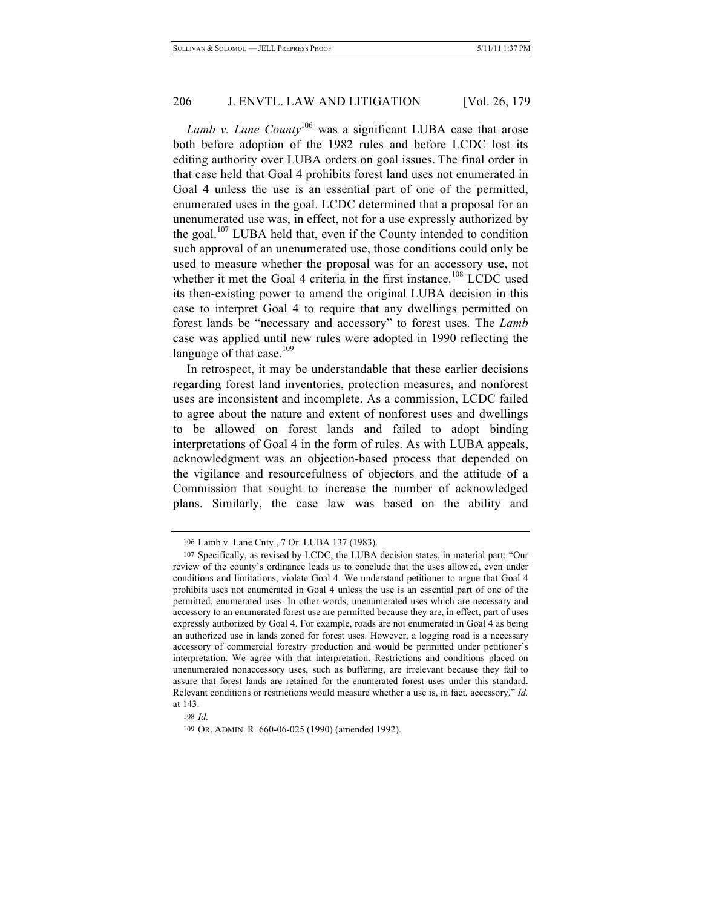*Lamb v. Lane County*<sup>106</sup> was a significant LUBA case that arose both before adoption of the 1982 rules and before LCDC lost its editing authority over LUBA orders on goal issues. The final order in that case held that Goal 4 prohibits forest land uses not enumerated in Goal 4 unless the use is an essential part of one of the permitted, enumerated uses in the goal. LCDC determined that a proposal for an unenumerated use was, in effect, not for a use expressly authorized by the goal.<sup>107</sup> LUBA held that, even if the County intended to condition such approval of an unenumerated use, those conditions could only be used to measure whether the proposal was for an accessory use, not whether it met the Goal 4 criteria in the first instance.<sup>108</sup> LCDC used its then-existing power to amend the original LUBA decision in this case to interpret Goal 4 to require that any dwellings permitted on forest lands be "necessary and accessory" to forest uses. The *Lamb* case was applied until new rules were adopted in 1990 reflecting the language of that case. $109$ 

In retrospect, it may be understandable that these earlier decisions regarding forest land inventories, protection measures, and nonforest uses are inconsistent and incomplete. As a commission, LCDC failed to agree about the nature and extent of nonforest uses and dwellings to be allowed on forest lands and failed to adopt binding interpretations of Goal 4 in the form of rules. As with LUBA appeals, acknowledgment was an objection-based process that depended on the vigilance and resourcefulness of objectors and the attitude of a Commission that sought to increase the number of acknowledged plans. Similarly, the case law was based on the ability and

<sup>106</sup> Lamb v. Lane Cnty., 7 Or. LUBA 137 (1983).

<sup>107</sup> Specifically, as revised by LCDC, the LUBA decision states, in material part: "Our review of the county's ordinance leads us to conclude that the uses allowed, even under conditions and limitations, violate Goal 4. We understand petitioner to argue that Goal 4 prohibits uses not enumerated in Goal 4 unless the use is an essential part of one of the permitted, enumerated uses. In other words, unenumerated uses which are necessary and accessory to an enumerated forest use are permitted because they are, in effect, part of uses expressly authorized by Goal 4. For example, roads are not enumerated in Goal 4 as being an authorized use in lands zoned for forest uses. However, a logging road is a necessary accessory of commercial forestry production and would be permitted under petitioner's interpretation. We agree with that interpretation. Restrictions and conditions placed on unenumerated nonaccessory uses, such as buffering, are irrelevant because they fail to assure that forest lands are retained for the enumerated forest uses under this standard. Relevant conditions or restrictions would measure whether a use is, in fact, accessory." *Id.* at 143.

<sup>108</sup> *Id.*

<sup>109</sup> OR. ADMIN. R. 660-06-025 (1990) (amended 1992).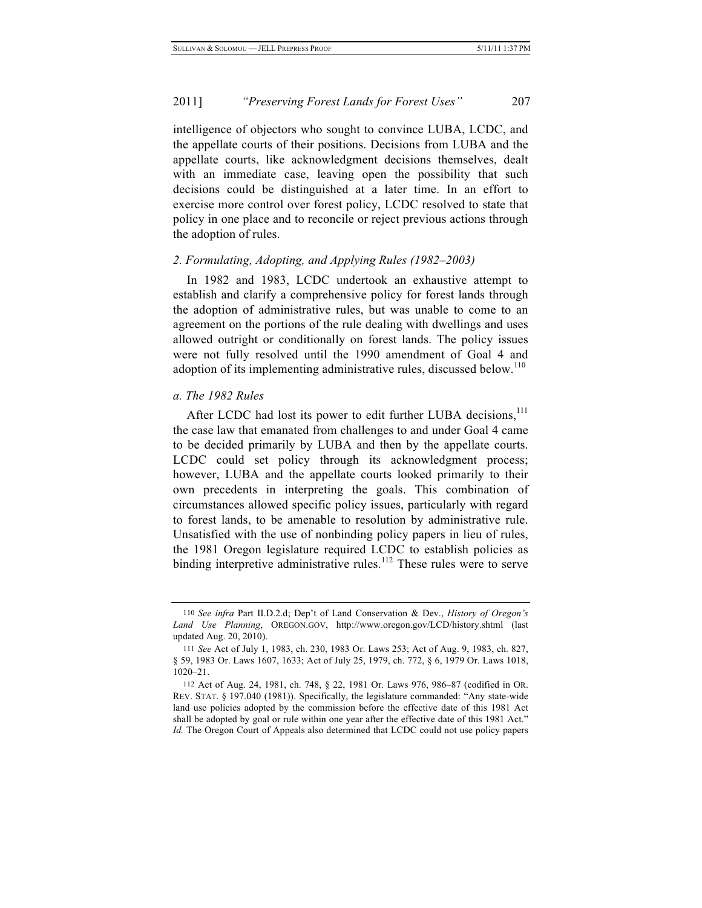intelligence of objectors who sought to convince LUBA, LCDC, and the appellate courts of their positions. Decisions from LUBA and the appellate courts, like acknowledgment decisions themselves, dealt with an immediate case, leaving open the possibility that such decisions could be distinguished at a later time. In an effort to exercise more control over forest policy, LCDC resolved to state that policy in one place and to reconcile or reject previous actions through the adoption of rules.

## *2. Formulating, Adopting, and Applying Rules (1982–2003)*

In 1982 and 1983, LCDC undertook an exhaustive attempt to establish and clarify a comprehensive policy for forest lands through the adoption of administrative rules, but was unable to come to an agreement on the portions of the rule dealing with dwellings and uses allowed outright or conditionally on forest lands. The policy issues were not fully resolved until the 1990 amendment of Goal 4 and adoption of its implementing administrative rules, discussed below.<sup>110</sup>

#### *a. The 1982 Rules*

After LCDC had lost its power to edit further LUBA decisions, $111$ the case law that emanated from challenges to and under Goal 4 came to be decided primarily by LUBA and then by the appellate courts. LCDC could set policy through its acknowledgment process; however, LUBA and the appellate courts looked primarily to their own precedents in interpreting the goals. This combination of circumstances allowed specific policy issues, particularly with regard to forest lands, to be amenable to resolution by administrative rule. Unsatisfied with the use of nonbinding policy papers in lieu of rules, the 1981 Oregon legislature required LCDC to establish policies as binding interpretive administrative rules.<sup>112</sup> These rules were to serve

<sup>110</sup> *See infra* Part II.D.2.d; Dep't of Land Conservation & Dev., *History of Oregon's Land Use Planning*, OREGON.GOV, http://www.oregon.gov/LCD/history.shtml (last updated Aug. 20, 2010).

<sup>111</sup> *See* Act of July 1, 1983, ch. 230, 1983 Or. Laws 253; Act of Aug. 9, 1983, ch. 827, § 59, 1983 Or. Laws 1607, 1633; Act of July 25, 1979, ch. 772, § 6, 1979 Or. Laws 1018, 1020–21.

<sup>112</sup> Act of Aug. 24, 1981, ch. 748, § 22, 1981 Or. Laws 976, 986–87 (codified in OR. REV. STAT. § 197.040 (1981)). Specifically, the legislature commanded: "Any state-wide land use policies adopted by the commission before the effective date of this 1981 Act shall be adopted by goal or rule within one year after the effective date of this 1981 Act." *Id.* The Oregon Court of Appeals also determined that LCDC could not use policy papers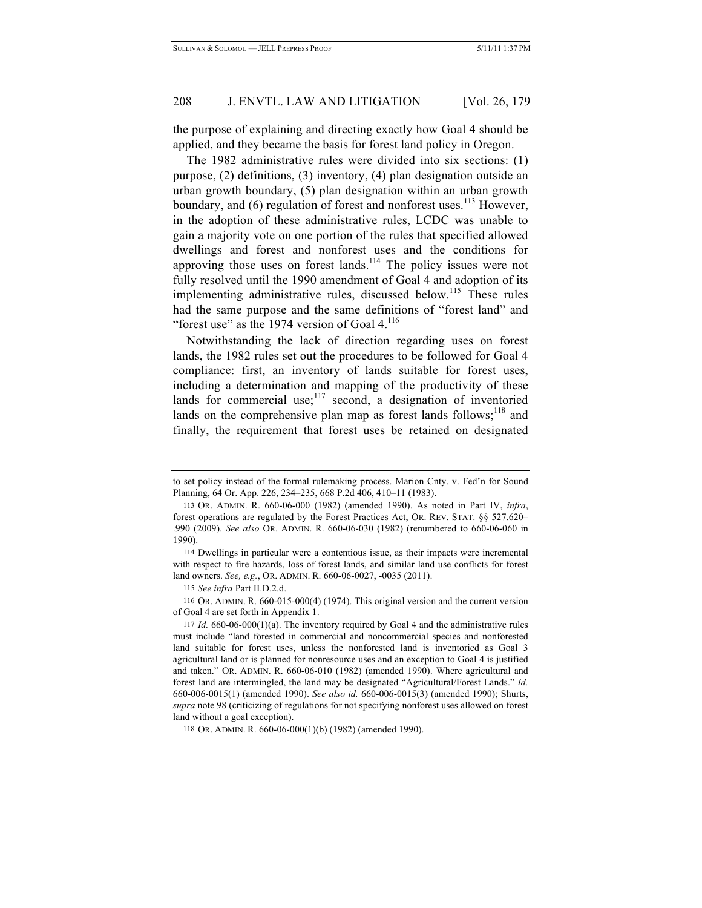the purpose of explaining and directing exactly how Goal 4 should be applied, and they became the basis for forest land policy in Oregon.

The 1982 administrative rules were divided into six sections: (1) purpose, (2) definitions, (3) inventory, (4) plan designation outside an urban growth boundary, (5) plan designation within an urban growth boundary, and  $(6)$  regulation of forest and nonforest uses.<sup>113</sup> However, in the adoption of these administrative rules, LCDC was unable to gain a majority vote on one portion of the rules that specified allowed dwellings and forest and nonforest uses and the conditions for approving those uses on forest lands.<sup>114</sup> The policy issues were not fully resolved until the 1990 amendment of Goal 4 and adoption of its implementing administrative rules, discussed below.<sup>115</sup> These rules had the same purpose and the same definitions of "forest land" and "forest use" as the 1974 version of Goal  $4.116$ 

Notwithstanding the lack of direction regarding uses on forest lands, the 1982 rules set out the procedures to be followed for Goal 4 compliance: first, an inventory of lands suitable for forest uses, including a determination and mapping of the productivity of these lands for commercial use; $117 \text{ second}$ , a designation of inventoried lands on the comprehensive plan map as forest lands follows; $^{118}$  and finally, the requirement that forest uses be retained on designated

115 *See infra* Part II.D.2.d.

116 OR. ADMIN. R. 660-015-000(4) (1974). This original version and the current version of Goal 4 are set forth in Appendix 1.

to set policy instead of the formal rulemaking process. Marion Cnty. v. Fed'n for Sound Planning, 64 Or. App. 226, 234–235, 668 P.2d 406, 410–11 (1983).

<sup>113</sup> OR. ADMIN. R. 660-06-000 (1982) (amended 1990). As noted in Part IV, *infra*, forest operations are regulated by the Forest Practices Act, OR. REV. STAT. §§ 527.620– .990 (2009). *See also* OR. ADMIN. R. 660-06-030 (1982) (renumbered to 660-06-060 in 1990).

<sup>114</sup> Dwellings in particular were a contentious issue, as their impacts were incremental with respect to fire hazards, loss of forest lands, and similar land use conflicts for forest land owners. *See, e.g.*, OR. ADMIN. R. 660-06-0027, -0035 (2011).

<sup>117</sup> *Id.* 660-06-000(1)(a). The inventory required by Goal 4 and the administrative rules must include "land forested in commercial and noncommercial species and nonforested land suitable for forest uses, unless the nonforested land is inventoried as Goal 3 agricultural land or is planned for nonresource uses and an exception to Goal 4 is justified and taken." OR. ADMIN. R. 660-06-010 (1982) (amended 1990). Where agricultural and forest land are intermingled, the land may be designated "Agricultural/Forest Lands." *Id.* 660-006-0015(1) (amended 1990). *See also id.* 660-006-0015(3) (amended 1990); Shurts, *supra* note 98 (criticizing of regulations for not specifying nonforest uses allowed on forest land without a goal exception).

<sup>118</sup> OR. ADMIN. R. 660-06-000(1)(b) (1982) (amended 1990).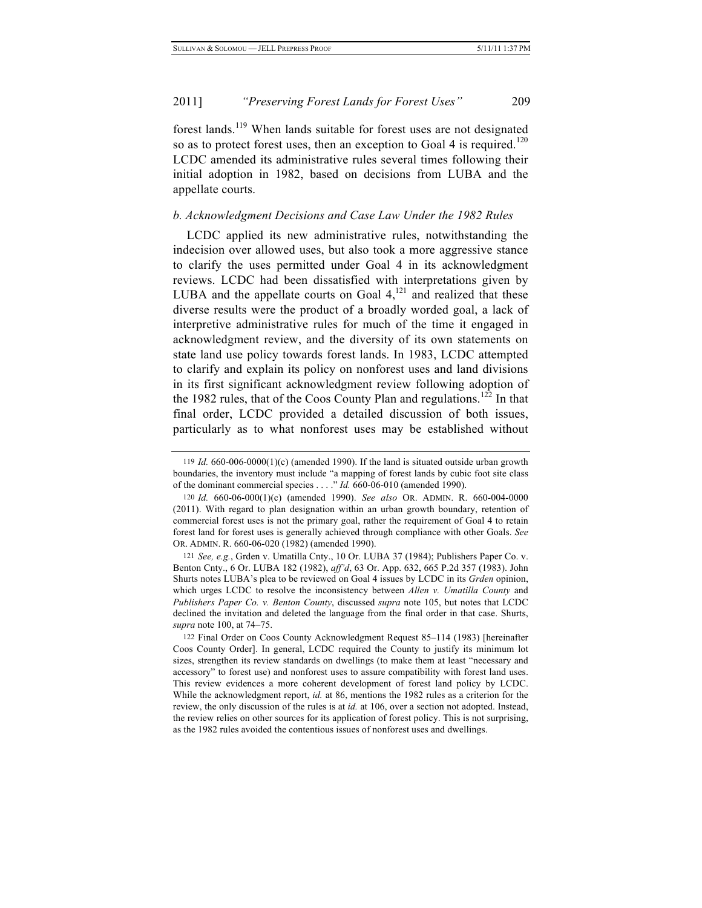forest lands.119 When lands suitable for forest uses are not designated so as to protect forest uses, then an exception to Goal 4 is required.<sup>120</sup> LCDC amended its administrative rules several times following their initial adoption in 1982, based on decisions from LUBA and the appellate courts.

# *b. Acknowledgment Decisions and Case Law Under the 1982 Rules*

LCDC applied its new administrative rules, notwithstanding the indecision over allowed uses, but also took a more aggressive stance to clarify the uses permitted under Goal 4 in its acknowledgment reviews. LCDC had been dissatisfied with interpretations given by LUBA and the appellate courts on Goal  $4,^{121}$  and realized that these diverse results were the product of a broadly worded goal, a lack of interpretive administrative rules for much of the time it engaged in acknowledgment review, and the diversity of its own statements on state land use policy towards forest lands. In 1983, LCDC attempted to clarify and explain its policy on nonforest uses and land divisions in its first significant acknowledgment review following adoption of the 1982 rules, that of the Coos County Plan and regulations.<sup>122</sup> In that final order, LCDC provided a detailed discussion of both issues, particularly as to what nonforest uses may be established without

<sup>119</sup> *Id.* 660-006-0000(1)(c) (amended 1990). If the land is situated outside urban growth boundaries, the inventory must include "a mapping of forest lands by cubic foot site class of the dominant commercial species . . . ." *Id.* 660-06-010 (amended 1990).

<sup>120</sup> *Id.* 660-06-000(1)(c) (amended 1990). *See also* OR. ADMIN. R. 660-004-0000 (2011). With regard to plan designation within an urban growth boundary, retention of commercial forest uses is not the primary goal, rather the requirement of Goal 4 to retain forest land for forest uses is generally achieved through compliance with other Goals. *See* OR. ADMIN. R. 660-06-020 (1982) (amended 1990).

<sup>121</sup> *See, e.g.*, Grden v. Umatilla Cnty., 10 Or. LUBA 37 (1984); Publishers Paper Co. v. Benton Cnty., 6 Or. LUBA 182 (1982), *aff'd*, 63 Or. App. 632, 665 P.2d 357 (1983). John Shurts notes LUBA's plea to be reviewed on Goal 4 issues by LCDC in its *Grden* opinion, which urges LCDC to resolve the inconsistency between *Allen v. Umatilla County* and *Publishers Paper Co. v. Benton County*, discussed *supra* note 105, but notes that LCDC declined the invitation and deleted the language from the final order in that case. Shurts, *supra* note 100, at 74–75.

<sup>122</sup> Final Order on Coos County Acknowledgment Request 85–114 (1983) [hereinafter Coos County Order]. In general, LCDC required the County to justify its minimum lot sizes, strengthen its review standards on dwellings (to make them at least "necessary and accessory" to forest use) and nonforest uses to assure compatibility with forest land uses. This review evidences a more coherent development of forest land policy by LCDC. While the acknowledgment report, *id.* at 86, mentions the 1982 rules as a criterion for the review, the only discussion of the rules is at *id.* at 106, over a section not adopted. Instead, the review relies on other sources for its application of forest policy. This is not surprising, as the 1982 rules avoided the contentious issues of nonforest uses and dwellings.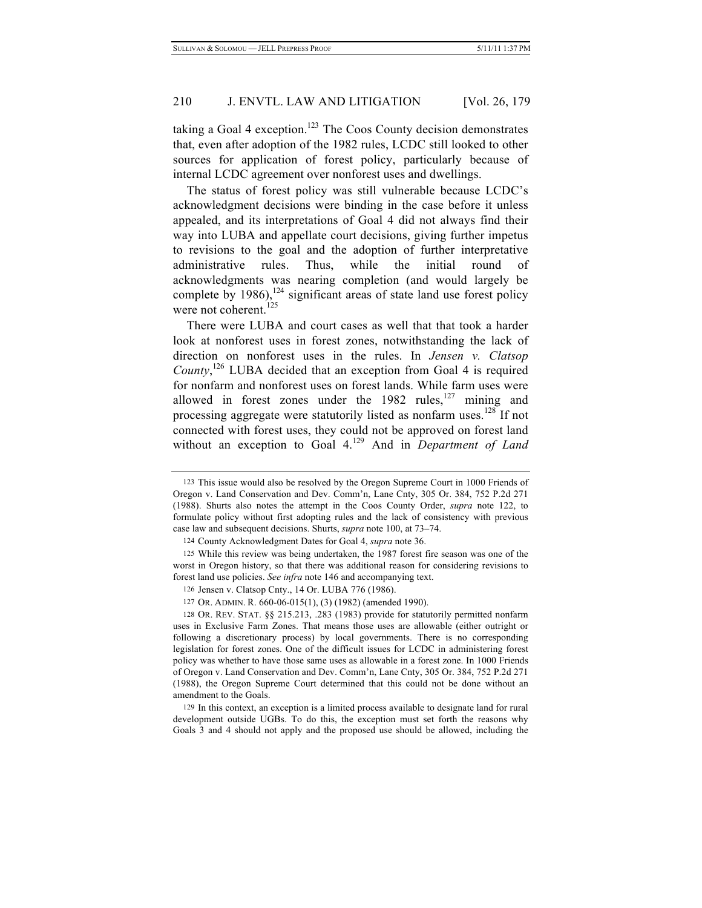taking a Goal 4 exception.<sup>123</sup> The Coos County decision demonstrates that, even after adoption of the 1982 rules, LCDC still looked to other sources for application of forest policy, particularly because of internal LCDC agreement over nonforest uses and dwellings.

The status of forest policy was still vulnerable because LCDC's acknowledgment decisions were binding in the case before it unless appealed, and its interpretations of Goal 4 did not always find their way into LUBA and appellate court decisions, giving further impetus to revisions to the goal and the adoption of further interpretative administrative rules. Thus, while the initial round of acknowledgments was nearing completion (and would largely be complete by  $1986$ ,<sup>124</sup> significant areas of state land use forest policy were not coherent.<sup>125</sup>

There were LUBA and court cases as well that that took a harder look at nonforest uses in forest zones, notwithstanding the lack of direction on nonforest uses in the rules. In *Jensen v. Clatsop*  County,<sup>126</sup> LUBA decided that an exception from Goal 4 is required for nonfarm and nonforest uses on forest lands. While farm uses were allowed in forest zones under the  $1982$  rules,<sup>127</sup> mining and processing aggregate were statutorily listed as nonfarm uses.<sup>128</sup> If not connected with forest uses, they could not be approved on forest land without an exception to Goal 4.<sup>129</sup> And in *Department of Land* 

<sup>123</sup> This issue would also be resolved by the Oregon Supreme Court in 1000 Friends of Oregon v. Land Conservation and Dev. Comm'n, Lane Cnty, 305 Or. 384, 752 P.2d 271 (1988). Shurts also notes the attempt in the Coos County Order, *supra* note 122, to formulate policy without first adopting rules and the lack of consistency with previous case law and subsequent decisions. Shurts, *supra* note 100, at 73–74.

<sup>124</sup> County Acknowledgment Dates for Goal 4, *supra* note 36.

<sup>125</sup> While this review was being undertaken, the 1987 forest fire season was one of the worst in Oregon history, so that there was additional reason for considering revisions to forest land use policies. *See infra* note 146 and accompanying text.

<sup>126</sup> Jensen v. Clatsop Cnty., 14 Or. LUBA 776 (1986).

<sup>127</sup> OR. ADMIN. R. 660-06-015(1), (3) (1982) (amended 1990).

<sup>128</sup> OR. REV. STAT. §§ 215.213, .283 (1983) provide for statutorily permitted nonfarm uses in Exclusive Farm Zones. That means those uses are allowable (either outright or following a discretionary process) by local governments. There is no corresponding legislation for forest zones. One of the difficult issues for LCDC in administering forest policy was whether to have those same uses as allowable in a forest zone. In 1000 Friends of Oregon v. Land Conservation and Dev. Comm'n, Lane Cnty, 305 Or. 384, 752 P.2d 271 (1988), the Oregon Supreme Court determined that this could not be done without an amendment to the Goals.

<sup>129</sup> In this context, an exception is a limited process available to designate land for rural development outside UGBs. To do this, the exception must set forth the reasons why Goals 3 and 4 should not apply and the proposed use should be allowed, including the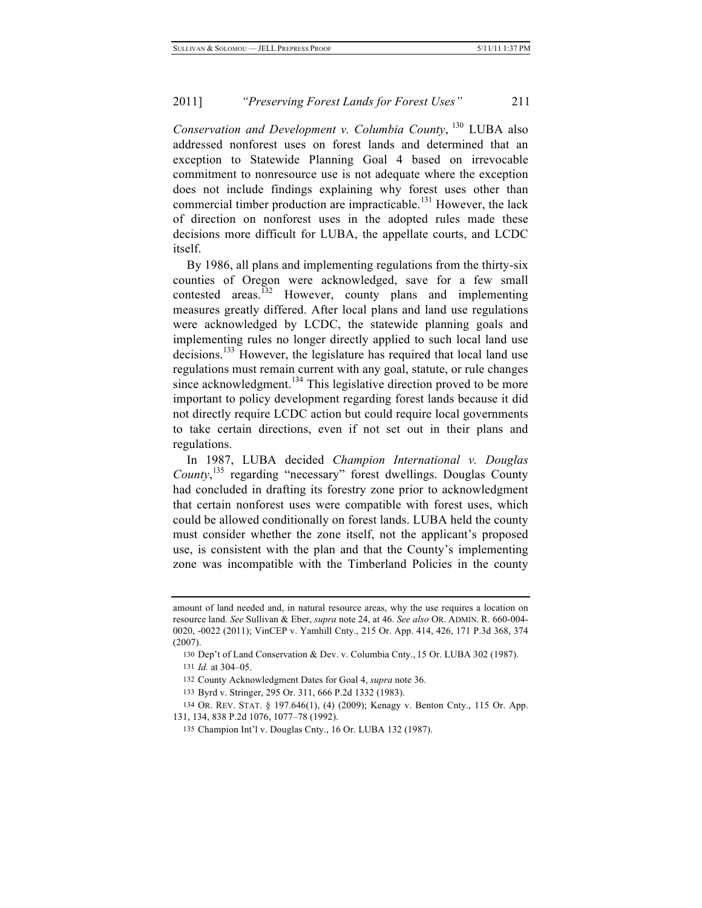*Conservation and Development v. Columbia County*, 130 LUBA also addressed nonforest uses on forest lands and determined that an exception to Statewide Planning Goal 4 based on irrevocable commitment to nonresource use is not adequate where the exception does not include findings explaining why forest uses other than commercial timber production are impracticable.<sup>131</sup> However, the lack of direction on nonforest uses in the adopted rules made these decisions more difficult for LUBA, the appellate courts, and LCDC itself.

By 1986, all plans and implementing regulations from the thirty-six counties of Oregon were acknowledged, save for a few small contested areas.<sup>132</sup> However, county plans and implementing measures greatly differed. After local plans and land use regulations were acknowledged by LCDC, the statewide planning goals and implementing rules no longer directly applied to such local land use decisions.<sup>133</sup> However, the legislature has required that local land use regulations must remain current with any goal, statute, or rule changes since acknowledgment.<sup>134</sup> This legislative direction proved to be more important to policy development regarding forest lands because it did not directly require LCDC action but could require local governments to take certain directions, even if not set out in their plans and regulations.

In 1987, LUBA decided *Champion International v. Douglas*  County,<sup>135</sup> regarding "necessary" forest dwellings. Douglas County had concluded in drafting its forestry zone prior to acknowledgment that certain nonforest uses were compatible with forest uses, which could be allowed conditionally on forest lands. LUBA held the county must consider whether the zone itself, not the applicant's proposed use, is consistent with the plan and that the County's implementing zone was incompatible with the Timberland Policies in the county

amount of land needed and, in natural resource areas, why the use requires a location on resource land. *See* Sullivan & Eber, *supra* note 24, at 46. *See also* OR. ADMIN. R. 660-004- 0020, -0022 (2011); VinCEP v. Yamhill Cnty., 215 Or. App. 414, 426, 171 P.3d 368, 374 (2007).

<sup>130</sup> Dep't of Land Conservation & Dev. v. Columbia Cnty., 15 Or. LUBA 302 (1987).

<sup>131</sup> *Id.* at 304–05.

<sup>132</sup> County Acknowledgment Dates for Goal 4, *supra* note 36.

<sup>133</sup> Byrd v. Stringer, 295 Or. 311, 666 P.2d 1332 (1983).

<sup>134</sup> OR. REV. STAT. § 197.646(1), (4) (2009); Kenagy v. Benton Cnty., 115 Or. App. 131, 134, 838 P.2d 1076, 1077–78 (1992).

<sup>135</sup> Champion Int'l v. Douglas Cnty., 16 Or. LUBA 132 (1987).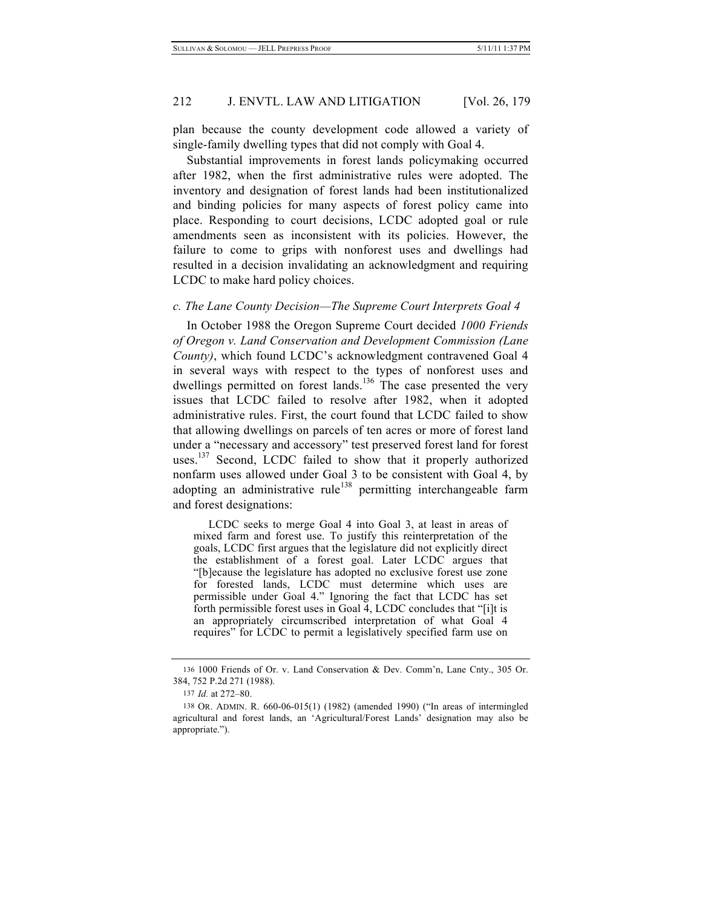plan because the county development code allowed a variety of single-family dwelling types that did not comply with Goal 4.

Substantial improvements in forest lands policymaking occurred after 1982, when the first administrative rules were adopted. The inventory and designation of forest lands had been institutionalized and binding policies for many aspects of forest policy came into place. Responding to court decisions, LCDC adopted goal or rule amendments seen as inconsistent with its policies. However, the failure to come to grips with nonforest uses and dwellings had resulted in a decision invalidating an acknowledgment and requiring LCDC to make hard policy choices.

#### *c. The Lane County Decision—The Supreme Court Interprets Goal 4*

In October 1988 the Oregon Supreme Court decided *1000 Friends of Oregon v. Land Conservation and Development Commission (Lane County)*, which found LCDC's acknowledgment contravened Goal 4 in several ways with respect to the types of nonforest uses and dwellings permitted on forest lands.<sup>136</sup> The case presented the very issues that LCDC failed to resolve after 1982, when it adopted administrative rules. First, the court found that LCDC failed to show that allowing dwellings on parcels of ten acres or more of forest land under a "necessary and accessory" test preserved forest land for forest uses.<sup>137</sup> Second, LCDC failed to show that it properly authorized nonfarm uses allowed under Goal 3 to be consistent with Goal 4, by adopting an administrative rule<sup>138</sup> permitting interchangeable farm and forest designations:

LCDC seeks to merge Goal 4 into Goal 3, at least in areas of mixed farm and forest use. To justify this reinterpretation of the goals, LCDC first argues that the legislature did not explicitly direct the establishment of a forest goal. Later LCDC argues that "[b]ecause the legislature has adopted no exclusive forest use zone for forested lands, LCDC must determine which uses are permissible under Goal 4." Ignoring the fact that LCDC has set forth permissible forest uses in Goal 4, LCDC concludes that "[i]t is an appropriately circumscribed interpretation of what Goal 4 requires" for LCDC to permit a legislatively specified farm use on

<sup>136</sup> 1000 Friends of Or. v. Land Conservation & Dev. Comm'n, Lane Cnty., 305 Or. 384, 752 P.2d 271 (1988).

<sup>137</sup> *Id.* at 272–80.

<sup>138</sup> OR. ADMIN. R. 660-06-015(1) (1982) (amended 1990) ("In areas of intermingled agricultural and forest lands, an 'Agricultural/Forest Lands' designation may also be appropriate.").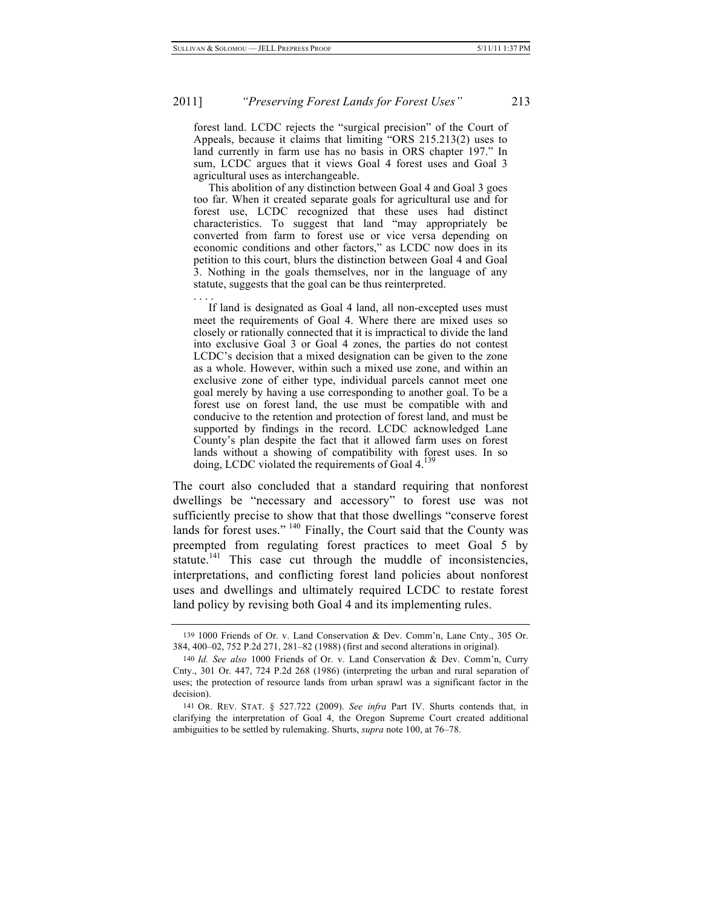. . . .

#### 2011] *"Preserving Forest Lands for Forest Uses"* 213

forest land. LCDC rejects the "surgical precision" of the Court of Appeals, because it claims that limiting "ORS 215.213(2) uses to land currently in farm use has no basis in ORS chapter 197." In sum, LCDC argues that it views Goal 4 forest uses and Goal 3 agricultural uses as interchangeable.

This abolition of any distinction between Goal 4 and Goal 3 goes too far. When it created separate goals for agricultural use and for forest use, LCDC recognized that these uses had distinct characteristics. To suggest that land "may appropriately be converted from farm to forest use or vice versa depending on economic conditions and other factors," as LCDC now does in its petition to this court, blurs the distinction between Goal 4 and Goal 3. Nothing in the goals themselves, nor in the language of any statute, suggests that the goal can be thus reinterpreted.

If land is designated as Goal 4 land, all non-excepted uses must meet the requirements of Goal 4. Where there are mixed uses so closely or rationally connected that it is impractical to divide the land into exclusive Goal 3 or Goal 4 zones, the parties do not contest LCDC's decision that a mixed designation can be given to the zone as a whole. However, within such a mixed use zone, and within an exclusive zone of either type, individual parcels cannot meet one goal merely by having a use corresponding to another goal. To be a forest use on forest land, the use must be compatible with and conducive to the retention and protection of forest land, and must be supported by findings in the record. LCDC acknowledged Lane County's plan despite the fact that it allowed farm uses on forest lands without a showing of compatibility with forest uses. In so doing, LCDC violated the requirements of Goal 4.

The court also concluded that a standard requiring that nonforest dwellings be "necessary and accessory" to forest use was not sufficiently precise to show that that those dwellings "conserve forest lands for forest uses." <sup>140</sup> Finally, the Court said that the County was preempted from regulating forest practices to meet Goal 5 by statute.<sup>141</sup> This case cut through the muddle of inconsistencies, interpretations, and conflicting forest land policies about nonforest uses and dwellings and ultimately required LCDC to restate forest land policy by revising both Goal 4 and its implementing rules.

<sup>139</sup> 1000 Friends of Or. v. Land Conservation & Dev. Comm'n, Lane Cnty., 305 Or. 384, 400–02, 752 P.2d 271, 281–82 (1988) (first and second alterations in original).

<sup>140</sup> *Id. See also* 1000 Friends of Or. v. Land Conservation & Dev. Comm'n, Curry Cnty., 301 Or. 447, 724 P.2d 268 (1986) (interpreting the urban and rural separation of uses; the protection of resource lands from urban sprawl was a significant factor in the decision).

<sup>141</sup> OR. REV. STAT. § 527.722 (2009). *See infra* Part IV. Shurts contends that, in clarifying the interpretation of Goal 4, the Oregon Supreme Court created additional ambiguities to be settled by rulemaking. Shurts, *supra* note 100, at 76–78.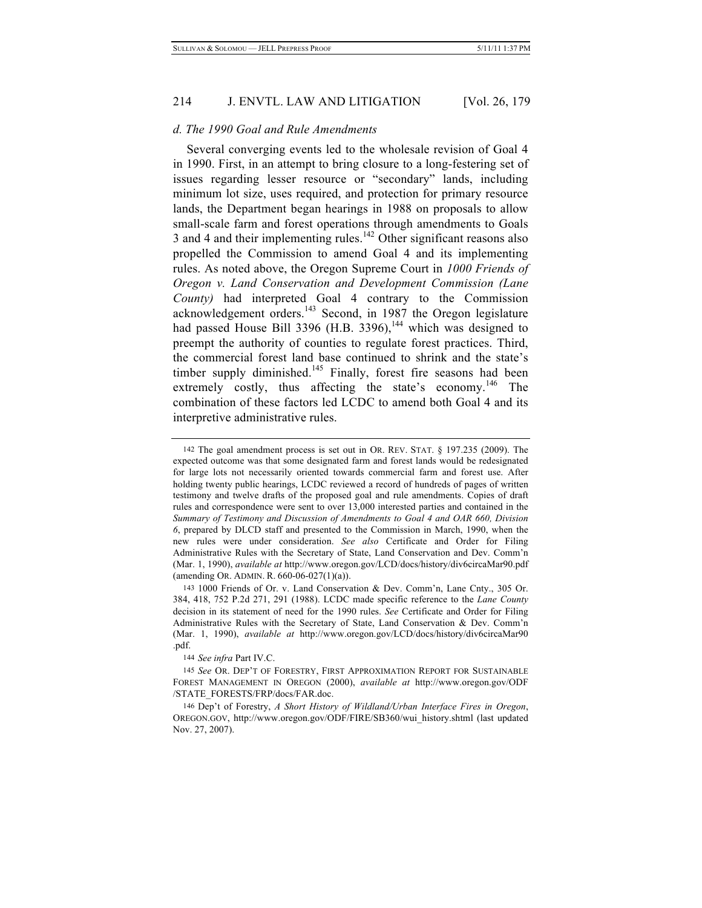#### *d. The 1990 Goal and Rule Amendments*

Several converging events led to the wholesale revision of Goal 4 in 1990. First, in an attempt to bring closure to a long-festering set of issues regarding lesser resource or "secondary" lands, including minimum lot size, uses required, and protection for primary resource lands, the Department began hearings in 1988 on proposals to allow small-scale farm and forest operations through amendments to Goals 3 and 4 and their implementing rules.<sup>142</sup> Other significant reasons also propelled the Commission to amend Goal 4 and its implementing rules. As noted above, the Oregon Supreme Court in *1000 Friends of Oregon v. Land Conservation and Development Commission (Lane County)* had interpreted Goal 4 contrary to the Commission acknowledgement orders.<sup>143</sup> Second, in 1987 the Oregon legislature had passed House Bill 3396 (H.B. 3396),<sup>144</sup> which was designed to preempt the authority of counties to regulate forest practices. Third, the commercial forest land base continued to shrink and the state's timber supply diminished.<sup>145</sup> Finally, forest fire seasons had been extremely costly, thus affecting the state's economy.<sup>146</sup> The combination of these factors led LCDC to amend both Goal 4 and its interpretive administrative rules.

144 *See infra* Part IV.C.

<sup>142</sup> The goal amendment process is set out in OR. REV. STAT. § 197.235 (2009). The expected outcome was that some designated farm and forest lands would be redesignated for large lots not necessarily oriented towards commercial farm and forest use. After holding twenty public hearings, LCDC reviewed a record of hundreds of pages of written testimony and twelve drafts of the proposed goal and rule amendments. Copies of draft rules and correspondence were sent to over 13,000 interested parties and contained in the *Summary of Testimony and Discussion of Amendments to Goal 4 and OAR 660, Division 6*, prepared by DLCD staff and presented to the Commission in March, 1990, when the new rules were under consideration. *See also* Certificate and Order for Filing Administrative Rules with the Secretary of State, Land Conservation and Dev. Comm'n (Mar. 1, 1990), *available at* http://www.oregon.gov/LCD/docs/history/div6circaMar90.pdf (amending OR. ADMIN. R. 660-06-027(1)(a)).

<sup>143</sup> 1000 Friends of Or. v. Land Conservation & Dev. Comm'n, Lane Cnty., 305 Or. 384, 418, 752 P.2d 271, 291 (1988). LCDC made specific reference to the *Lane County* decision in its statement of need for the 1990 rules. *See* Certificate and Order for Filing Administrative Rules with the Secretary of State, Land Conservation & Dev. Comm'n (Mar. 1, 1990), *available at* http://www.oregon.gov/LCD/docs/history/div6circaMar90 .pdf.

<sup>145</sup> *See* OR. DEP'T OF FORESTRY, FIRST APPROXIMATION REPORT FOR SUSTAINABLE FOREST MANAGEMENT IN OREGON (2000), *available at* http://www.oregon.gov/ODF /STATE\_FORESTS/FRP/docs/FAR.doc.

<sup>146</sup> Dep't of Forestry, *A Short History of Wildland/Urban Interface Fires in Oregon*, OREGON.GOV, http://www.oregon.gov/ODF/FIRE/SB360/wui\_history.shtml (last updated Nov. 27, 2007).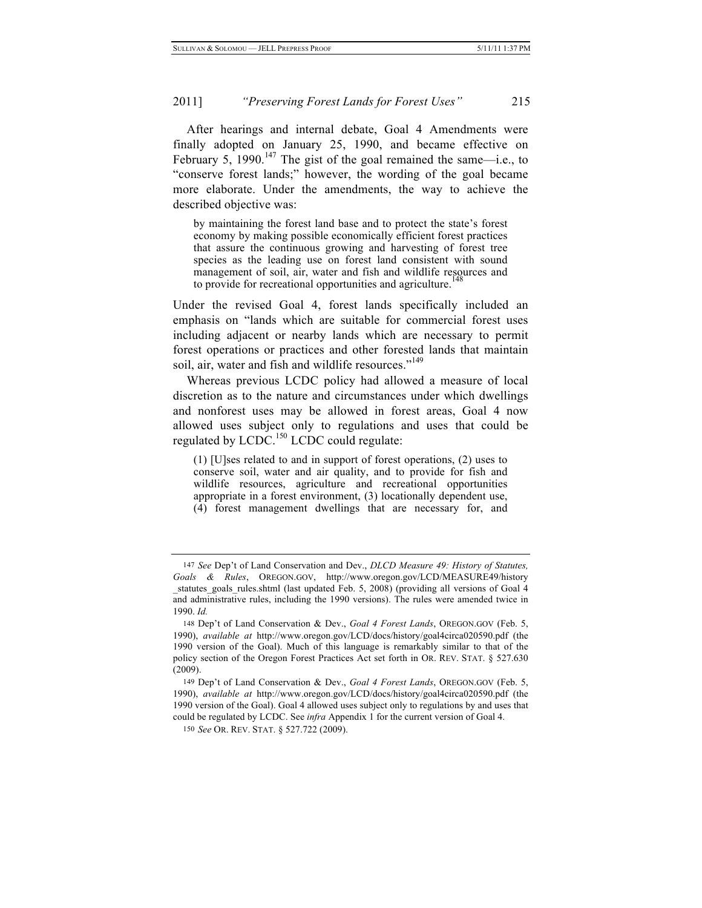After hearings and internal debate, Goal 4 Amendments were finally adopted on January 25, 1990, and became effective on February 5, 1990.<sup>147</sup> The gist of the goal remained the same—i.e., to "conserve forest lands;" however, the wording of the goal became more elaborate. Under the amendments, the way to achieve the described objective was:

by maintaining the forest land base and to protect the state's forest economy by making possible economically efficient forest practices that assure the continuous growing and harvesting of forest tree species as the leading use on forest land consistent with sound management of soil, air, water and fish and wildlife resources and to provide for recreational opportunities and agriculture.<sup>1</sup>

Under the revised Goal 4, forest lands specifically included an emphasis on "lands which are suitable for commercial forest uses including adjacent or nearby lands which are necessary to permit forest operations or practices and other forested lands that maintain soil, air, water and fish and wildlife resources."<sup>149</sup>

Whereas previous LCDC policy had allowed a measure of local discretion as to the nature and circumstances under which dwellings and nonforest uses may be allowed in forest areas, Goal 4 now allowed uses subject only to regulations and uses that could be regulated by  $LCDC<sup>150</sup> LCDC$  could regulate:

(1) [U]ses related to and in support of forest operations, (2) uses to conserve soil, water and air quality, and to provide for fish and wildlife resources, agriculture and recreational opportunities appropriate in a forest environment, (3) locationally dependent use, (4) forest management dwellings that are necessary for, and

<sup>147</sup> *See* Dep't of Land Conservation and Dev., *DLCD Measure 49: History of Statutes, Goals & Rules*, OREGON.GOV, http://www.oregon.gov/LCD/MEASURE49/history \_statutes\_goals\_rules.shtml (last updated Feb. 5, 2008) (providing all versions of Goal 4 and administrative rules, including the 1990 versions). The rules were amended twice in 1990. *Id.*

<sup>148</sup> Dep't of Land Conservation & Dev., *Goal 4 Forest Lands*, OREGON.GOV (Feb. 5, 1990), *available at* http://www.oregon.gov/LCD/docs/history/goal4circa020590.pdf (the 1990 version of the Goal). Much of this language is remarkably similar to that of the policy section of the Oregon Forest Practices Act set forth in OR. REV. STAT. § 527.630 (2009).

<sup>149</sup> Dep't of Land Conservation & Dev., *Goal 4 Forest Lands*, OREGON.GOV (Feb. 5, 1990), *available at* http://www.oregon.gov/LCD/docs/history/goal4circa020590.pdf (the 1990 version of the Goal). Goal 4 allowed uses subject only to regulations by and uses that could be regulated by LCDC. See *infra* Appendix 1 for the current version of Goal 4.

<sup>150</sup> *See* OR. REV. STAT. § 527.722 (2009).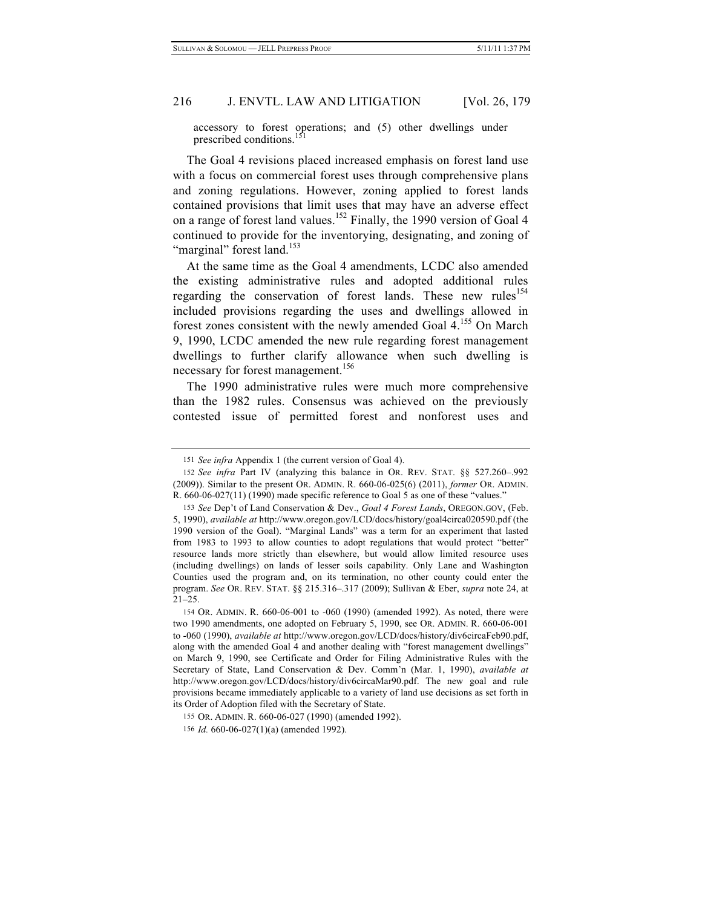accessory to forest operations; and  $(5)$  other dwellings under prescribed conditions.

The Goal 4 revisions placed increased emphasis on forest land use with a focus on commercial forest uses through comprehensive plans and zoning regulations. However, zoning applied to forest lands contained provisions that limit uses that may have an adverse effect on a range of forest land values.<sup>152</sup> Finally, the 1990 version of Goal 4 continued to provide for the inventorying, designating, and zoning of "marginal" forest land.<sup>153</sup>

At the same time as the Goal 4 amendments, LCDC also amended the existing administrative rules and adopted additional rules regarding the conservation of forest lands. These new rules<sup>154</sup> included provisions regarding the uses and dwellings allowed in forest zones consistent with the newly amended Goal  $4.155$  On March 9, 1990, LCDC amended the new rule regarding forest management dwellings to further clarify allowance when such dwelling is necessary for forest management.<sup>156</sup>

The 1990 administrative rules were much more comprehensive than the 1982 rules. Consensus was achieved on the previously contested issue of permitted forest and nonforest uses and

<sup>151</sup> *See infra* Appendix 1 (the current version of Goal 4).

<sup>152</sup> *See infra* Part IV (analyzing this balance in OR. REV. STAT. §§ 527.260–.992 (2009)). Similar to the present OR. ADMIN. R. 660-06-025(6) (2011), *former* OR. ADMIN. R. 660-06-027(11) (1990) made specific reference to Goal 5 as one of these "values."

<sup>153</sup> *See* Dep't of Land Conservation & Dev., *Goal 4 Forest Lands*, OREGON.GOV, (Feb. 5, 1990), *available at* http://www.oregon.gov/LCD/docs/history/goal4circa020590.pdf (the 1990 version of the Goal). "Marginal Lands" was a term for an experiment that lasted from 1983 to 1993 to allow counties to adopt regulations that would protect "better" resource lands more strictly than elsewhere, but would allow limited resource uses (including dwellings) on lands of lesser soils capability. Only Lane and Washington Counties used the program and, on its termination, no other county could enter the program. *See* OR. REV. STAT. §§ 215.316–.317 (2009); Sullivan & Eber, *supra* note 24, at 21–25.

<sup>154</sup> OR. ADMIN. R. 660-06-001 to -060 (1990) (amended 1992). As noted, there were two 1990 amendments, one adopted on February 5, 1990, see OR. ADMIN. R. 660-06-001 to -060 (1990), *available at* http://www.oregon.gov/LCD/docs/history/div6circaFeb90.pdf, along with the amended Goal 4 and another dealing with "forest management dwellings" on March 9, 1990, see Certificate and Order for Filing Administrative Rules with the Secretary of State, Land Conservation & Dev. Comm'n (Mar. 1, 1990), *available at* http://www.oregon.gov/LCD/docs/history/div6circaMar90.pdf. The new goal and rule provisions became immediately applicable to a variety of land use decisions as set forth in its Order of Adoption filed with the Secretary of State.

<sup>155</sup> OR. ADMIN. R. 660-06-027 (1990) (amended 1992).

<sup>156</sup> *Id.* 660-06-027(1)(a) (amended 1992).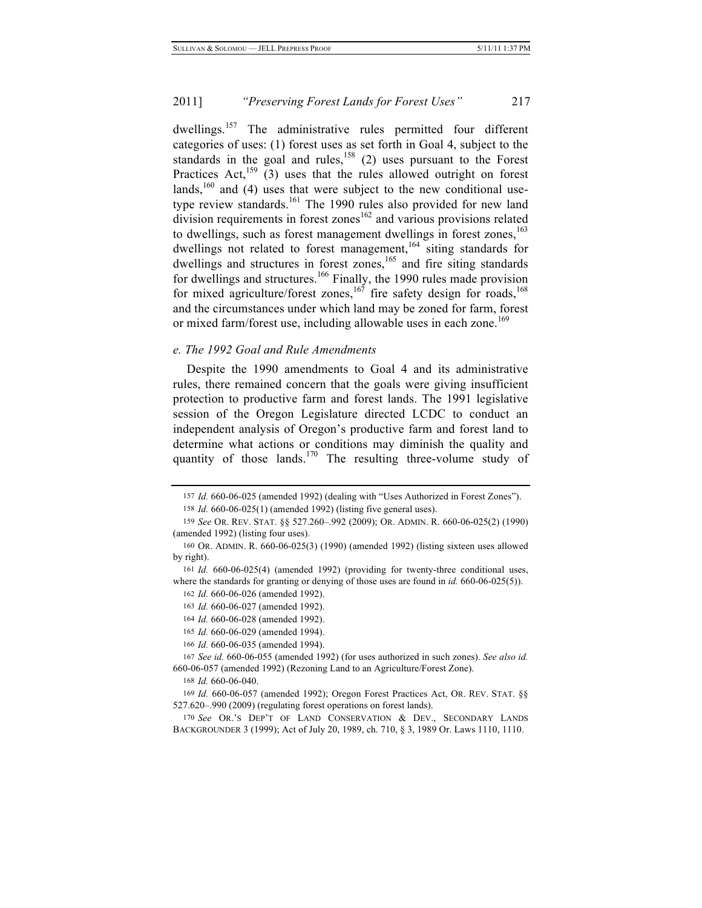dwellings.<sup>157</sup> The administrative rules permitted four different categories of uses: (1) forest uses as set forth in Goal 4, subject to the standards in the goal and rules,<sup>158</sup> (2) uses pursuant to the Forest Practices Act,  $159$  (3) uses that the rules allowed outright on forest lands, $160$  and (4) uses that were subject to the new conditional usetype review standards.<sup>161</sup> The 1990 rules also provided for new land  $division$  requirements in forest zones<sup>162</sup> and various provisions related to dwellings, such as forest management dwellings in forest zones,  $^{163}$ dwellings not related to forest management,<sup>164</sup> siting standards for dwellings and structures in forest zones,  $165$  and fire siting standards for dwellings and structures.<sup>166</sup> Finally, the 1990 rules made provision for mixed agriculture/forest zones,<sup>167</sup> fire safety design for roads,<sup>168</sup> and the circumstances under which land may be zoned for farm, forest or mixed farm/forest use, including allowable uses in each zone.<sup>169</sup>

### *e. The 1992 Goal and Rule Amendments*

Despite the 1990 amendments to Goal 4 and its administrative rules, there remained concern that the goals were giving insufficient protection to productive farm and forest lands. The 1991 legislative session of the Oregon Legislature directed LCDC to conduct an independent analysis of Oregon's productive farm and forest land to determine what actions or conditions may diminish the quality and quantity of those lands.<sup>170</sup> The resulting three-volume study of

<sup>157</sup> *Id.* 660-06-025 (amended 1992) (dealing with "Uses Authorized in Forest Zones").

<sup>158</sup> *Id.* 660-06-025(1) (amended 1992) (listing five general uses).

<sup>159</sup> *See* OR. REV. STAT. §§ 527.260–.992 (2009); OR. ADMIN. R. 660-06-025(2) (1990) (amended 1992) (listing four uses).

<sup>160</sup> OR. ADMIN. R. 660-06-025(3) (1990) (amended 1992) (listing sixteen uses allowed by right).

<sup>161</sup> *Id.* 660-06-025(4) (amended 1992) (providing for twenty-three conditional uses, where the standards for granting or denying of those uses are found in *id.* 660-06-025(5)).

<sup>162</sup> *Id.* 660-06-026 (amended 1992).

<sup>163</sup> *Id.* 660-06-027 (amended 1992).

<sup>164</sup> *Id.* 660-06-028 (amended 1992).

<sup>165</sup> *Id.* 660-06-029 (amended 1994).

<sup>166</sup> *Id.* 660-06-035 (amended 1994).

<sup>167</sup> *See id.* 660-06-055 (amended 1992) (for uses authorized in such zones). *See also id.* 660-06-057 (amended 1992) (Rezoning Land to an Agriculture/Forest Zone).

<sup>168</sup> *Id.* 660-06-040.

<sup>169</sup> *Id.* 660-06-057 (amended 1992); Oregon Forest Practices Act, OR. REV. STAT. §§ 527.620–.990 (2009) (regulating forest operations on forest lands).

<sup>170</sup> *See* OR.'S DEP'T OF LAND CONSERVATION & DEV., SECONDARY LANDS BACKGROUNDER 3 (1999); Act of July 20, 1989, ch. 710, § 3, 1989 Or. Laws 1110, 1110.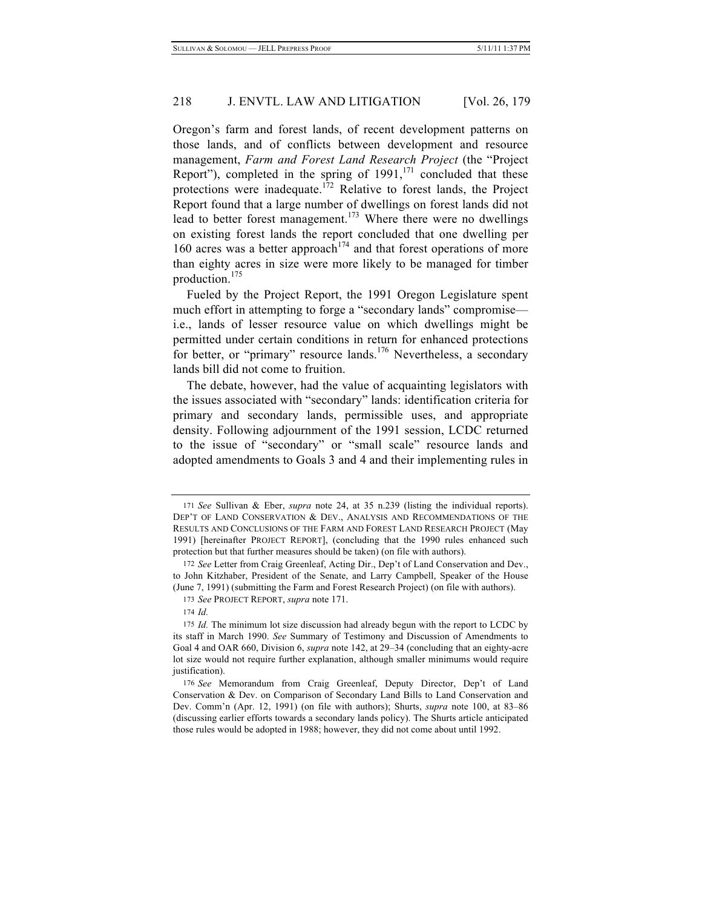Oregon's farm and forest lands, of recent development patterns on those lands, and of conflicts between development and resource management, *Farm and Forest Land Research Project* (the "Project Report"), completed in the spring of  $1991$ ,  $^{171}$  concluded that these protections were inadequate.<sup>172</sup> Relative to forest lands, the Project Report found that a large number of dwellings on forest lands did not lead to better forest management.<sup>173</sup> Where there were no dwellings on existing forest lands the report concluded that one dwelling per 160 acres was a better approach<sup>174</sup> and that forest operations of more than eighty acres in size were more likely to be managed for timber production.<sup>175</sup>

Fueled by the Project Report, the 1991 Oregon Legislature spent much effort in attempting to forge a "secondary lands" compromise i.e., lands of lesser resource value on which dwellings might be permitted under certain conditions in return for enhanced protections for better, or "primary" resource lands.<sup>176</sup> Nevertheless, a secondary lands bill did not come to fruition.

The debate, however, had the value of acquainting legislators with the issues associated with "secondary" lands: identification criteria for primary and secondary lands, permissible uses, and appropriate density. Following adjournment of the 1991 session, LCDC returned to the issue of "secondary" or "small scale" resource lands and adopted amendments to Goals 3 and 4 and their implementing rules in

<sup>171</sup> *See* Sullivan & Eber, *supra* note 24, at 35 n.239 (listing the individual reports). DEP'T OF LAND CONSERVATION & DEV., ANALYSIS AND RECOMMENDATIONS OF THE RESULTS AND CONCLUSIONS OF THE FARM AND FOREST LAND RESEARCH PROJECT (May 1991) [hereinafter PROJECT REPORT], (concluding that the 1990 rules enhanced such protection but that further measures should be taken) (on file with authors).

<sup>172</sup> *See* Letter from Craig Greenleaf, Acting Dir., Dep't of Land Conservation and Dev., to John Kitzhaber, President of the Senate, and Larry Campbell, Speaker of the House (June 7, 1991) (submitting the Farm and Forest Research Project) (on file with authors).

<sup>173</sup> *See* PROJECT REPORT, *supra* note 171.

<sup>174</sup> *Id.*

<sup>175</sup> *Id.* The minimum lot size discussion had already begun with the report to LCDC by its staff in March 1990. *See* Summary of Testimony and Discussion of Amendments to Goal 4 and OAR 660, Division 6, *supra* note 142, at 29–34 (concluding that an eighty-acre lot size would not require further explanation, although smaller minimums would require justification).

<sup>176</sup> *See* Memorandum from Craig Greenleaf, Deputy Director, Dep't of Land Conservation & Dev. on Comparison of Secondary Land Bills to Land Conservation and Dev. Comm'n (Apr. 12, 1991) (on file with authors); Shurts, *supra* note 100, at 83–86 (discussing earlier efforts towards a secondary lands policy). The Shurts article anticipated those rules would be adopted in 1988; however, they did not come about until 1992.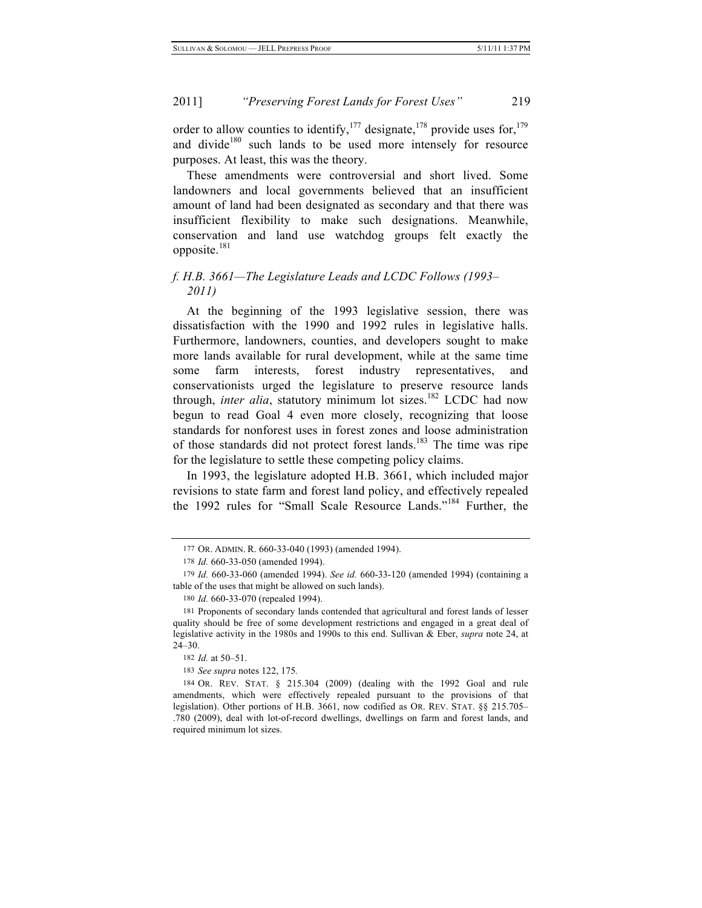order to allow counties to identify,  $177$  designate,  $178$  provide uses for,  $179$ and divide<sup>180</sup> such lands to be used more intensely for resource purposes. At least, this was the theory.

These amendments were controversial and short lived. Some landowners and local governments believed that an insufficient amount of land had been designated as secondary and that there was insufficient flexibility to make such designations. Meanwhile, conservation and land use watchdog groups felt exactly the opposite.<sup>181</sup>

# *f. H.B. 3661—The Legislature Leads and LCDC Follows (1993– 2011)*

At the beginning of the 1993 legislative session, there was dissatisfaction with the 1990 and 1992 rules in legislative halls. Furthermore, landowners, counties, and developers sought to make more lands available for rural development, while at the same time some farm interests, forest industry representatives, and conservationists urged the legislature to preserve resource lands through, *inter alia*, statutory minimum lot sizes.<sup>182</sup> LCDC had now begun to read Goal 4 even more closely, recognizing that loose standards for nonforest uses in forest zones and loose administration of those standards did not protect forest lands.<sup>183</sup> The time was ripe for the legislature to settle these competing policy claims.

In 1993, the legislature adopted H.B. 3661, which included major revisions to state farm and forest land policy, and effectively repealed the 1992 rules for "Small Scale Resource Lands."184 Further, the

<sup>177</sup> OR. ADMIN. R. 660-33-040 (1993) (amended 1994).

<sup>178</sup> *Id.* 660-33-050 (amended 1994).

<sup>179</sup> *Id.* 660-33-060 (amended 1994). *See id.* 660-33-120 (amended 1994) (containing a table of the uses that might be allowed on such lands).

<sup>180</sup> *Id.* 660-33-070 (repealed 1994).

<sup>181</sup> Proponents of secondary lands contended that agricultural and forest lands of lesser quality should be free of some development restrictions and engaged in a great deal of legislative activity in the 1980s and 1990s to this end. Sullivan & Eber, *supra* note 24, at 24–30.

<sup>182</sup> *Id.* at 50–51.

<sup>183</sup> *See supra* notes 122, 175*.*

<sup>184</sup> OR. REV. STAT. § 215.304 (2009) (dealing with the 1992 Goal and rule amendments, which were effectively repealed pursuant to the provisions of that legislation). Other portions of H.B. 3661, now codified as OR. REV. STAT. §§ 215.705– .780 (2009), deal with lot-of-record dwellings, dwellings on farm and forest lands, and required minimum lot sizes.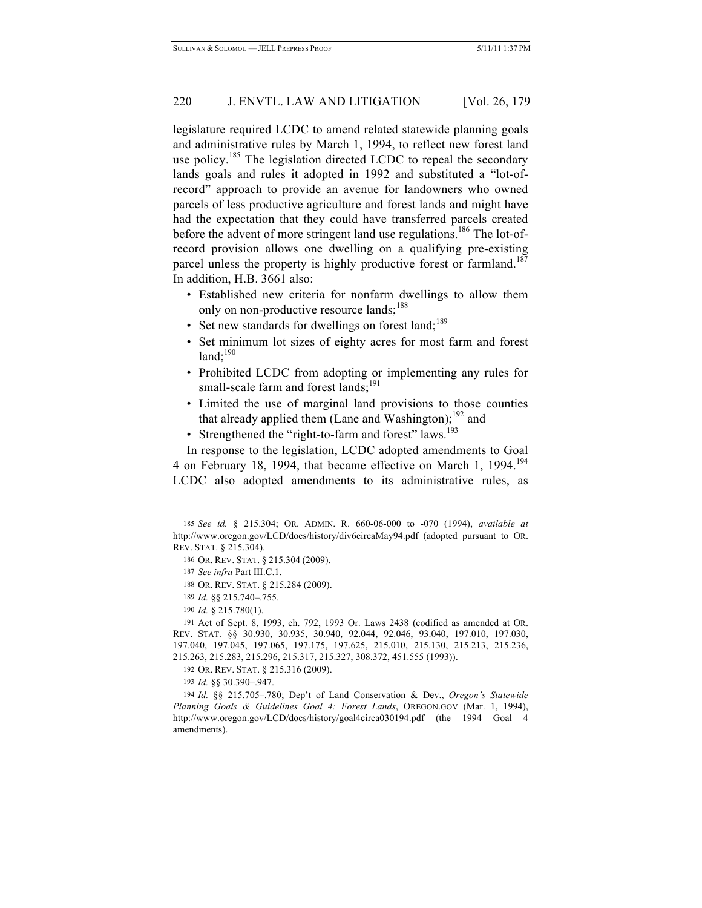legislature required LCDC to amend related statewide planning goals and administrative rules by March 1, 1994, to reflect new forest land use policy.<sup>185</sup> The legislation directed LCDC to repeal the secondary lands goals and rules it adopted in 1992 and substituted a "lot-ofrecord" approach to provide an avenue for landowners who owned parcels of less productive agriculture and forest lands and might have had the expectation that they could have transferred parcels created before the advent of more stringent land use regulations.<sup>186</sup> The lot-ofrecord provision allows one dwelling on a qualifying pre-existing parcel unless the property is highly productive forest or farmland.<sup>187</sup> In addition, H.B. 3661 also:

- Established new criteria for nonfarm dwellings to allow them only on non-productive resource lands;<sup>188</sup>
- Set new standards for dwellings on forest land;<sup>189</sup>
- Set minimum lot sizes of eighty acres for most farm and forest  $land; ^{190}$
- Prohibited LCDC from adopting or implementing any rules for small-scale farm and forest lands;<sup>191</sup>
- Limited the use of marginal land provisions to those counties that already applied them (Lane and Washington); $192$  and
- Strengthened the "right-to-farm and forest" laws.<sup>193</sup>

In response to the legislation, LCDC adopted amendments to Goal 4 on February 18, 1994, that became effective on March 1, 1994.<sup>194</sup> LCDC also adopted amendments to its administrative rules, as

191 Act of Sept. 8, 1993, ch. 792, 1993 Or. Laws 2438 (codified as amended at OR. REV. STAT. §§ 30.930, 30.935, 30.940, 92.044, 92.046, 93.040, 197.010, 197.030, 197.040, 197.045, 197.065, 197.175, 197.625, 215.010, 215.130, 215.213, 215.236, 215.263, 215.283, 215.296, 215.317, 215.327, 308.372, 451.555 (1993)).

192 OR. REV. STAT. § 215.316 (2009).

193 *Id.* §§ 30.390–.947.

194 *Id.* §§ 215.705–.780; Dep't of Land Conservation & Dev., *Oregon's Statewide Planning Goals & Guidelines Goal 4: Forest Lands*, OREGON.GOV (Mar. 1, 1994), http://www.oregon.gov/LCD/docs/history/goal4circa030194.pdf (the 1994 Goal 4 amendments).

<sup>185</sup> *See id.* § 215.304; OR. ADMIN. R. 660-06-000 to -070 (1994), *available at* http://www.oregon.gov/LCD/docs/history/div6circaMay94.pdf (adopted pursuant to OR. REV. STAT. § 215.304).

<sup>186</sup> OR. REV. STAT. § 215.304 (2009).

<sup>187</sup> *See infra* Part III.C.1.

<sup>188</sup> OR. REV. STAT. § 215.284 (2009).

<sup>189</sup> *Id.* §§ 215.740–.755.

<sup>190</sup> *Id.* § 215.780(1).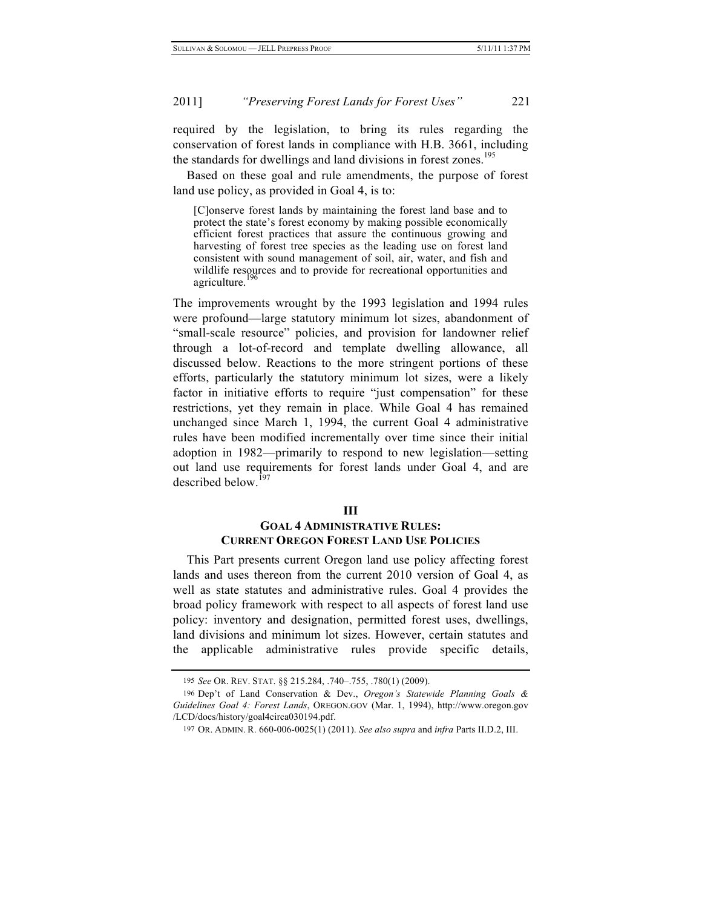required by the legislation, to bring its rules regarding the conservation of forest lands in compliance with H.B. 3661, including the standards for dwellings and land divisions in forest zones.<sup>195</sup>

Based on these goal and rule amendments, the purpose of forest land use policy, as provided in Goal 4, is to:

[C]onserve forest lands by maintaining the forest land base and to protect the state's forest economy by making possible economically efficient forest practices that assure the continuous growing and harvesting of forest tree species as the leading use on forest land consistent with sound management of soil, air, water, and fish and wildlife resources and to provide for recreational opportunities and agriculture.

The improvements wrought by the 1993 legislation and 1994 rules were profound—large statutory minimum lot sizes, abandonment of "small-scale resource" policies, and provision for landowner relief through a lot-of-record and template dwelling allowance, all discussed below. Reactions to the more stringent portions of these efforts, particularly the statutory minimum lot sizes, were a likely factor in initiative efforts to require "just compensation" for these restrictions, yet they remain in place. While Goal 4 has remained unchanged since March 1, 1994, the current Goal 4 administrative rules have been modified incrementally over time since their initial adoption in 1982—primarily to respond to new legislation—setting out land use requirements for forest lands under Goal 4, and are described below <sup>197</sup>

#### **III**

## **GOAL 4 ADMINISTRATIVE RULES: CURRENT OREGON FOREST LAND USE POLICIES**

This Part presents current Oregon land use policy affecting forest lands and uses thereon from the current 2010 version of Goal 4, as well as state statutes and administrative rules. Goal 4 provides the broad policy framework with respect to all aspects of forest land use policy: inventory and designation, permitted forest uses, dwellings, land divisions and minimum lot sizes. However, certain statutes and the applicable administrative rules provide specific details,

<sup>195</sup> *See* OR. REV. STAT. §§ 215.284, .740–.755, .780(1) (2009).

<sup>196</sup> Dep't of Land Conservation & Dev., *Oregon's Statewide Planning Goals & Guidelines Goal 4: Forest Lands*, OREGON.GOV (Mar. 1, 1994), http://www.oregon.gov /LCD/docs/history/goal4circa030194.pdf.

<sup>197</sup> OR. ADMIN. R. 660-006-0025(1) (2011). *See also supra* and *infra* Parts II.D.2, III.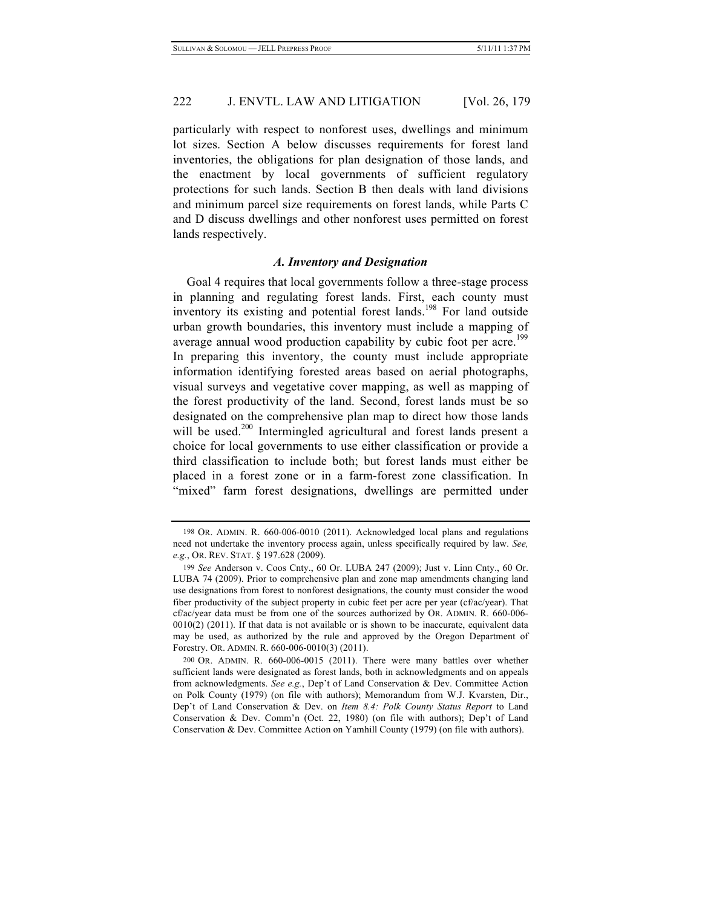particularly with respect to nonforest uses, dwellings and minimum lot sizes. Section A below discusses requirements for forest land inventories, the obligations for plan designation of those lands, and the enactment by local governments of sufficient regulatory protections for such lands. Section B then deals with land divisions and minimum parcel size requirements on forest lands, while Parts C and D discuss dwellings and other nonforest uses permitted on forest lands respectively.

#### *A. Inventory and Designation*

Goal 4 requires that local governments follow a three-stage process in planning and regulating forest lands. First, each county must inventory its existing and potential forest lands. 198 For land outside urban growth boundaries, this inventory must include a mapping of average annual wood production capability by cubic foot per acre.<sup>199</sup> In preparing this inventory, the county must include appropriate information identifying forested areas based on aerial photographs, visual surveys and vegetative cover mapping, as well as mapping of the forest productivity of the land. Second, forest lands must be so designated on the comprehensive plan map to direct how those lands will be used.<sup>200</sup> Intermingled agricultural and forest lands present a choice for local governments to use either classification or provide a third classification to include both; but forest lands must either be placed in a forest zone or in a farm-forest zone classification. In "mixed" farm forest designations, dwellings are permitted under

<sup>198</sup> OR. ADMIN. R. 660-006-0010 (2011). Acknowledged local plans and regulations need not undertake the inventory process again, unless specifically required by law. *See, e.g.*, OR. REV. STAT. § 197.628 (2009).

<sup>199</sup> *See* Anderson v. Coos Cnty., 60 Or. LUBA 247 (2009); Just v. Linn Cnty., 60 Or. LUBA 74 (2009). Prior to comprehensive plan and zone map amendments changing land use designations from forest to nonforest designations, the county must consider the wood fiber productivity of the subject property in cubic feet per acre per year (cf/ac/year). That cf/ac/year data must be from one of the sources authorized by OR. ADMIN. R. 660-006- 0010(2) (2011). If that data is not available or is shown to be inaccurate, equivalent data may be used, as authorized by the rule and approved by the Oregon Department of Forestry. OR. ADMIN. R. 660-006-0010(3) (2011).

<sup>200</sup> OR. ADMIN. R. 660-006-0015 (2011). There were many battles over whether sufficient lands were designated as forest lands, both in acknowledgments and on appeals from acknowledgments. *See e.g.*, Dep't of Land Conservation & Dev. Committee Action on Polk County (1979) (on file with authors); Memorandum from W.J. Kvarsten, Dir., Dep't of Land Conservation & Dev. on *Item 8.4: Polk County Status Report* to Land Conservation & Dev. Comm'n (Oct. 22, 1980) (on file with authors); Dep't of Land Conservation & Dev. Committee Action on Yamhill County (1979) (on file with authors).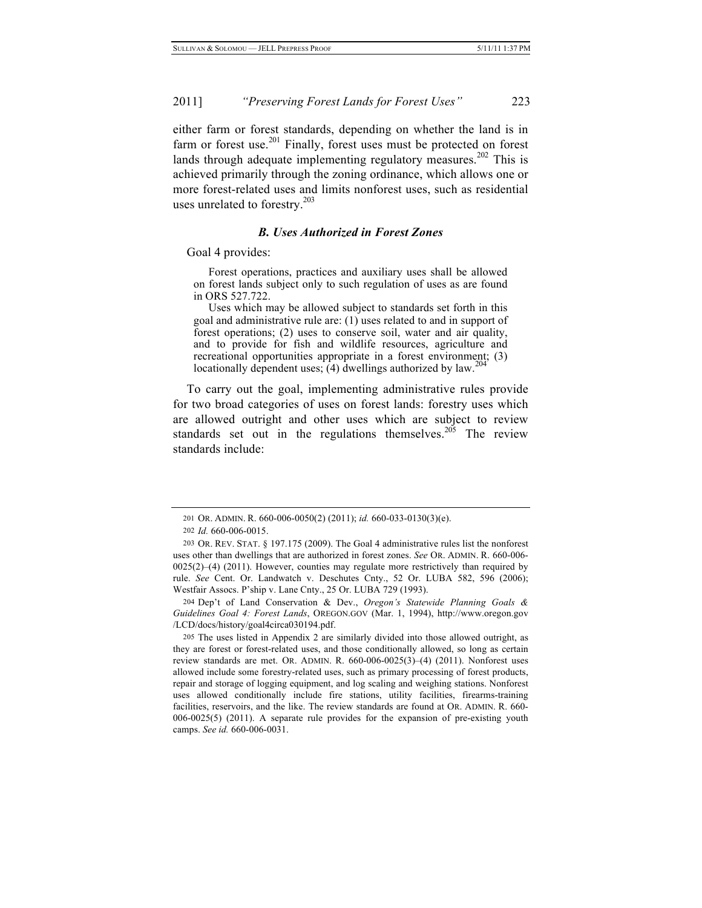either farm or forest standards, depending on whether the land is in farm or forest use.<sup>201</sup> Finally, forest uses must be protected on forest lands through adequate implementing regulatory measures.<sup>202</sup> This is achieved primarily through the zoning ordinance, which allows one or more forest-related uses and limits nonforest uses, such as residential uses unrelated to forestry. $203$ 

#### *B. Uses Authorized in Forest Zones*

Goal 4 provides:

Forest operations, practices and auxiliary uses shall be allowed on forest lands subject only to such regulation of uses as are found in ORS 527.722.

Uses which may be allowed subject to standards set forth in this goal and administrative rule are: (1) uses related to and in support of forest operations; (2) uses to conserve soil, water and air quality, and to provide for fish and wildlife resources, agriculture and recreational opportunities appropriate in a forest environment; (3) locationally dependent uses; (4) dwellings authorized by law.

To carry out the goal, implementing administrative rules provide for two broad categories of uses on forest lands: forestry uses which are allowed outright and other uses which are subject to review standards set out in the regulations themselves.<sup>205</sup> The review standards include:

204 Dep't of Land Conservation & Dev., *Oregon's Statewide Planning Goals & Guidelines Goal 4: Forest Lands*, OREGON.GOV (Mar. 1, 1994), http://www.oregon.gov /LCD/docs/history/goal4circa030194.pdf.

205 The uses listed in Appendix 2 are similarly divided into those allowed outright, as they are forest or forest-related uses, and those conditionally allowed, so long as certain review standards are met. OR. ADMIN. R. 660-006-0025(3)–(4) (2011). Nonforest uses allowed include some forestry-related uses, such as primary processing of forest products, repair and storage of logging equipment, and log scaling and weighing stations. Nonforest uses allowed conditionally include fire stations, utility facilities, firearms-training facilities, reservoirs, and the like. The review standards are found at OR. ADMIN. R. 660- 006-0025(5) (2011). A separate rule provides for the expansion of pre-existing youth camps. *See id.* 660-006-0031.

<sup>201</sup> OR. ADMIN. R. 660-006-0050(2) (2011); *id.* 660-033-0130(3)(e).

<sup>202</sup> *Id.* 660-006-0015.

<sup>203</sup> OR. REV. STAT. § 197.175 (2009). The Goal 4 administrative rules list the nonforest uses other than dwellings that are authorized in forest zones. *See* OR. ADMIN. R. 660-006- 0025(2)–(4) (2011). However, counties may regulate more restrictively than required by rule. *See* Cent. Or. Landwatch v. Deschutes Cnty., 52 Or. LUBA 582, 596 (2006); Westfair Assocs. P'ship v. Lane Cnty., 25 Or. LUBA 729 (1993).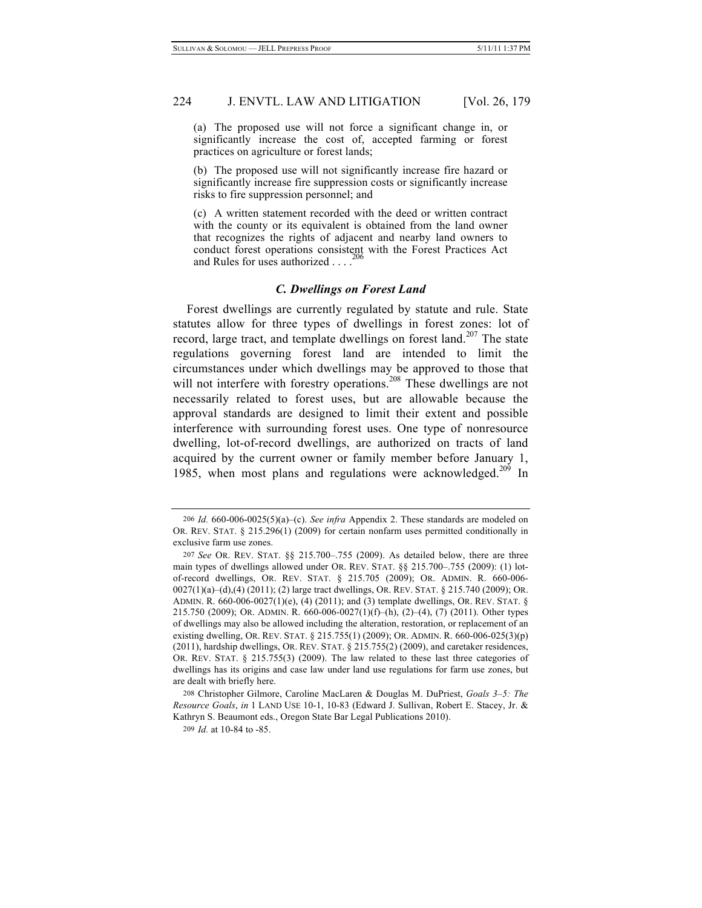(a) The proposed use will not force a significant change in, or significantly increase the cost of, accepted farming or forest practices on agriculture or forest lands;

(b) The proposed use will not significantly increase fire hazard or significantly increase fire suppression costs or significantly increase risks to fire suppression personnel; and

(c) A written statement recorded with the deed or written contract with the county or its equivalent is obtained from the land owner that recognizes the rights of adjacent and nearby land owners to conduct forest operations consistent with the Forest Practices Act 206 and Rules for uses authorized . . . .

### *C. Dwellings on Forest Land*

Forest dwellings are currently regulated by statute and rule. State statutes allow for three types of dwellings in forest zones: lot of record, large tract, and template dwellings on forest land.<sup>207</sup> The state regulations governing forest land are intended to limit the circumstances under which dwellings may be approved to those that will not interfere with forestry operations.<sup>208</sup> These dwellings are not necessarily related to forest uses, but are allowable because the approval standards are designed to limit their extent and possible interference with surrounding forest uses. One type of nonresource dwelling, lot-of-record dwellings, are authorized on tracts of land acquired by the current owner or family member before January 1, 1985, when most plans and regulations were acknowledged.<sup>209</sup> In

208 Christopher Gilmore, Caroline MacLaren & Douglas M. DuPriest, *Goals 3–5: The Resource Goals*, *in* 1 LAND USE 10-1, 10-83 (Edward J. Sullivan, Robert E. Stacey, Jr. & Kathryn S. Beaumont eds., Oregon State Bar Legal Publications 2010).

<sup>206</sup> *Id.* 660-006-0025(5)(a)–(c). *See infra* Appendix 2. These standards are modeled on OR. REV. STAT. § 215.296(1) (2009) for certain nonfarm uses permitted conditionally in exclusive farm use zones.

<sup>207</sup> *See* OR. REV. STAT. §§ 215.700–.755 (2009). As detailed below, there are three main types of dwellings allowed under OR. REV. STAT. §§ 215.700–.755 (2009): (1) lotof-record dwellings, OR. REV. STAT. § 215.705 (2009); OR. ADMIN. R. 660-006- 0027(1)(a)–(d),(4) (2011); (2) large tract dwellings, OR. REV. STAT. § 215.740 (2009); OR. ADMIN. R. 660-006-0027(1)(e), (4) (2011); and (3) template dwellings, OR. REV. STAT. § 215.750 (2009); OR. ADMIN. R. 660-006-0027(1)(f)–(h), (2)–(4), (7) (2011). Other types of dwellings may also be allowed including the alteration, restoration, or replacement of an existing dwelling, OR. REV. STAT. § 215.755(1) (2009); OR. ADMIN. R. 660-006-025(3)(p) (2011), hardship dwellings, OR. REV. STAT. § 215.755(2) (2009), and caretaker residences, OR. REV. STAT. § 215.755(3) (2009). The law related to these last three categories of dwellings has its origins and case law under land use regulations for farm use zones, but are dealt with briefly here.

<sup>209</sup> *Id.* at 10-84 to -85.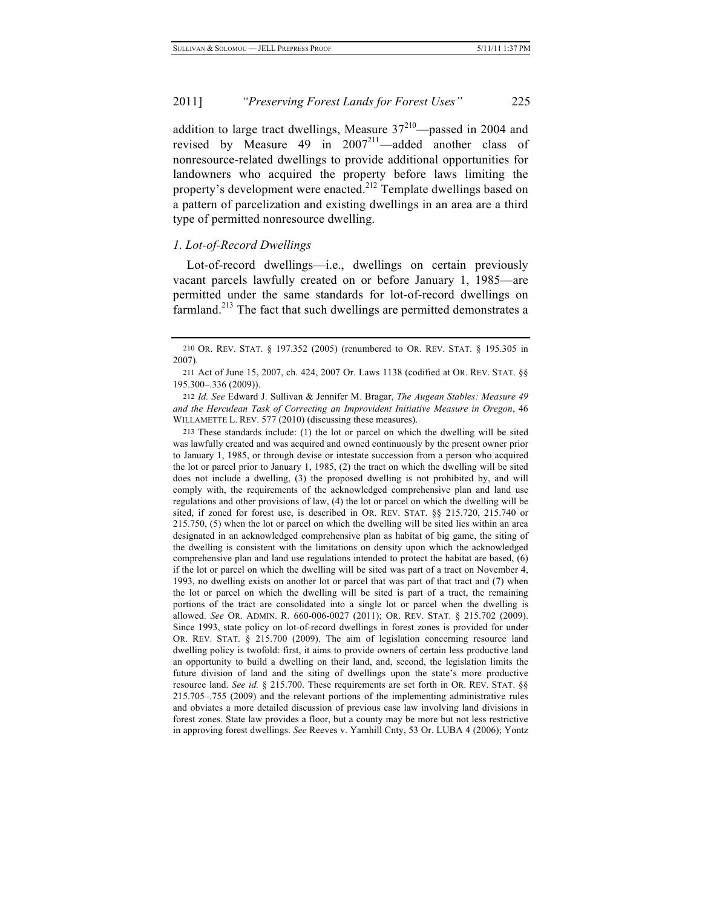addition to large tract dwellings, Measure  $37<sup>210</sup>$ —passed in 2004 and revised by Measure 49 in  $2007^{211}$ —added another class of nonresource-related dwellings to provide additional opportunities for landowners who acquired the property before laws limiting the property's development were enacted.<sup>212</sup> Template dwellings based on a pattern of parcelization and existing dwellings in an area are a third type of permitted nonresource dwelling.

### *1. Lot-of-Record Dwellings*

Lot-of-record dwellings—i.e., dwellings on certain previously vacant parcels lawfully created on or before January 1, 1985—are permitted under the same standards for lot-of-record dwellings on farmland.<sup>213</sup> The fact that such dwellings are permitted demonstrates a

212 *Id. See* Edward J. Sullivan & Jennifer M. Bragar, *The Augean Stables: Measure 49 and the Herculean Task of Correcting an Improvident Initiative Measure in Oregon*, 46 WILLAMETTE L. REV. 577 (2010) (discussing these measures).

213 These standards include: (1) the lot or parcel on which the dwelling will be sited was lawfully created and was acquired and owned continuously by the present owner prior to January 1, 1985, or through devise or intestate succession from a person who acquired the lot or parcel prior to January 1, 1985, (2) the tract on which the dwelling will be sited does not include a dwelling, (3) the proposed dwelling is not prohibited by, and will comply with, the requirements of the acknowledged comprehensive plan and land use regulations and other provisions of law, (4) the lot or parcel on which the dwelling will be sited, if zoned for forest use, is described in OR. REV. STAT. §§ 215.720, 215.740 or 215.750, (5) when the lot or parcel on which the dwelling will be sited lies within an area designated in an acknowledged comprehensive plan as habitat of big game, the siting of the dwelling is consistent with the limitations on density upon which the acknowledged comprehensive plan and land use regulations intended to protect the habitat are based, (6) if the lot or parcel on which the dwelling will be sited was part of a tract on November 4, 1993, no dwelling exists on another lot or parcel that was part of that tract and (7) when the lot or parcel on which the dwelling will be sited is part of a tract, the remaining portions of the tract are consolidated into a single lot or parcel when the dwelling is allowed. *See* OR. ADMIN. R. 660-006-0027 (2011); OR. REV. STAT. § 215.702 (2009). Since 1993, state policy on lot-of-record dwellings in forest zones is provided for under OR. REV. STAT. § 215.700 (2009). The aim of legislation concerning resource land dwelling policy is twofold: first, it aims to provide owners of certain less productive land an opportunity to build a dwelling on their land, and, second, the legislation limits the future division of land and the siting of dwellings upon the state's more productive resource land. *See id.* § 215.700. These requirements are set forth in OR. REV. STAT. §§ 215.705–.755 (2009) and the relevant portions of the implementing administrative rules and obviates a more detailed discussion of previous case law involving land divisions in forest zones. State law provides a floor, but a county may be more but not less restrictive in approving forest dwellings. *See* Reeves v. Yamhill Cnty, 53 Or. LUBA 4 (2006); Yontz

<sup>210</sup> OR. REV. STAT. § 197.352 (2005) (renumbered to OR. REV. STAT. § 195.305 in 2007).

<sup>211</sup> Act of June 15, 2007, ch. 424, 2007 Or. Laws 1138 (codified at OR. REV. STAT. §§ 195.300–.336 (2009)).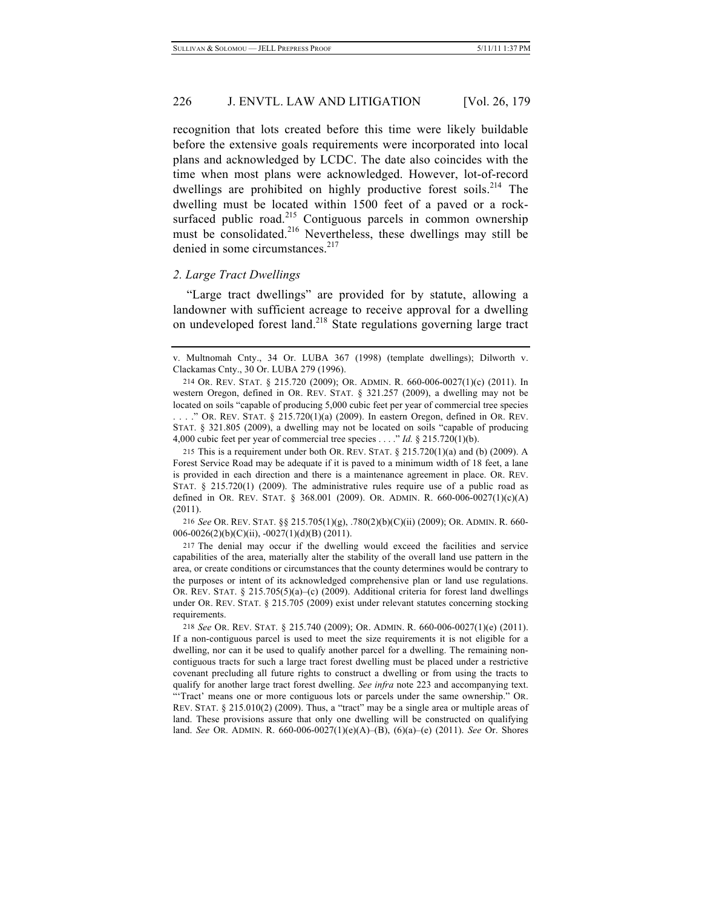recognition that lots created before this time were likely buildable before the extensive goals requirements were incorporated into local plans and acknowledged by LCDC. The date also coincides with the time when most plans were acknowledged. However, lot-of-record dwellings are prohibited on highly productive forest soils.<sup>214</sup> The dwelling must be located within 1500 feet of a paved or a rocksurfaced public road.<sup>215</sup> Contiguous parcels in common ownership must be consolidated.<sup>216</sup> Nevertheless, these dwellings may still be denied in some circumstances.<sup>217</sup>

#### *2. Large Tract Dwellings*

"Large tract dwellings" are provided for by statute, allowing a landowner with sufficient acreage to receive approval for a dwelling on undeveloped forest land. 218 State regulations governing large tract

216 *See* OR. REV. STAT. §§ 215.705(1)(g), .780(2)(b)(C)(ii) (2009); OR. ADMIN. R. 660- 006-0026(2)(b)(C)(ii), -0027(1)(d)(B) (2011).

217 The denial may occur if the dwelling would exceed the facilities and service capabilities of the area, materially alter the stability of the overall land use pattern in the area, or create conditions or circumstances that the county determines would be contrary to the purposes or intent of its acknowledged comprehensive plan or land use regulations. OR. REV. STAT. § 215.705(5)(a)–(c) (2009). Additional criteria for forest land dwellings under OR. REV. STAT. § 215.705 (2009) exist under relevant statutes concerning stocking requirements.

218 *See* OR. REV. STAT. § 215.740 (2009); OR. ADMIN. R. 660-006-0027(1)(e) (2011). If a non-contiguous parcel is used to meet the size requirements it is not eligible for a dwelling, nor can it be used to qualify another parcel for a dwelling. The remaining noncontiguous tracts for such a large tract forest dwelling must be placed under a restrictive covenant precluding all future rights to construct a dwelling or from using the tracts to qualify for another large tract forest dwelling. *See infra* note 223 and accompanying text. "'Tract' means one or more contiguous lots or parcels under the same ownership." OR. REV. STAT.  $\S 215.010(2)$  (2009). Thus, a "tract" may be a single area or multiple areas of land. These provisions assure that only one dwelling will be constructed on qualifying land. *See* OR. ADMIN. R. 660-006-0027(1)(e)(A)–(B), (6)(a)–(e) (2011). *See* Or. Shores

v. Multnomah Cnty., 34 Or. LUBA 367 (1998) (template dwellings); Dilworth v. Clackamas Cnty., 30 Or. LUBA 279 (1996).

<sup>214</sup> OR. REV. STAT. § 215.720 (2009); OR. ADMIN. R. 660-006-0027(1)(c) (2011). In western Oregon, defined in OR. REV. STAT. § 321.257 (2009), a dwelling may not be located on soils "capable of producing 5,000 cubic feet per year of commercial tree species . . . ." OR. REV. STAT. § 215.720(1)(a) (2009). In eastern Oregon, defined in OR. REV. STAT. § 321.805 (2009), a dwelling may not be located on soils "capable of producing 4,000 cubic feet per year of commercial tree species . . . ." *Id.* § 215.720(1)(b).

<sup>215</sup> This is a requirement under both OR. REV. STAT.  $\S$  215.720(1)(a) and (b) (2009). A Forest Service Road may be adequate if it is paved to a minimum width of 18 feet, a lane is provided in each direction and there is a maintenance agreement in place. OR. REV. STAT.  $\S$  215.720(1) (2009). The administrative rules require use of a public road as defined in OR. REV. STAT. § 368.001 (2009). OR. ADMIN. R. 660-006-0027(1)(c)(A) (2011).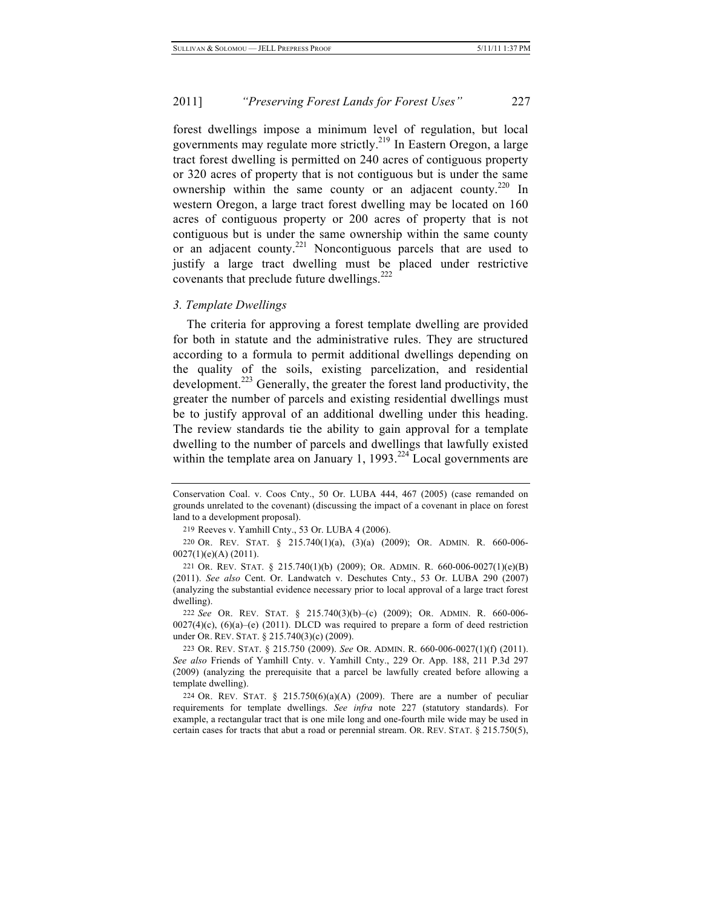forest dwellings impose a minimum level of regulation, but local governments may regulate more strictly.<sup>219</sup> In Eastern Oregon, a large tract forest dwelling is permitted on 240 acres of contiguous property or 320 acres of property that is not contiguous but is under the same ownership within the same county or an adjacent county.<sup>220</sup> In western Oregon, a large tract forest dwelling may be located on 160 acres of contiguous property or 200 acres of property that is not contiguous but is under the same ownership within the same county or an adjacent county.<sup>221</sup> Noncontiguous parcels that are used to justify a large tract dwelling must be placed under restrictive covenants that preclude future dwellings.<sup>222</sup>

#### *3. Template Dwellings*

The criteria for approving a forest template dwelling are provided for both in statute and the administrative rules. They are structured according to a formula to permit additional dwellings depending on the quality of the soils, existing parcelization, and residential development.<sup>223</sup> Generally, the greater the forest land productivity, the greater the number of parcels and existing residential dwellings must be to justify approval of an additional dwelling under this heading. The review standards tie the ability to gain approval for a template dwelling to the number of parcels and dwellings that lawfully existed within the template area on January 1, 1993.<sup>224</sup> Local governments are

Conservation Coal. v. Coos Cnty., 50 Or. LUBA 444, 467 (2005) (case remanded on grounds unrelated to the covenant) (discussing the impact of a covenant in place on forest land to a development proposal).

<sup>219</sup> Reeves v. Yamhill Cnty., 53 Or. LUBA 4 (2006).

<sup>220</sup> OR. REV. STAT. § 215.740(1)(a), (3)(a) (2009); OR. ADMIN. R. 660-006- 0027(1)(e)(A) (2011).

<sup>221</sup> OR. REV. STAT. § 215.740(1)(b) (2009); OR. ADMIN. R. 660-006-0027(1)(e)(B) (2011). *See also* Cent. Or. Landwatch v. Deschutes Cnty., 53 Or. LUBA 290 (2007) (analyzing the substantial evidence necessary prior to local approval of a large tract forest dwelling).

<sup>222</sup> *See* OR. REV. STAT. § 215.740(3)(b)–(c) (2009); OR. ADMIN. R. 660-006-  $0027(4)(c)$ ,  $(6)(a)-(e)$  (2011). DLCD was required to prepare a form of deed restriction under OR. REV. STAT. § 215.740(3)(c) (2009).

<sup>223</sup> OR. REV. STAT. § 215.750 (2009). *See* OR. ADMIN. R. 660-006-0027(1)(f) (2011). *See also* Friends of Yamhill Cnty. v. Yamhill Cnty., 229 Or. App. 188, 211 P.3d 297 (2009) (analyzing the prerequisite that a parcel be lawfully created before allowing a template dwelling).

<sup>224</sup> OR. REV. STAT. § 215.750(6)(a)(A) (2009). There are a number of peculiar requirements for template dwellings. *See infra* note 227 (statutory standards). For example, a rectangular tract that is one mile long and one-fourth mile wide may be used in certain cases for tracts that abut a road or perennial stream. OR. REV. STAT. § 215.750(5),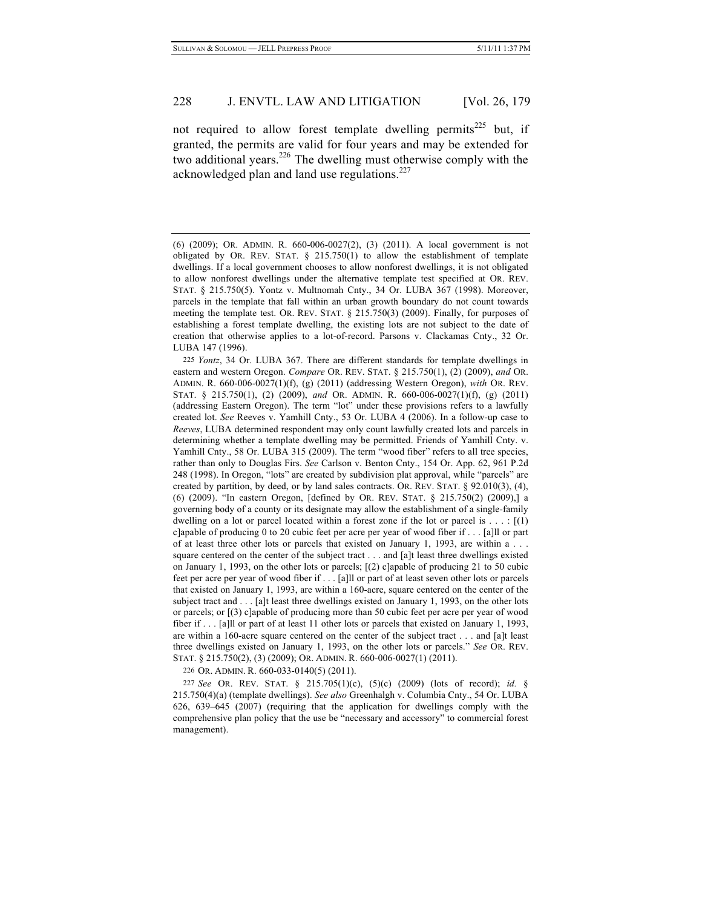not required to allow forest template dwelling permits<sup>225</sup> but, if granted, the permits are valid for four years and may be extended for two additional years.<sup>226</sup> The dwelling must otherwise comply with the acknowledged plan and land use regulations. $227$ 

225 *Yontz*, 34 Or. LUBA 367. There are different standards for template dwellings in eastern and western Oregon. *Compare* OR. REV. STAT. § 215.750(1), (2) (2009), *and* OR. ADMIN. R. 660-006-0027(1)(f), (g) (2011) (addressing Western Oregon), *with* OR. REV. STAT. § 215.750(1), (2) (2009), *and* OR. ADMIN. R. 660-006-0027(1)(f), (g) (2011) (addressing Eastern Oregon). The term "lot" under these provisions refers to a lawfully created lot. *See* Reeves v. Yamhill Cnty., 53 Or. LUBA 4 (2006). In a follow-up case to *Reeves*, LUBA determined respondent may only count lawfully created lots and parcels in determining whether a template dwelling may be permitted. Friends of Yamhill Cnty. v. Yamhill Cnty., 58 Or. LUBA 315 (2009). The term "wood fiber" refers to all tree species, rather than only to Douglas Firs. *See* Carlson v. Benton Cnty., 154 Or. App. 62, 961 P.2d 248 (1998). In Oregon, "lots" are created by subdivision plat approval, while "parcels" are created by partition, by deed, or by land sales contracts. OR. REV. STAT. § 92.010(3), (4), (6) (2009). "In eastern Oregon, [defined by OR. REV. STAT. § 215.750(2) (2009),] a governing body of a county or its designate may allow the establishment of a single-family dwelling on a lot or parcel located within a forest zone if the lot or parcel is  $\dots$ :  $[(1)$ c]apable of producing 0 to 20 cubic feet per acre per year of wood fiber if . . . [a]ll or part of at least three other lots or parcels that existed on January 1, 1993, are within a . . . square centered on the center of the subject tract . . . and [a]t least three dwellings existed on January 1, 1993, on the other lots or parcels; [(2) c]apable of producing 21 to 50 cubic feet per acre per year of wood fiber if . . . [a]ll or part of at least seven other lots or parcels that existed on January 1, 1993, are within a 160-acre, square centered on the center of the subject tract and . . . [a]t least three dwellings existed on January 1, 1993, on the other lots or parcels; or [(3) c]apable of producing more than 50 cubic feet per acre per year of wood fiber if . . . [a]ll or part of at least 11 other lots or parcels that existed on January 1, 1993, are within a 160-acre square centered on the center of the subject tract . . . and [a]t least three dwellings existed on January 1, 1993, on the other lots or parcels." *See* OR. REV. STAT. § 215.750(2), (3) (2009); OR. ADMIN. R. 660-006-0027(1) (2011).

226 OR. ADMIN. R. 660-033-0140(5) (2011).

227 *See* OR. REV. STAT. § 215.705(1)(c), (5)(c) (2009) (lots of record); *id.* § 215.750(4)(a) (template dwellings). *See also* Greenhalgh v. Columbia Cnty., 54 Or. LUBA 626, 639–645 (2007) (requiring that the application for dwellings comply with the comprehensive plan policy that the use be "necessary and accessory" to commercial forest management).

<sup>(6) (2009);</sup> OR. ADMIN. R. 660-006-0027(2), (3) (2011). A local government is not obligated by OR. REV. STAT.  $\S$  215.750(1) to allow the establishment of template dwellings. If a local government chooses to allow nonforest dwellings, it is not obligated to allow nonforest dwellings under the alternative template test specified at OR. REV. STAT. § 215.750(5). Yontz v. Multnomah Cnty., 34 Or. LUBA 367 (1998). Moreover, parcels in the template that fall within an urban growth boundary do not count towards meeting the template test. OR. REV. STAT. § 215.750(3) (2009). Finally, for purposes of establishing a forest template dwelling, the existing lots are not subject to the date of creation that otherwise applies to a lot-of-record. Parsons v. Clackamas Cnty., 32 Or. LUBA 147 (1996).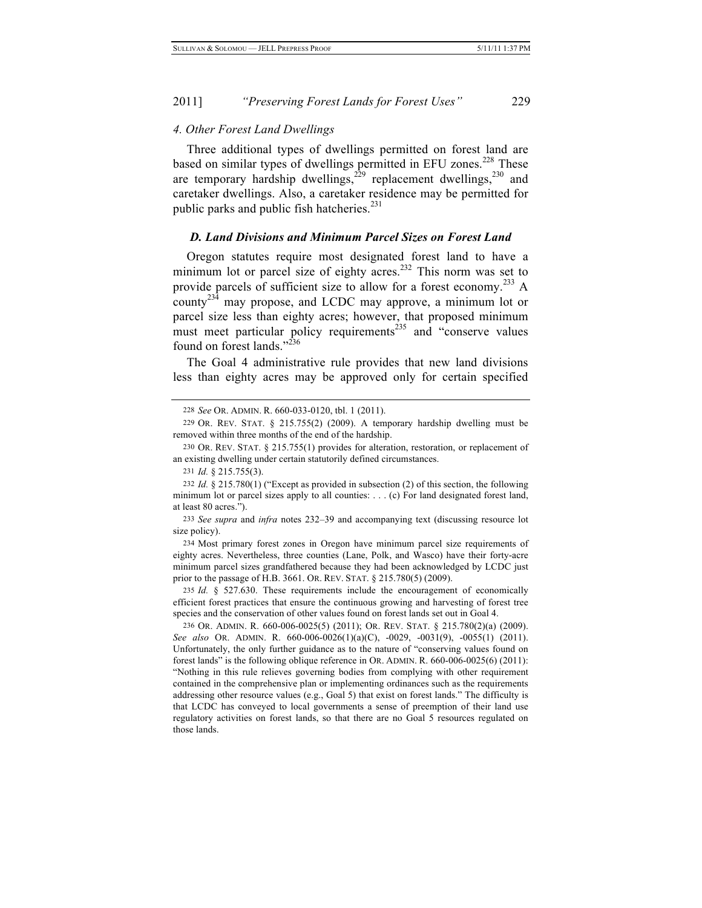#### *4. Other Forest Land Dwellings*

Three additional types of dwellings permitted on forest land are based on similar types of dwellings permitted in EFU zones.<sup>228</sup> These are temporary hardship dwellings,  $^{229}$  replacement dwellings,  $^{230}$  and caretaker dwellings. Also, a caretaker residence may be permitted for public parks and public fish hatcheries. $^{231}$ 

#### *D. Land Divisions and Minimum Parcel Sizes on Forest Land*

Oregon statutes require most designated forest land to have a minimum lot or parcel size of eighty acres.<sup>232</sup> This norm was set to provide parcels of sufficient size to allow for a forest economy.233 A county<sup>234</sup> may propose, and LCDC may approve, a minimum lot or parcel size less than eighty acres; however, that proposed minimum must meet particular policy requirements<sup>235</sup> and "conserve values" found on forest lands." $^{236}$ 

The Goal 4 administrative rule provides that new land divisions less than eighty acres may be approved only for certain specified

<sup>228</sup> *See* OR. ADMIN. R. 660-033-0120, tbl. 1 (2011).

<sup>229</sup> OR. REV. STAT. § 215.755(2) (2009). A temporary hardship dwelling must be removed within three months of the end of the hardship.

<sup>230</sup> OR. REV. STAT. § 215.755(1) provides for alteration, restoration, or replacement of an existing dwelling under certain statutorily defined circumstances.

<sup>231</sup> *Id.* § 215.755(3).

<sup>232</sup> *Id.* § 215.780(1) ("Except as provided in subsection (2) of this section, the following minimum lot or parcel sizes apply to all counties: . . . (c) For land designated forest land, at least 80 acres.").

<sup>233</sup> *See supra* and *infra* notes 232–39 and accompanying text (discussing resource lot size policy).

<sup>234</sup> Most primary forest zones in Oregon have minimum parcel size requirements of eighty acres. Nevertheless, three counties (Lane, Polk, and Wasco) have their forty-acre minimum parcel sizes grandfathered because they had been acknowledged by LCDC just prior to the passage of H.B. 3661. OR. REV. STAT. § 215.780(5) (2009).

<sup>235</sup> *Id.* § 527.630. These requirements include the encouragement of economically efficient forest practices that ensure the continuous growing and harvesting of forest tree species and the conservation of other values found on forest lands set out in Goal 4.

<sup>236</sup> OR. ADMIN. R. 660-006-0025(5) (2011); OR. REV. STAT. § 215.780(2)(a) (2009). *See also* OR. ADMIN. R. 660-006-0026(1)(a)(C), -0029, -0031(9), -0055(1) (2011). Unfortunately, the only further guidance as to the nature of "conserving values found on forest lands" is the following oblique reference in OR. ADMIN. R. 660-006-0025(6) (2011): "Nothing in this rule relieves governing bodies from complying with other requirement contained in the comprehensive plan or implementing ordinances such as the requirements addressing other resource values (e.g., Goal 5) that exist on forest lands." The difficulty is that LCDC has conveyed to local governments a sense of preemption of their land use regulatory activities on forest lands, so that there are no Goal 5 resources regulated on those lands.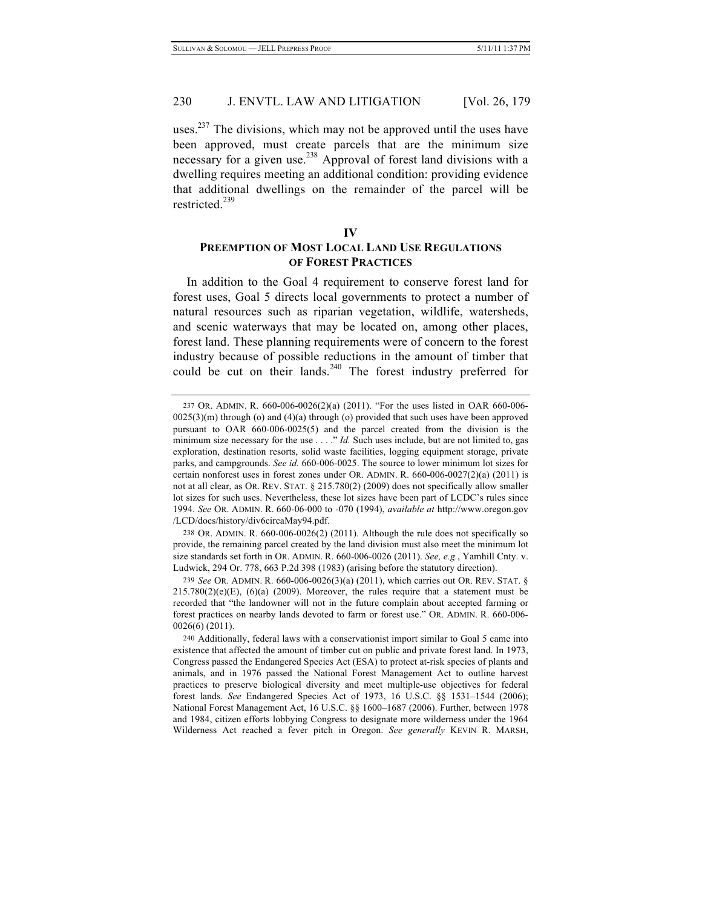uses.<sup>237</sup> The divisions, which may not be approved until the uses have been approved, must create parcels that are the minimum size necessary for a given use.<sup>238</sup> Approval of forest land divisions with a dwelling requires meeting an additional condition: providing evidence that additional dwellings on the remainder of the parcel will be restricted.<sup>239</sup>

# **IV PREEMPTION OF MOST LOCAL LAND USE REGULATIONS OF FOREST PRACTICES**

In addition to the Goal 4 requirement to conserve forest land for forest uses, Goal 5 directs local governments to protect a number of natural resources such as riparian vegetation, wildlife, watersheds, and scenic waterways that may be located on, among other places, forest land. These planning requirements were of concern to the forest industry because of possible reductions in the amount of timber that could be cut on their lands.<sup>240</sup> The forest industry preferred for

238 OR. ADMIN. R. 660-006-0026(2) (2011). Although the rule does not specifically so provide, the remaining parcel created by the land division must also meet the minimum lot size standards set forth in OR. ADMIN. R. 660-006-0026 (2011). *See, e.g.*, Yamhill Cnty. v. Ludwick, 294 Or. 778, 663 P.2d 398 (1983) (arising before the statutory direction).

239 *See* OR. ADMIN. R. 660-006-0026(3)(a) (2011), which carries out OR. REV. STAT. §  $215.780(2)(e)(E)$ ,  $(6)(a)$   $(2009)$ . Moreover, the rules require that a statement must be recorded that "the landowner will not in the future complain about accepted farming or forest practices on nearby lands devoted to farm or forest use." OR. ADMIN. R. 660-006- 0026(6) (2011).

<sup>237</sup> OR. ADMIN. R. 660-006-0026(2)(a) (2011). "For the uses listed in OAR 660-006-  $0025(3)$ (m) through (o) and  $(4)$ (a) through (o) provided that such uses have been approved pursuant to OAR 660-006-0025(5) and the parcel created from the division is the minimum size necessary for the use . . . ." *Id.* Such uses include, but are not limited to, gas exploration, destination resorts, solid waste facilities, logging equipment storage, private parks, and campgrounds. *See id.* 660-006-0025. The source to lower minimum lot sizes for certain nonforest uses in forest zones under OR. ADMIN. R.  $660-006-0027(2)(a)$  (2011) is not at all clear, as OR. REV. STAT. § 215.780(2) (2009) does not specifically allow smaller lot sizes for such uses. Nevertheless, these lot sizes have been part of LCDC's rules since 1994. *See* OR. ADMIN. R. 660-06-000 to -070 (1994), *available at* http://www.oregon.gov /LCD/docs/history/div6circaMay94.pdf.

<sup>240</sup> Additionally, federal laws with a conservationist import similar to Goal 5 came into existence that affected the amount of timber cut on public and private forest land. In 1973, Congress passed the Endangered Species Act (ESA) to protect at-risk species of plants and animals, and in 1976 passed the National Forest Management Act to outline harvest practices to preserve biological diversity and meet multiple-use objectives for federal forest lands. *See* Endangered Species Act of 1973, 16 U.S.C. §§ 1531–1544 (2006); National Forest Management Act, 16 U.S.C. §§ 1600–1687 (2006). Further, between 1978 and 1984, citizen efforts lobbying Congress to designate more wilderness under the 1964 Wilderness Act reached a fever pitch in Oregon. *See generally* KEVIN R. MARSH,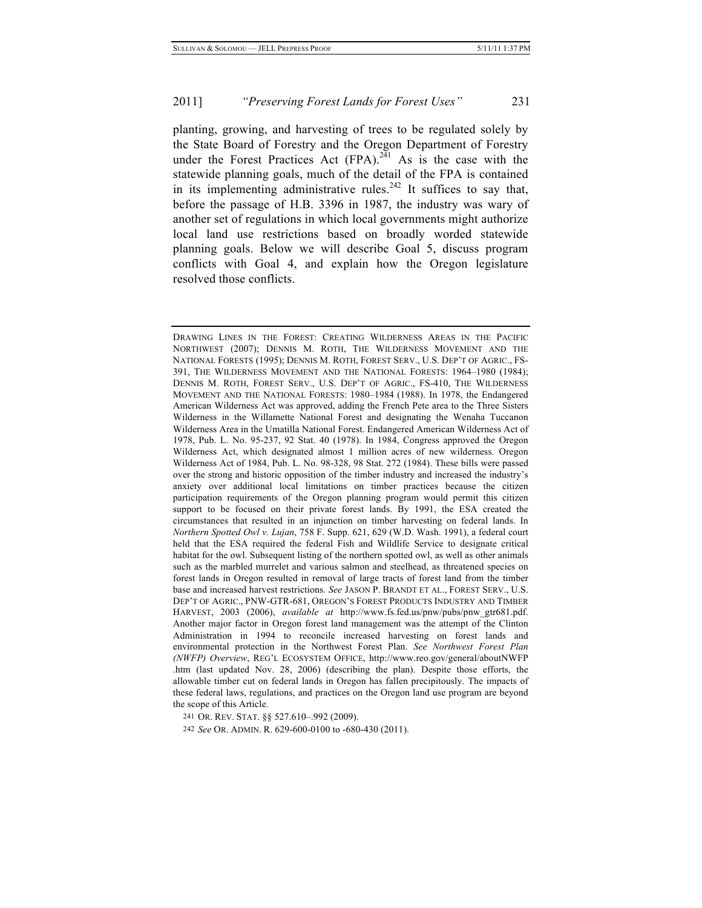planting, growing, and harvesting of trees to be regulated solely by the State Board of Forestry and the Oregon Department of Forestry under the Forest Practices Act  $(FPA)$ .<sup>241</sup> As is the case with the statewide planning goals, much of the detail of the FPA is contained in its implementing administrative rules.<sup>242</sup> It suffices to say that, before the passage of H.B. 3396 in 1987, the industry was wary of another set of regulations in which local governments might authorize local land use restrictions based on broadly worded statewide planning goals. Below we will describe Goal 5, discuss program conflicts with Goal 4, and explain how the Oregon legislature resolved those conflicts.

241 OR. REV. STAT. §§ 527.610–.992 (2009).

242 *See* OR. ADMIN. R. 629-600-0100 to -680-430 (2011).

DRAWING LINES IN THE FOREST: CREATING WILDERNESS AREAS IN THE PACIFIC NORTHWEST (2007); DENNIS M. ROTH, THE WILDERNESS MOVEMENT AND THE NATIONAL FORESTS (1995); DENNIS M. ROTH, FOREST SERV., U.S. DEP'T OF AGRIC., FS-391, THE WILDERNESS MOVEMENT AND THE NATIONAL FORESTS: 1964–1980 (1984); DENNIS M. ROTH, FOREST SERV., U.S. DEP'T OF AGRIC., FS-410, THE WILDERNESS MOVEMENT AND THE NATIONAL FORESTS: 1980–1984 (1988). In 1978, the Endangered American Wilderness Act was approved, adding the French Pete area to the Three Sisters Wilderness in the Willamette National Forest and designating the Wenaha Tuccanon Wilderness Area in the Umatilla National Forest. Endangered American Wilderness Act of 1978, Pub. L. No. 95-237, 92 Stat. 40 (1978). In 1984, Congress approved the Oregon Wilderness Act, which designated almost 1 million acres of new wilderness. Oregon Wilderness Act of 1984, Pub. L. No. 98-328, 98 Stat. 272 (1984). These bills were passed over the strong and historic opposition of the timber industry and increased the industry's anxiety over additional local limitations on timber practices because the citizen participation requirements of the Oregon planning program would permit this citizen support to be focused on their private forest lands. By 1991, the ESA created the circumstances that resulted in an injunction on timber harvesting on federal lands. In *Northern Spotted Owl v. Lujan*, 758 F. Supp. 621, 629 (W.D. Wash. 1991), a federal court held that the ESA required the federal Fish and Wildlife Service to designate critical habitat for the owl. Subsequent listing of the northern spotted owl, as well as other animals such as the marbled murrelet and various salmon and steelhead, as threatened species on forest lands in Oregon resulted in removal of large tracts of forest land from the timber base and increased harvest restrictions. *See* JASON P. BRANDT ET AL., FOREST SERV., U.S. DEP'T OF AGRIC., PNW-GTR-681, OREGON'S FOREST PRODUCTS INDUSTRY AND TIMBER HARVEST, 2003 (2006), *available at* http://www.fs.fed.us/pnw/pubs/pnw\_gtr681.pdf. Another major factor in Oregon forest land management was the attempt of the Clinton Administration in 1994 to reconcile increased harvesting on forest lands and environmental protection in the Northwest Forest Plan. *See Northwest Forest Plan (NWFP) Overview*, REG'L ECOSYSTEM OFFICE, http://www.reo.gov/general/aboutNWFP .htm (last updated Nov. 28, 2006) (describing the plan). Despite those efforts, the allowable timber cut on federal lands in Oregon has fallen precipitously. The impacts of these federal laws, regulations, and practices on the Oregon land use program are beyond the scope of this Article.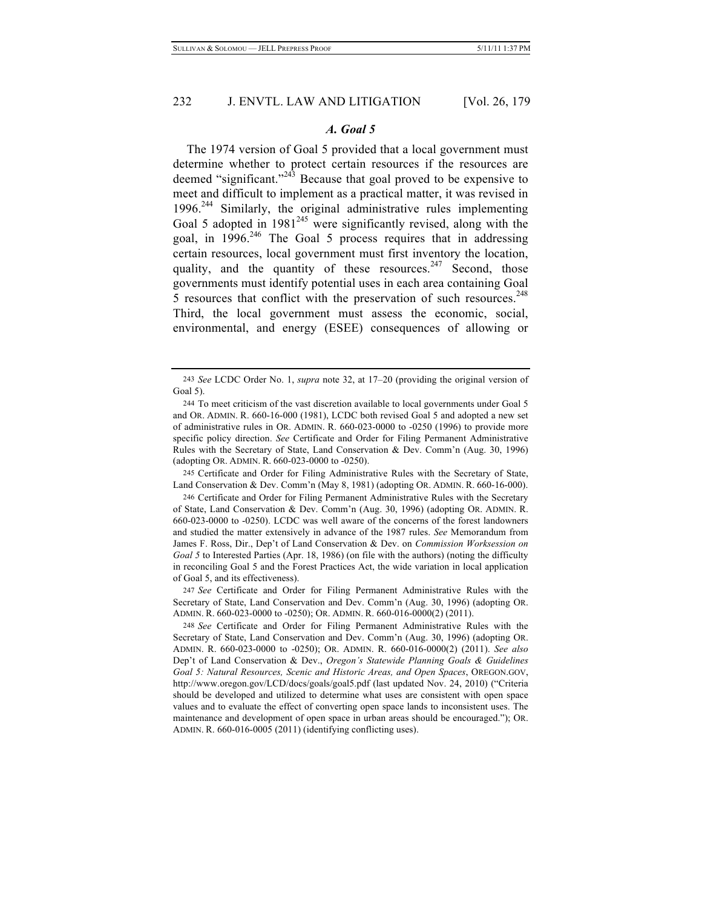#### *A. Goal 5*

The 1974 version of Goal 5 provided that a local government must determine whether to protect certain resources if the resources are deemed "significant."<sup>243</sup> Because that goal proved to be expensive to meet and difficult to implement as a practical matter, it was revised in 1996.<sup>244</sup> Similarly, the original administrative rules implementing Goal 5 adopted in  $1981^{245}$  were significantly revised, along with the goal, in  $1996.<sup>246</sup>$  The Goal 5 process requires that in addressing certain resources, local government must first inventory the location, quality, and the quantity of these resources.<sup>247</sup> Second, those governments must identify potential uses in each area containing Goal 5 resources that conflict with the preservation of such resources.<sup>248</sup> Third, the local government must assess the economic, social, environmental, and energy (ESEE) consequences of allowing or

245 Certificate and Order for Filing Administrative Rules with the Secretary of State, Land Conservation & Dev. Comm'n (May 8, 1981) (adopting OR. ADMIN. R. 660-16-000).

246 Certificate and Order for Filing Permanent Administrative Rules with the Secretary of State, Land Conservation & Dev. Comm'n (Aug. 30, 1996) (adopting OR. ADMIN. R. 660-023-0000 to -0250). LCDC was well aware of the concerns of the forest landowners and studied the matter extensively in advance of the 1987 rules. *See* Memorandum from James F. Ross, Dir., Dep't of Land Conservation & Dev. on *Commission Worksession on Goal 5* to Interested Parties (Apr. 18, 1986) (on file with the authors) (noting the difficulty in reconciling Goal 5 and the Forest Practices Act, the wide variation in local application of Goal 5, and its effectiveness).

247 *See* Certificate and Order for Filing Permanent Administrative Rules with the Secretary of State, Land Conservation and Dev. Comm'n (Aug. 30, 1996) (adopting OR. ADMIN. R. 660-023-0000 to -0250); OR. ADMIN. R. 660-016-0000(2) (2011).

<sup>243</sup> *See* LCDC Order No. 1, *supra* note 32, at 17–20 (providing the original version of Goal 5).

<sup>244</sup> To meet criticism of the vast discretion available to local governments under Goal 5 and OR. ADMIN. R. 660-16-000 (1981), LCDC both revised Goal 5 and adopted a new set of administrative rules in OR. ADMIN. R. 660-023-0000 to -0250 (1996) to provide more specific policy direction. *See* Certificate and Order for Filing Permanent Administrative Rules with the Secretary of State, Land Conservation & Dev. Comm'n (Aug. 30, 1996) (adopting OR. ADMIN. R. 660-023-0000 to -0250).

<sup>248</sup> *See* Certificate and Order for Filing Permanent Administrative Rules with the Secretary of State, Land Conservation and Dev. Comm'n (Aug. 30, 1996) (adopting OR. ADMIN. R. 660-023-0000 to -0250); OR. ADMIN. R. 660-016-0000(2) (2011). *See also* Dep't of Land Conservation & Dev., *Oregon's Statewide Planning Goals & Guidelines Goal 5: Natural Resources, Scenic and Historic Areas, and Open Spaces*, OREGON.GOV, http://www.oregon.gov/LCD/docs/goals/goal5.pdf (last updated Nov. 24, 2010) ("Criteria should be developed and utilized to determine what uses are consistent with open space values and to evaluate the effect of converting open space lands to inconsistent uses. The maintenance and development of open space in urban areas should be encouraged."); OR. ADMIN. R. 660-016-0005 (2011) (identifying conflicting uses).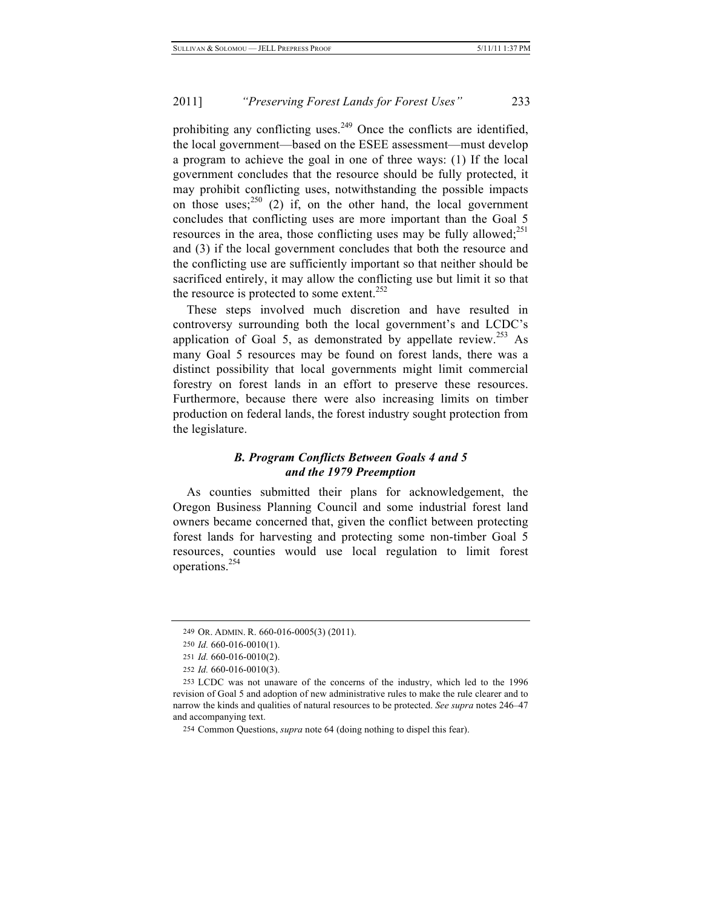prohibiting any conflicting uses.<sup>249</sup> Once the conflicts are identified, the local government—based on the ESEE assessment—must develop a program to achieve the goal in one of three ways: (1) If the local government concludes that the resource should be fully protected, it may prohibit conflicting uses, notwithstanding the possible impacts on those uses;  $250$  (2) if, on the other hand, the local government concludes that conflicting uses are more important than the Goal 5 resources in the area, those conflicting uses may be fully allowed; $^{251}$ and (3) if the local government concludes that both the resource and the conflicting use are sufficiently important so that neither should be sacrificed entirely, it may allow the conflicting use but limit it so that the resource is protected to some extent.<sup>252</sup>

These steps involved much discretion and have resulted in controversy surrounding both the local government's and LCDC's application of Goal 5, as demonstrated by appellate review.<sup>253</sup> As many Goal 5 resources may be found on forest lands, there was a distinct possibility that local governments might limit commercial forestry on forest lands in an effort to preserve these resources. Furthermore, because there were also increasing limits on timber production on federal lands, the forest industry sought protection from the legislature.

## *B. Program Conflicts Between Goals 4 and 5 and the 1979 Preemption*

As counties submitted their plans for acknowledgement, the Oregon Business Planning Council and some industrial forest land owners became concerned that, given the conflict between protecting forest lands for harvesting and protecting some non-timber Goal 5 resources, counties would use local regulation to limit forest operations.254

<sup>249</sup> OR. ADMIN. R. 660-016-0005(3) (2011).

<sup>250</sup> *Id.* 660-016-0010(1).

<sup>251</sup> *Id.* 660-016-0010(2).

<sup>252</sup> *Id.* 660-016-0010(3).

<sup>253</sup> LCDC was not unaware of the concerns of the industry, which led to the 1996 revision of Goal 5 and adoption of new administrative rules to make the rule clearer and to narrow the kinds and qualities of natural resources to be protected. *See supra* notes 246–47 and accompanying text.

<sup>254</sup> Common Questions, *supra* note 64 (doing nothing to dispel this fear).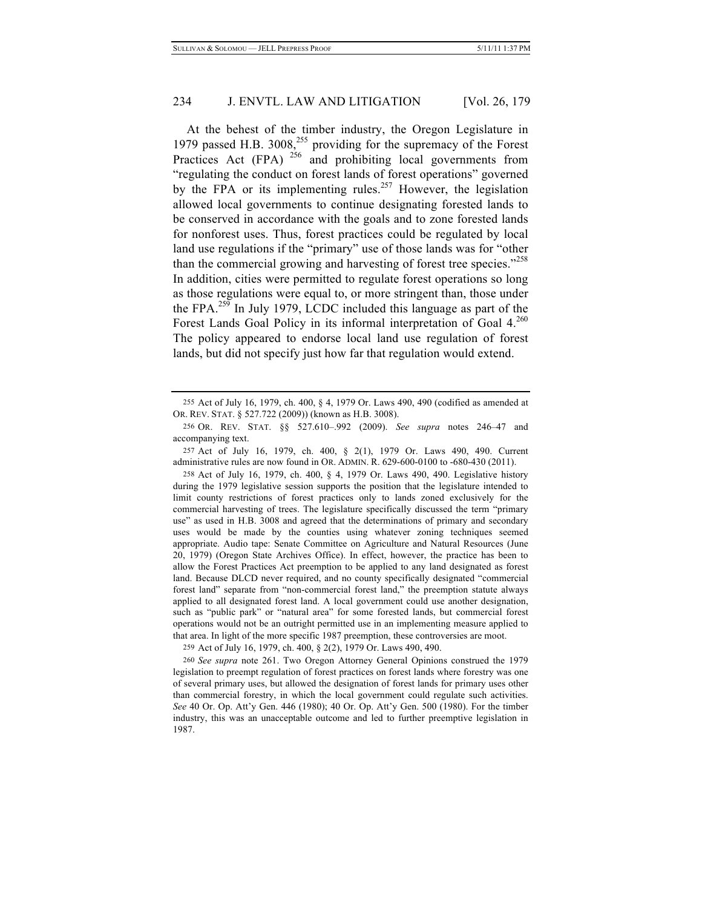At the behest of the timber industry, the Oregon Legislature in 1979 passed H.B.  $3008<sub>155</sub><sup>255</sup>$  providing for the supremacy of the Forest Practices Act (FPA)  $256$  and prohibiting local governments from "regulating the conduct on forest lands of forest operations" governed by the FPA or its implementing rules.<sup>257</sup> However, the legislation allowed local governments to continue designating forested lands to be conserved in accordance with the goals and to zone forested lands for nonforest uses. Thus, forest practices could be regulated by local land use regulations if the "primary" use of those lands was for "other than the commercial growing and harvesting of forest tree species."<sup>258</sup> In addition, cities were permitted to regulate forest operations so long as those regulations were equal to, or more stringent than, those under the FPA.<sup>259</sup> In July 1979, LCDC included this language as part of the Forest Lands Goal Policy in its informal interpretation of Goal 4.<sup>260</sup> The policy appeared to endorse local land use regulation of forest lands, but did not specify just how far that regulation would extend.

257 Act of July 16, 1979, ch. 400, § 2(1), 1979 Or. Laws 490, 490. Current administrative rules are now found in OR. ADMIN. R. 629-600-0100 to -680-430 (2011).

258 Act of July 16, 1979, ch. 400, § 4, 1979 Or. Laws 490, 490. Legislative history during the 1979 legislative session supports the position that the legislature intended to limit county restrictions of forest practices only to lands zoned exclusively for the commercial harvesting of trees. The legislature specifically discussed the term "primary use" as used in H.B. 3008 and agreed that the determinations of primary and secondary uses would be made by the counties using whatever zoning techniques seemed appropriate. Audio tape: Senate Committee on Agriculture and Natural Resources (June 20, 1979) (Oregon State Archives Office). In effect, however, the practice has been to allow the Forest Practices Act preemption to be applied to any land designated as forest land. Because DLCD never required, and no county specifically designated "commercial forest land" separate from "non-commercial forest land," the preemption statute always applied to all designated forest land. A local government could use another designation, such as "public park" or "natural area" for some forested lands, but commercial forest operations would not be an outright permitted use in an implementing measure applied to that area. In light of the more specific 1987 preemption, these controversies are moot.

259 Act of July 16, 1979, ch. 400, § 2(2), 1979 Or. Laws 490, 490.

260 *See supra* note 261. Two Oregon Attorney General Opinions construed the 1979 legislation to preempt regulation of forest practices on forest lands where forestry was one of several primary uses, but allowed the designation of forest lands for primary uses other than commercial forestry, in which the local government could regulate such activities. *See* 40 Or. Op. Att'y Gen. 446 (1980); 40 Or. Op. Att'y Gen. 500 (1980). For the timber industry, this was an unacceptable outcome and led to further preemptive legislation in 1987.

<sup>255</sup> Act of July 16, 1979, ch. 400, § 4, 1979 Or. Laws 490, 490 (codified as amended at OR. REV. STAT. § 527.722 (2009)) (known as H.B. 3008).

<sup>256</sup> OR. REV. STAT. §§ 527.610–.992 (2009). *See supra* notes 246–47 and accompanying text.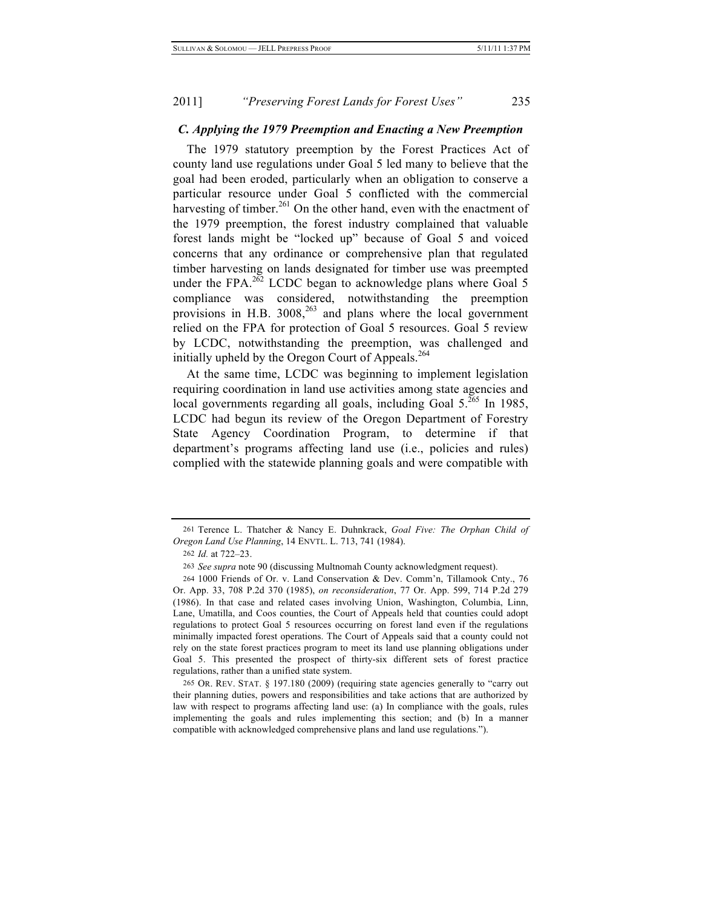#### *C. Applying the 1979 Preemption and Enacting a New Preemption*

The 1979 statutory preemption by the Forest Practices Act of county land use regulations under Goal 5 led many to believe that the goal had been eroded, particularly when an obligation to conserve a particular resource under Goal 5 conflicted with the commercial harvesting of timber.<sup>261</sup> On the other hand, even with the enactment of the 1979 preemption, the forest industry complained that valuable forest lands might be "locked up" because of Goal 5 and voiced concerns that any ordinance or comprehensive plan that regulated timber harvesting on lands designated for timber use was preempted under the FPA. $^{262}$  LCDC began to acknowledge plans where Goal 5 compliance was considered, notwithstanding the preemption provisions in H.B.  $3008<sup>263</sup>$  and plans where the local government relied on the FPA for protection of Goal 5 resources. Goal 5 review by LCDC, notwithstanding the preemption, was challenged and initially upheld by the Oregon Court of Appeals.<sup>264</sup>

At the same time, LCDC was beginning to implement legislation requiring coordination in land use activities among state agencies and local governments regarding all goals, including Goal  $5.^{265}$  In 1985, LCDC had begun its review of the Oregon Department of Forestry State Agency Coordination Program, to determine if that department's programs affecting land use (i.e., policies and rules) complied with the statewide planning goals and were compatible with

<sup>261</sup> Terence L. Thatcher & Nancy E. Duhnkrack, *Goal Five: The Orphan Child of Oregon Land Use Planning*, 14 ENVTL. L. 713, 741 (1984).

<sup>262</sup> *Id.* at 722–23.

<sup>263</sup> *See supra* note 90 (discussing Multnomah County acknowledgment request).

<sup>264</sup> 1000 Friends of Or. v. Land Conservation & Dev. Comm'n, Tillamook Cnty., 76 Or. App. 33, 708 P.2d 370 (1985), *on reconsideration*, 77 Or. App. 599, 714 P.2d 279 (1986). In that case and related cases involving Union, Washington, Columbia, Linn, Lane, Umatilla, and Coos counties, the Court of Appeals held that counties could adopt regulations to protect Goal 5 resources occurring on forest land even if the regulations minimally impacted forest operations. The Court of Appeals said that a county could not rely on the state forest practices program to meet its land use planning obligations under Goal 5. This presented the prospect of thirty-six different sets of forest practice regulations, rather than a unified state system.

<sup>265</sup> OR. REV. STAT. § 197.180 (2009) (requiring state agencies generally to "carry out their planning duties, powers and responsibilities and take actions that are authorized by law with respect to programs affecting land use: (a) In compliance with the goals, rules implementing the goals and rules implementing this section; and (b) In a manner compatible with acknowledged comprehensive plans and land use regulations.").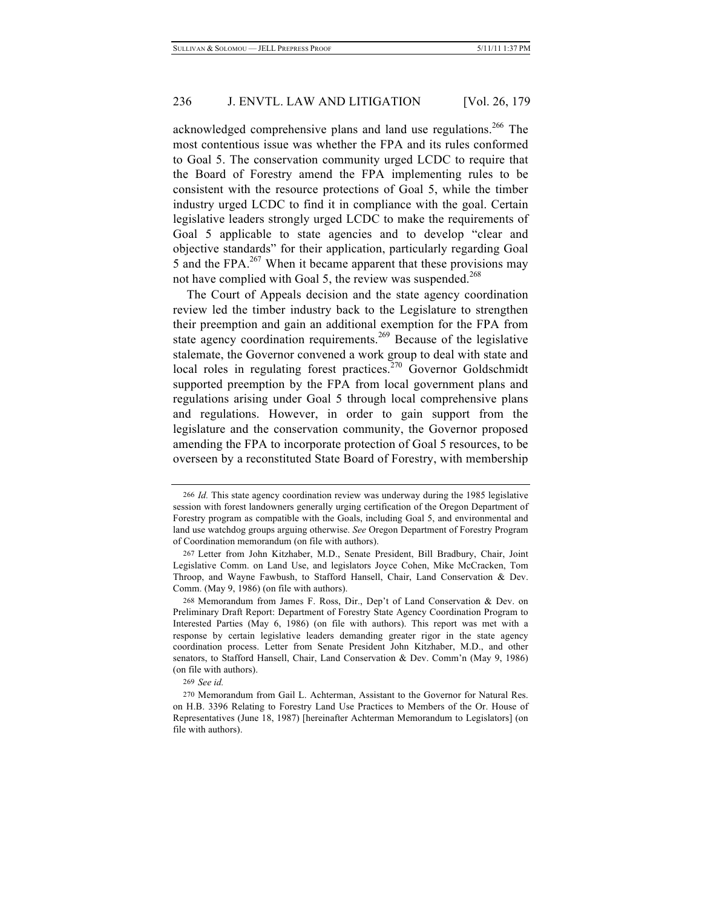acknowledged comprehensive plans and land use regulations.<sup>266</sup> The most contentious issue was whether the FPA and its rules conformed to Goal 5. The conservation community urged LCDC to require that the Board of Forestry amend the FPA implementing rules to be consistent with the resource protections of Goal 5, while the timber industry urged LCDC to find it in compliance with the goal. Certain legislative leaders strongly urged LCDC to make the requirements of Goal 5 applicable to state agencies and to develop "clear and objective standards" for their application, particularly regarding Goal 5 and the FPA. $^{267}$  When it became apparent that these provisions may not have complied with Goal 5, the review was suspended.<sup>268</sup>

The Court of Appeals decision and the state agency coordination review led the timber industry back to the Legislature to strengthen their preemption and gain an additional exemption for the FPA from state agency coordination requirements.<sup>269</sup> Because of the legislative stalemate, the Governor convened a work group to deal with state and local roles in regulating forest practices. $270$  Governor Goldschmidt supported preemption by the FPA from local government plans and regulations arising under Goal 5 through local comprehensive plans and regulations. However, in order to gain support from the legislature and the conservation community, the Governor proposed amending the FPA to incorporate protection of Goal 5 resources, to be overseen by a reconstituted State Board of Forestry, with membership

<sup>266</sup> *Id.* This state agency coordination review was underway during the 1985 legislative session with forest landowners generally urging certification of the Oregon Department of Forestry program as compatible with the Goals, including Goal 5, and environmental and land use watchdog groups arguing otherwise. *See* Oregon Department of Forestry Program of Coordination memorandum (on file with authors).

<sup>267</sup> Letter from John Kitzhaber, M.D., Senate President, Bill Bradbury, Chair, Joint Legislative Comm. on Land Use, and legislators Joyce Cohen, Mike McCracken, Tom Throop, and Wayne Fawbush, to Stafford Hansell, Chair, Land Conservation & Dev. Comm. (May 9, 1986) (on file with authors).

<sup>268</sup> Memorandum from James F. Ross, Dir., Dep't of Land Conservation & Dev. on Preliminary Draft Report: Department of Forestry State Agency Coordination Program to Interested Parties (May 6, 1986) (on file with authors). This report was met with a response by certain legislative leaders demanding greater rigor in the state agency coordination process. Letter from Senate President John Kitzhaber, M.D., and other senators, to Stafford Hansell, Chair, Land Conservation & Dev. Comm'n (May 9, 1986) (on file with authors).

<sup>269</sup> *See id.*

<sup>270</sup> Memorandum from Gail L. Achterman, Assistant to the Governor for Natural Res. on H.B. 3396 Relating to Forestry Land Use Practices to Members of the Or. House of Representatives (June 18, 1987) [hereinafter Achterman Memorandum to Legislators] (on file with authors).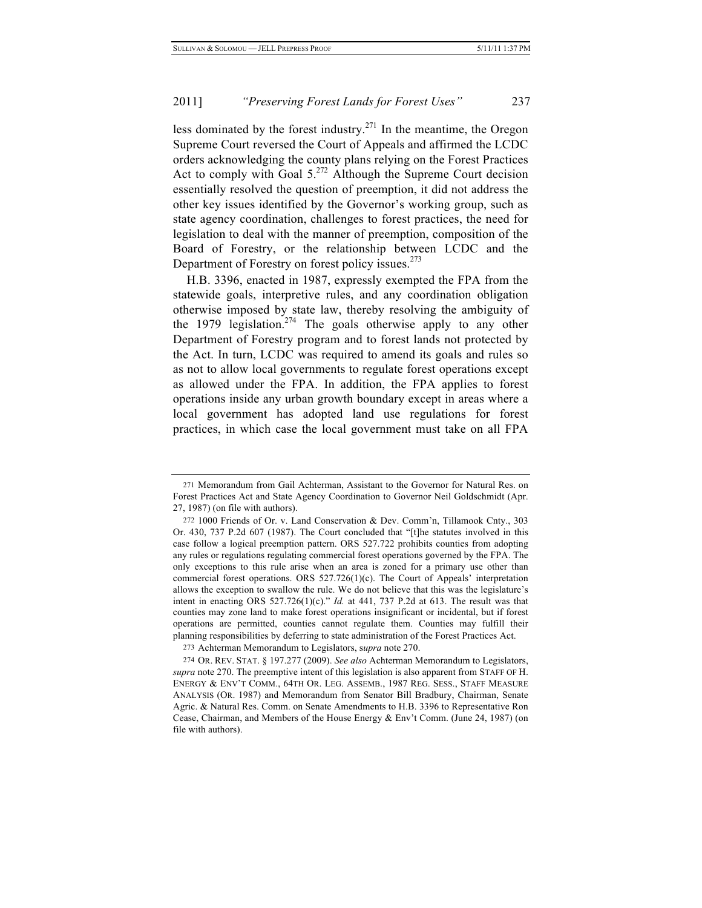less dominated by the forest industry.<sup>271</sup> In the meantime, the Oregon Supreme Court reversed the Court of Appeals and affirmed the LCDC orders acknowledging the county plans relying on the Forest Practices Act to comply with Goal  $5.272$  Although the Supreme Court decision essentially resolved the question of preemption, it did not address the other key issues identified by the Governor's working group, such as state agency coordination, challenges to forest practices, the need for legislation to deal with the manner of preemption, composition of the Board of Forestry, or the relationship between LCDC and the Department of Forestry on forest policy issues. $273$ 

H.B. 3396, enacted in 1987, expressly exempted the FPA from the statewide goals, interpretive rules, and any coordination obligation otherwise imposed by state law, thereby resolving the ambiguity of the 1979 legislation.<sup>274</sup> The goals otherwise apply to any other Department of Forestry program and to forest lands not protected by the Act. In turn, LCDC was required to amend its goals and rules so as not to allow local governments to regulate forest operations except as allowed under the FPA. In addition, the FPA applies to forest operations inside any urban growth boundary except in areas where a local government has adopted land use regulations for forest practices, in which case the local government must take on all FPA

<sup>271</sup> Memorandum from Gail Achterman, Assistant to the Governor for Natural Res. on Forest Practices Act and State Agency Coordination to Governor Neil Goldschmidt (Apr. 27, 1987) (on file with authors).

<sup>272</sup> 1000 Friends of Or. v. Land Conservation & Dev. Comm'n, Tillamook Cnty., 303 Or. 430, 737 P.2d 607 (1987). The Court concluded that "[t]he statutes involved in this case follow a logical preemption pattern. ORS 527.722 prohibits counties from adopting any rules or regulations regulating commercial forest operations governed by the FPA. The only exceptions to this rule arise when an area is zoned for a primary use other than commercial forest operations. ORS 527.726(1)(c). The Court of Appeals' interpretation allows the exception to swallow the rule. We do not believe that this was the legislature's intent in enacting ORS  $527.726(1)(c)$ ." *Id.* at 441, 737 P.2d at 613. The result was that counties may zone land to make forest operations insignificant or incidental, but if forest operations are permitted, counties cannot regulate them. Counties may fulfill their planning responsibilities by deferring to state administration of the Forest Practices Act.

<sup>273</sup> Achterman Memorandum to Legislators, s*upra* note 270.

<sup>274</sup> OR. REV. STAT. § 197.277 (2009). *See also* Achterman Memorandum to Legislators, *supra* note 270. The preemptive intent of this legislation is also apparent from STAFF OF H. ENERGY & ENV'T COMM., 64TH OR. LEG. ASSEMB., 1987 REG. SESS., STAFF MEASURE ANALYSIS (OR. 1987) and Memorandum from Senator Bill Bradbury, Chairman, Senate Agric. & Natural Res. Comm. on Senate Amendments to H.B. 3396 to Representative Ron Cease, Chairman, and Members of the House Energy & Env't Comm. (June 24, 1987) (on file with authors).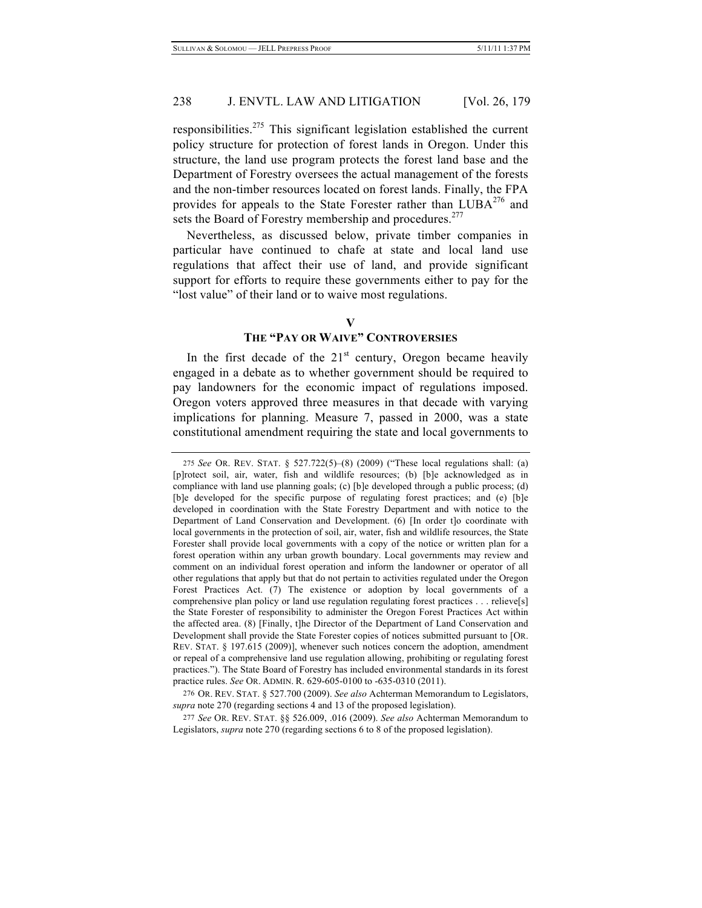responsibilities.275 This significant legislation established the current policy structure for protection of forest lands in Oregon. Under this structure, the land use program protects the forest land base and the Department of Forestry oversees the actual management of the forests and the non-timber resources located on forest lands. Finally, the FPA provides for appeals to the State Forester rather than  $LUBA^{276}$  and sets the Board of Forestry membership and procedures.<sup>277</sup>

Nevertheless, as discussed below, private timber companies in particular have continued to chafe at state and local land use regulations that affect their use of land, and provide significant support for efforts to require these governments either to pay for the "lost value" of their land or to waive most regulations.

#### **V**

## **THE "PAY OR WAIVE" CONTROVERSIES**

In the first decade of the  $21<sup>st</sup>$  century, Oregon became heavily engaged in a debate as to whether government should be required to pay landowners for the economic impact of regulations imposed. Oregon voters approved three measures in that decade with varying implications for planning. Measure 7, passed in 2000, was a state constitutional amendment requiring the state and local governments to

<sup>275</sup> *See* OR. REV. STAT. § 527.722(5)–(8) (2009) ("These local regulations shall: (a) [p]rotect soil, air, water, fish and wildlife resources; (b) [b]e acknowledged as in compliance with land use planning goals; (c) [b]e developed through a public process; (d) [b]e developed for the specific purpose of regulating forest practices; and (e) [b]e developed in coordination with the State Forestry Department and with notice to the Department of Land Conservation and Development. (6) [In order t]o coordinate with local governments in the protection of soil, air, water, fish and wildlife resources, the State Forester shall provide local governments with a copy of the notice or written plan for a forest operation within any urban growth boundary. Local governments may review and comment on an individual forest operation and inform the landowner or operator of all other regulations that apply but that do not pertain to activities regulated under the Oregon Forest Practices Act. (7) The existence or adoption by local governments of a comprehensive plan policy or land use regulation regulating forest practices . . . relieve[s] the State Forester of responsibility to administer the Oregon Forest Practices Act within the affected area. (8) [Finally, t]he Director of the Department of Land Conservation and Development shall provide the State Forester copies of notices submitted pursuant to [OR. REV. STAT. § 197.615 (2009)], whenever such notices concern the adoption, amendment or repeal of a comprehensive land use regulation allowing, prohibiting or regulating forest practices."). The State Board of Forestry has included environmental standards in its forest practice rules. *See* OR. ADMIN. R. 629-605-0100 to -635-0310 (2011).

<sup>276</sup> OR. REV. STAT. § 527.700 (2009). *See also* Achterman Memorandum to Legislators, *supra* note 270 (regarding sections 4 and 13 of the proposed legislation).

<sup>277</sup> *See* OR. REV. STAT. §§ 526.009, .016 (2009). *See also* Achterman Memorandum to Legislators, *supra* note 270 (regarding sections 6 to 8 of the proposed legislation).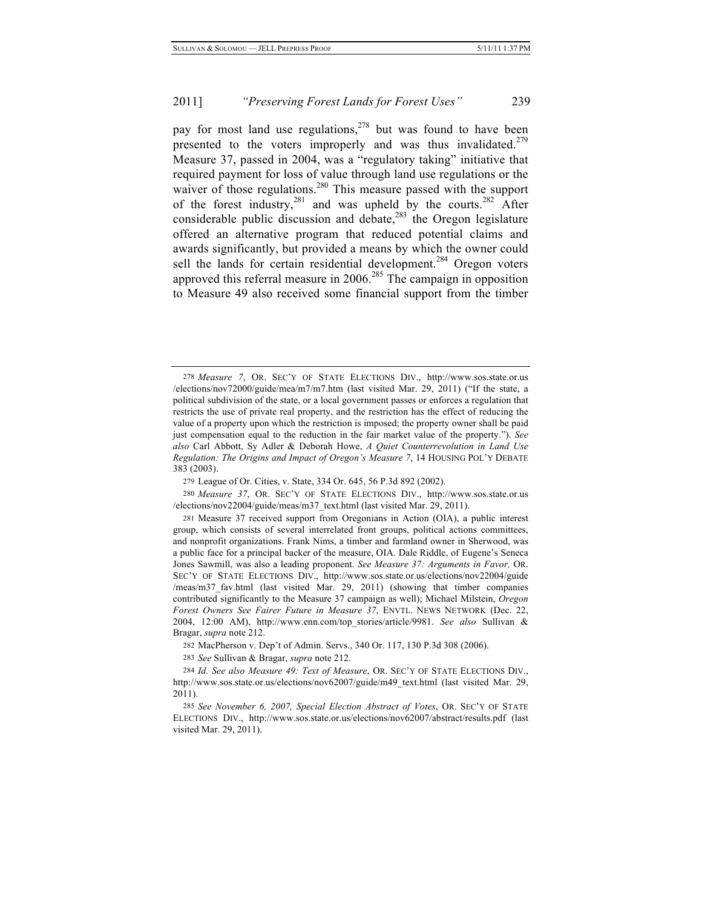pay for most land use regulations,  $278$  but was found to have been presented to the voters improperly and was thus invalidated.<sup>279</sup> Measure 37, passed in 2004, was a "regulatory taking" initiative that required payment for loss of value through land use regulations or the waiver of those regulations.<sup>280</sup> This measure passed with the support of the forest industry,  $281$  and was upheld by the courts.  $282$  After considerable public discussion and debate, $283$  the Oregon legislature offered an alternative program that reduced potential claims and awards significantly, but provided a means by which the owner could sell the lands for certain residential development.<sup>284</sup> Oregon voters approved this referral measure in 2006.<sup>285</sup> The campaign in opposition to Measure 49 also received some financial support from the timber

<sup>278</sup> *Measure 7*, OR. SEC'Y OF STATE ELECTIONS DIV., http://www.sos.state.or.us /elections/nov72000/guide/mea/m7/m7.htm (last visited Mar. 29, 2011) ("If the state, a political subdivision of the state, or a local government passes or enforces a regulation that restricts the use of private real property, and the restriction has the effect of reducing the value of a property upon which the restriction is imposed; the property owner shall be paid just compensation equal to the reduction in the fair market value of the property."). *See also* Carl Abbott, Sy Adler & Deborah Howe, *A Quiet Counterrevolution in Land Use Regulation: The Origins and Impact of Oregon's Measure 7*, 14 HOUSING POL'Y DEBATE 383 (2003).

<sup>279</sup> League of Or. Cities, v. State, 334 Or. 645, 56 P.3d 892 (2002).

<sup>280</sup> *Measure 37*, OR. SEC'Y OF STATE ELECTIONS DIV., http://www.sos.state.or.us /elections/nov22004/guide/meas/m37\_text.html (last visited Mar. 29, 2011).

<sup>281</sup> Measure 37 received support from Oregonians in Action (OIA), a public interest group, which consists of several interrelated front groups, political actions committees, and nonprofit organizations. Frank Nims, a timber and farmland owner in Sherwood, was a public face for a principal backer of the measure, OIA. Dale Riddle, of Eugene's Seneca Jones Sawmill, was also a leading proponent. *See Measure 37: Arguments in Favor,* OR. SEC'Y OF STATE ELECTIONS DIV., http://www.sos.state.or.us/elections/nov22004/guide /meas/m37\_fav.html (last visited Mar. 29, 2011) (showing that timber companies contributed significantly to the Measure 37 campaign as well); Michael Milstein, *Oregon Forest Owners See Fairer Future in Measure 37*, ENVTL. NEWS NETWORK (Dec. 22, 2004, 12:00 AM), http://www.enn.com/top\_stories/article/9981. *See also* Sullivan & Bragar, *supra* note 212.

<sup>282</sup> MacPherson v. Dep't of Admin. Servs., 340 Or. 117, 130 P.3d 308 (2006).

<sup>283</sup> *See* Sullivan & Bragar, *supra* note 212.

<sup>284</sup> *Id. See also Measure 49: Text of Measure*, OR. SEC'Y OF STATE ELECTIONS DIV., http://www.sos.state.or.us/elections/nov62007/guide/m49\_text.html (last visited Mar. 29, 2011).

<sup>285</sup> *See November 6, 2007, Special Election Abstract of Votes*, OR. SEC'Y OF STATE ELECTIONS DIV., http://www.sos.state.or.us/elections/nov62007/abstract/results.pdf (last visited Mar. 29, 2011).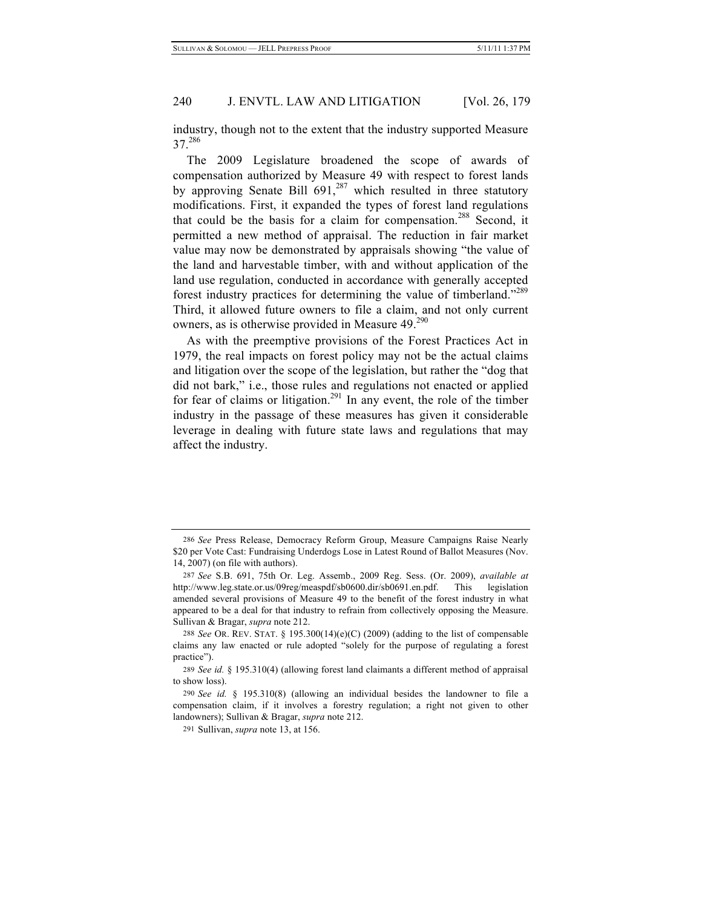industry, though not to the extent that the industry supported Measure 37.286

The 2009 Legislature broadened the scope of awards of compensation authorized by Measure 49 with respect to forest lands by approving Senate Bill  $691<sub>1</sub><sup>287</sup>$  which resulted in three statutory modifications. First, it expanded the types of forest land regulations that could be the basis for a claim for compensation.<sup>288</sup> Second, it permitted a new method of appraisal. The reduction in fair market value may now be demonstrated by appraisals showing "the value of the land and harvestable timber, with and without application of the land use regulation, conducted in accordance with generally accepted forest industry practices for determining the value of timberland."<sup>289</sup> Third, it allowed future owners to file a claim, and not only current owners, as is otherwise provided in Measure 49.<sup>290</sup>

As with the preemptive provisions of the Forest Practices Act in 1979, the real impacts on forest policy may not be the actual claims and litigation over the scope of the legislation, but rather the "dog that did not bark," i.e., those rules and regulations not enacted or applied for fear of claims or litigation.<sup>291</sup> In any event, the role of the timber industry in the passage of these measures has given it considerable leverage in dealing with future state laws and regulations that may affect the industry.

<sup>286</sup> *See* Press Release, Democracy Reform Group, Measure Campaigns Raise Nearly \$20 per Vote Cast: Fundraising Underdogs Lose in Latest Round of Ballot Measures (Nov. 14, 2007) (on file with authors).

<sup>287</sup> *See* S.B. 691, 75th Or. Leg. Assemb., 2009 Reg. Sess. (Or. 2009), *available at* http://www.leg.state.or.us/09reg/measpdf/sb0600.dir/sb0691.en.pdf. This legislation amended several provisions of Measure 49 to the benefit of the forest industry in what appeared to be a deal for that industry to refrain from collectively opposing the Measure. Sullivan & Bragar, *supra* note 212.

<sup>288</sup> *See* OR. REV. STAT. § 195.300(14)(e)(C) (2009) (adding to the list of compensable claims any law enacted or rule adopted "solely for the purpose of regulating a forest practice").

<sup>289</sup> *See id.* § 195.310(4) (allowing forest land claimants a different method of appraisal to show loss).

<sup>290</sup> *See id.* § 195.310(8) (allowing an individual besides the landowner to file a compensation claim, if it involves a forestry regulation; a right not given to other landowners); Sullivan & Bragar, *supra* note 212.

<sup>291</sup> Sullivan, *supra* note 13, at 156.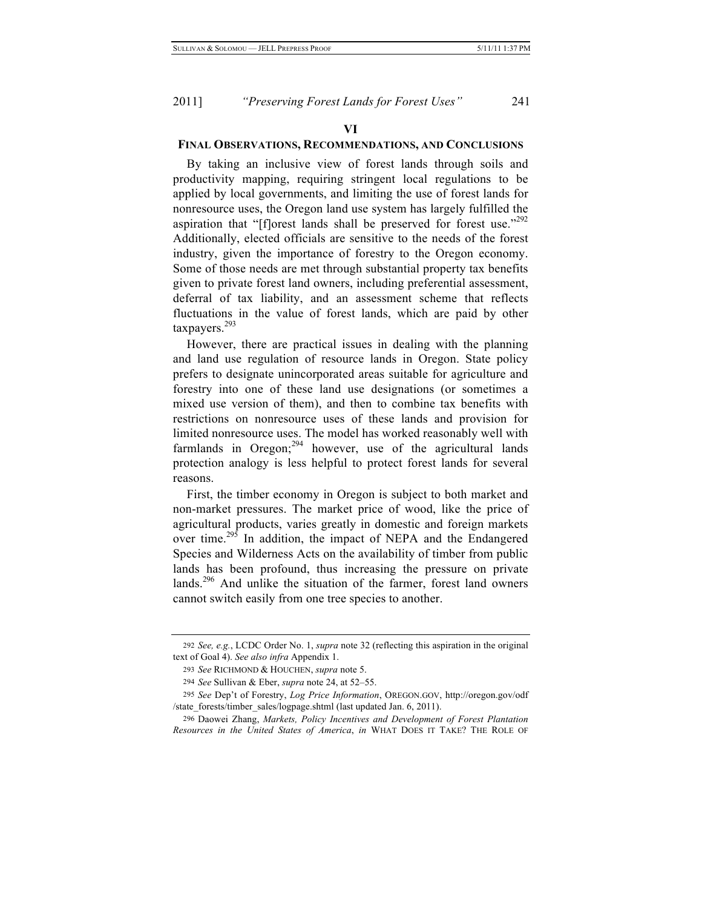### **VI FINAL OBSERVATIONS, RECOMMENDATIONS, AND CONCLUSIONS**

By taking an inclusive view of forest lands through soils and productivity mapping, requiring stringent local regulations to be applied by local governments, and limiting the use of forest lands for nonresource uses, the Oregon land use system has largely fulfilled the aspiration that "[f]orest lands shall be preserved for forest use."<sup>292</sup> Additionally, elected officials are sensitive to the needs of the forest industry, given the importance of forestry to the Oregon economy. Some of those needs are met through substantial property tax benefits given to private forest land owners, including preferential assessment, deferral of tax liability, and an assessment scheme that reflects fluctuations in the value of forest lands, which are paid by other taxpayers.<sup>293</sup>

However, there are practical issues in dealing with the planning and land use regulation of resource lands in Oregon. State policy prefers to designate unincorporated areas suitable for agriculture and forestry into one of these land use designations (or sometimes a mixed use version of them), and then to combine tax benefits with restrictions on nonresource uses of these lands and provision for limited nonresource uses. The model has worked reasonably well with farmlands in Oregon; $^{294}$  however, use of the agricultural lands protection analogy is less helpful to protect forest lands for several reasons.

First, the timber economy in Oregon is subject to both market and non-market pressures. The market price of wood, like the price of agricultural products, varies greatly in domestic and foreign markets over time.<sup>295</sup> In addition, the impact of NEPA and the Endangered Species and Wilderness Acts on the availability of timber from public lands has been profound, thus increasing the pressure on private lands.<sup>296</sup> And unlike the situation of the farmer, forest land owners cannot switch easily from one tree species to another.

<sup>292</sup> *See, e.g.*, LCDC Order No. 1, *supra* note 32 (reflecting this aspiration in the original text of Goal 4). *See also infra* Appendix 1.

<sup>293</sup> *See* RICHMOND & HOUCHEN, *supra* note 5.

<sup>294</sup> *See* Sullivan & Eber, *supra* note 24, at 52–55.

<sup>295</sup> *See* Dep't of Forestry, *Log Price Information*, OREGON.GOV, http://oregon.gov/odf /state\_forests/timber\_sales/logpage.shtml (last updated Jan. 6, 2011).

<sup>296</sup> Daowei Zhang, *Markets, Policy Incentives and Development of Forest Plantation Resources in the United States of America*, *in* WHAT DOES IT TAKE? THE ROLE OF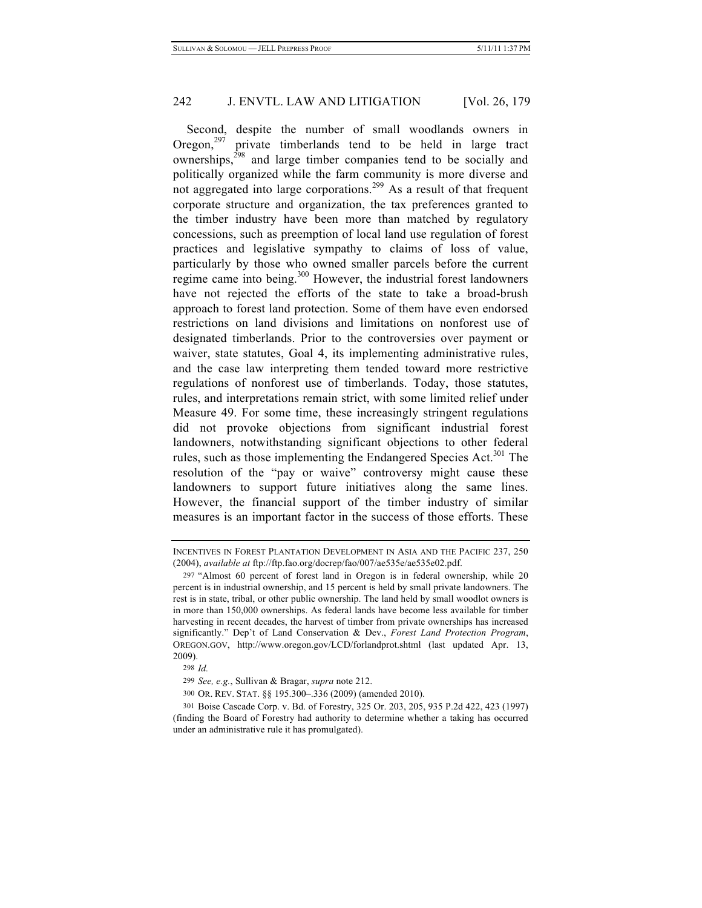Second, despite the number of small woodlands owners in Oregon, $297$  private timberlands tend to be held in large tract ownerships, $^{298}$  and large timber companies tend to be socially and politically organized while the farm community is more diverse and not aggregated into large corporations.<sup>299</sup> As a result of that frequent corporate structure and organization, the tax preferences granted to the timber industry have been more than matched by regulatory concessions, such as preemption of local land use regulation of forest practices and legislative sympathy to claims of loss of value, particularly by those who owned smaller parcels before the current regime came into being.300 However, the industrial forest landowners have not rejected the efforts of the state to take a broad-brush approach to forest land protection. Some of them have even endorsed restrictions on land divisions and limitations on nonforest use of designated timberlands. Prior to the controversies over payment or waiver, state statutes, Goal 4, its implementing administrative rules, and the case law interpreting them tended toward more restrictive regulations of nonforest use of timberlands. Today, those statutes, rules, and interpretations remain strict, with some limited relief under Measure 49. For some time, these increasingly stringent regulations did not provoke objections from significant industrial forest landowners, notwithstanding significant objections to other federal rules, such as those implementing the Endangered Species Act.<sup>301</sup> The resolution of the "pay or waive" controversy might cause these landowners to support future initiatives along the same lines. However, the financial support of the timber industry of similar measures is an important factor in the success of those efforts. These

298 *Id.*

INCENTIVES IN FOREST PLANTATION DEVELOPMENT IN ASIA AND THE PACIFIC 237, 250 (2004), *available at* ftp://ftp.fao.org/docrep/fao/007/ae535e/ae535e02.pdf.

<sup>297</sup> "Almost 60 percent of forest land in Oregon is in federal ownership, while 20 percent is in industrial ownership, and 15 percent is held by small private landowners. The rest is in state, tribal, or other public ownership. The land held by small woodlot owners is in more than 150,000 ownerships. As federal lands have become less available for timber harvesting in recent decades, the harvest of timber from private ownerships has increased significantly." Dep't of Land Conservation & Dev., *Forest Land Protection Program*, OREGON.GOV, http://www.oregon.gov/LCD/forlandprot.shtml (last updated Apr. 13, 2009).

<sup>299</sup> *See, e.g.*, Sullivan & Bragar, *supra* note 212.

<sup>300</sup> OR. REV. STAT. §§ 195.300–.336 (2009) (amended 2010).

<sup>301</sup> Boise Cascade Corp. v. Bd. of Forestry, 325 Or. 203, 205, 935 P.2d 422, 423 (1997) (finding the Board of Forestry had authority to determine whether a taking has occurred under an administrative rule it has promulgated).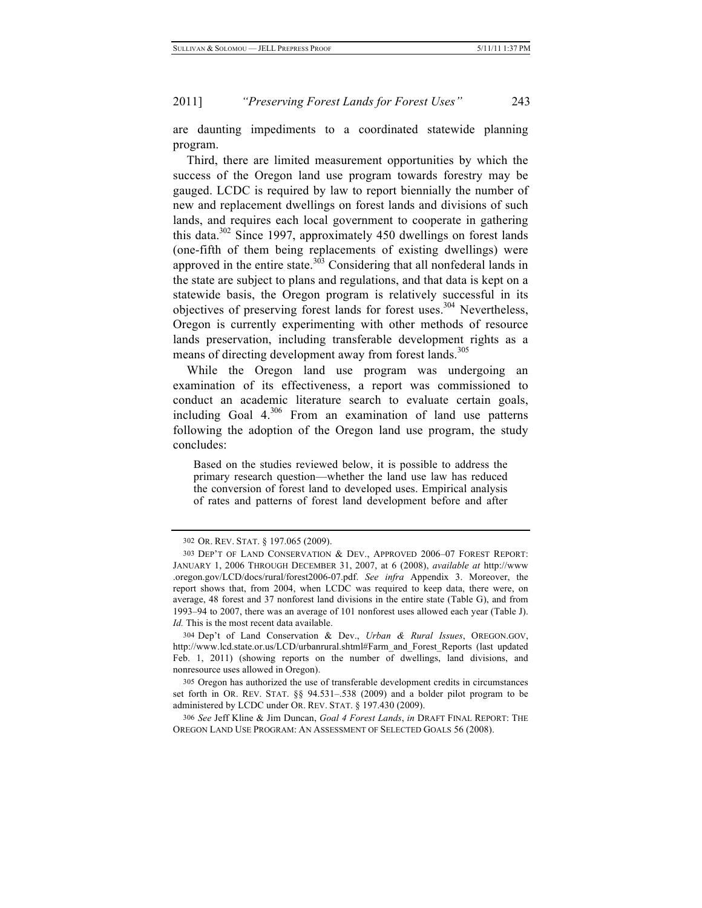are daunting impediments to a coordinated statewide planning program.

Third, there are limited measurement opportunities by which the success of the Oregon land use program towards forestry may be gauged. LCDC is required by law to report biennially the number of new and replacement dwellings on forest lands and divisions of such lands, and requires each local government to cooperate in gathering this data. $302$  Since 1997, approximately 450 dwellings on forest lands (one-fifth of them being replacements of existing dwellings) were approved in the entire state.<sup>303</sup> Considering that all nonfederal lands in the state are subject to plans and regulations, and that data is kept on a statewide basis, the Oregon program is relatively successful in its objectives of preserving forest lands for forest uses.<sup>304</sup> Nevertheless, Oregon is currently experimenting with other methods of resource lands preservation, including transferable development rights as a means of directing development away from forest lands.<sup>305</sup>

While the Oregon land use program was undergoing an examination of its effectiveness, a report was commissioned to conduct an academic literature search to evaluate certain goals, including Goal  $4^{,306}$  From an examination of land use patterns following the adoption of the Oregon land use program, the study concludes:

Based on the studies reviewed below, it is possible to address the primary research question—whether the land use law has reduced the conversion of forest land to developed uses. Empirical analysis of rates and patterns of forest land development before and after

<sup>302</sup> OR. REV. STAT. § 197.065 (2009).

<sup>303</sup> DEP'T OF LAND CONSERVATION & DEV., APPROVED 2006–07 FOREST REPORT: JANUARY 1, 2006 THROUGH DECEMBER 31, 2007, at 6 (2008), *available at* http://www .oregon.gov/LCD/docs/rural/forest2006-07.pdf. *See infra* Appendix 3. Moreover, the report shows that, from 2004, when LCDC was required to keep data, there were, on average, 48 forest and 37 nonforest land divisions in the entire state (Table G), and from 1993–94 to 2007, there was an average of 101 nonforest uses allowed each year (Table J). Id. This is the most recent data available.

<sup>304</sup> Dep't of Land Conservation & Dev., *Urban & Rural Issues*, OREGON.GOV, http://www.lcd.state.or.us/LCD/urbanrural.shtml#Farm\_and\_Forest\_Reports (last updated Feb. 1, 2011) (showing reports on the number of dwellings, land divisions, and nonresource uses allowed in Oregon).

<sup>305</sup> Oregon has authorized the use of transferable development credits in circumstances set forth in OR. REV. STAT. §§ 94.531–.538 (2009) and a bolder pilot program to be administered by LCDC under OR. REV. STAT. § 197.430 (2009).

<sup>306</sup> *See* Jeff Kline & Jim Duncan, *Goal 4 Forest Lands*, *in* DRAFT FINAL REPORT: THE OREGON LAND USE PROGRAM: AN ASSESSMENT OF SELECTED GOALS 56 (2008).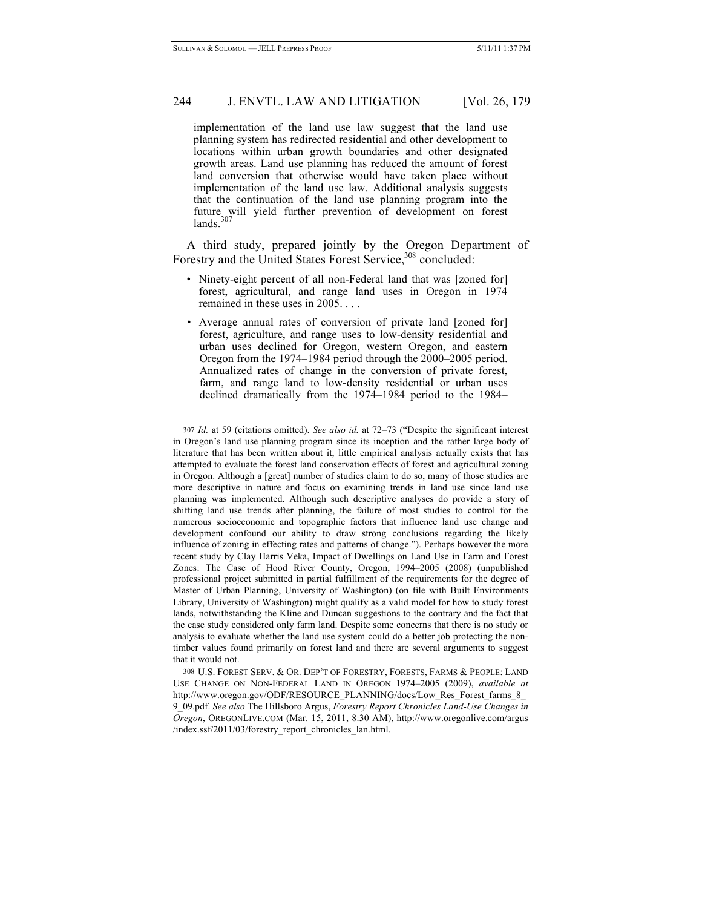implementation of the land use law suggest that the land use planning system has redirected residential and other development to locations within urban growth boundaries and other designated growth areas. Land use planning has reduced the amount of forest land conversion that otherwise would have taken place without implementation of the land use law. Additional analysis suggests that the continuation of the land use planning program into the future will yield further prevention of development on forest lands.

A third study, prepared jointly by the Oregon Department of Forestry and the United States Forest Service, <sup>308</sup> concluded:

- Ninety-eight percent of all non-Federal land that was [zoned for] forest, agricultural, and range land uses in Oregon in 1974 remained in these uses in 2005. . . .
- Average annual rates of conversion of private land [zoned for] forest, agriculture, and range uses to low-density residential and urban uses declined for Oregon, western Oregon, and eastern Oregon from the 1974–1984 period through the 2000–2005 period. Annualized rates of change in the conversion of private forest, farm, and range land to low-density residential or urban uses declined dramatically from the 1974–1984 period to the 1984–

<sup>307</sup> *Id.* at 59 (citations omitted). *See also id.* at 72–73 ("Despite the significant interest in Oregon's land use planning program since its inception and the rather large body of literature that has been written about it, little empirical analysis actually exists that has attempted to evaluate the forest land conservation effects of forest and agricultural zoning in Oregon. Although a [great] number of studies claim to do so, many of those studies are more descriptive in nature and focus on examining trends in land use since land use planning was implemented. Although such descriptive analyses do provide a story of shifting land use trends after planning, the failure of most studies to control for the numerous socioeconomic and topographic factors that influence land use change and development confound our ability to draw strong conclusions regarding the likely influence of zoning in effecting rates and patterns of change."). Perhaps however the more recent study by Clay Harris Veka, Impact of Dwellings on Land Use in Farm and Forest Zones: The Case of Hood River County, Oregon, 1994–2005 (2008) (unpublished professional project submitted in partial fulfillment of the requirements for the degree of Master of Urban Planning, University of Washington) (on file with Built Environments Library, University of Washington) might qualify as a valid model for how to study forest lands, notwithstanding the Kline and Duncan suggestions to the contrary and the fact that the case study considered only farm land. Despite some concerns that there is no study or analysis to evaluate whether the land use system could do a better job protecting the nontimber values found primarily on forest land and there are several arguments to suggest that it would not.

<sup>308</sup> U.S. FOREST SERV. & OR. DEP'T OF FORESTRY, FORESTS, FARMS & PEOPLE: LAND USE CHANGE ON NON-FEDERAL LAND IN OREGON 1974–2005 (2009), *available at* http://www.oregon.gov/ODF/RESOURCE\_PLANNING/docs/Low\_Res\_Forest\_farms\_8\_ 9\_09.pdf. *See also* The Hillsboro Argus, *Forestry Report Chronicles Land-Use Changes in Oregon*, OREGONLIVE.COM (Mar. 15, 2011, 8:30 AM), http://www.oregonlive.com/argus /index.ssf/2011/03/forestry\_report\_chronicles\_lan.html.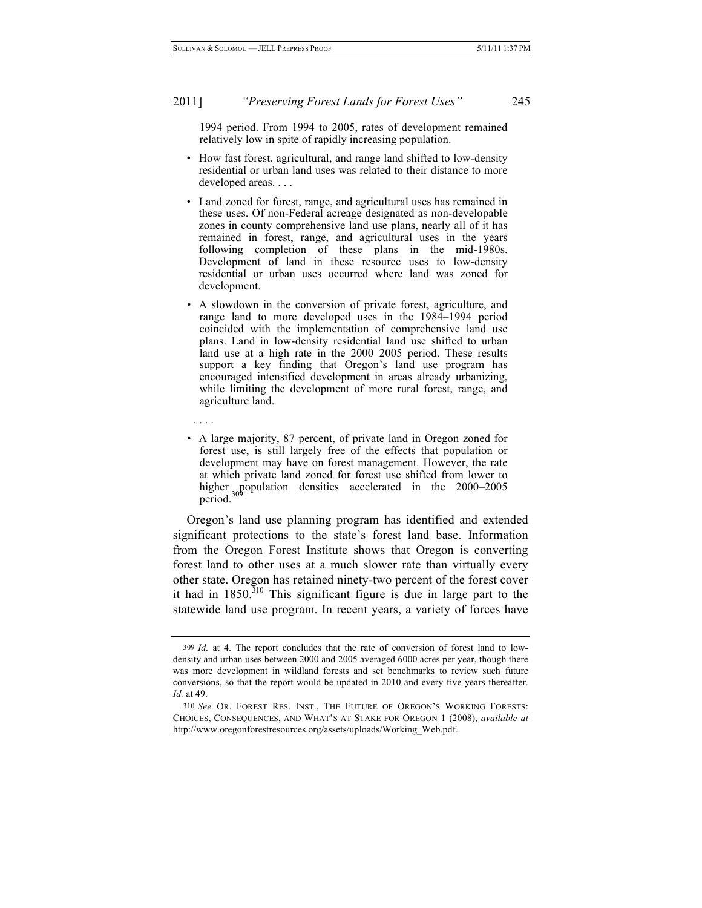1994 period. From 1994 to 2005, rates of development remained relatively low in spite of rapidly increasing population.

- How fast forest, agricultural, and range land shifted to low-density residential or urban land uses was related to their distance to more developed areas. . . .
- Land zoned for forest, range, and agricultural uses has remained in these uses. Of non-Federal acreage designated as non-developable zones in county comprehensive land use plans, nearly all of it has remained in forest, range, and agricultural uses in the years following completion of these plans in the mid-1980s. Development of land in these resource uses to low-density residential or urban uses occurred where land was zoned for development.
- A slowdown in the conversion of private forest, agriculture, and range land to more developed uses in the 1984–1994 period coincided with the implementation of comprehensive land use plans. Land in low-density residential land use shifted to urban land use at a high rate in the 2000–2005 period. These results support a key finding that Oregon's land use program has encouraged intensified development in areas already urbanizing, while limiting the development of more rural forest, range, and agriculture land.
- . . . .
- A large majority, 87 percent, of private land in Oregon zoned for forest use, is still largely free of the effects that population or development may have on forest management. However, the rate at which private land zoned for forest use shifted from lower to higher <sub>30</sub> population densities accelerated in the 2000–2005 period.

Oregon's land use planning program has identified and extended significant protections to the state's forest land base. Information from the Oregon Forest Institute shows that Oregon is converting forest land to other uses at a much slower rate than virtually every other state. Oregon has retained ninety-two percent of the forest cover it had in  $1850$ .<sup>310</sup> This significant figure is due in large part to the statewide land use program. In recent years, a variety of forces have

<sup>309</sup> *Id.* at 4. The report concludes that the rate of conversion of forest land to lowdensity and urban uses between 2000 and 2005 averaged 6000 acres per year, though there was more development in wildland forests and set benchmarks to review such future conversions, so that the report would be updated in 2010 and every five years thereafter. *Id.* at 49.

<sup>310</sup> *See* OR. FOREST RES. INST., THE FUTURE OF OREGON'S WORKING FORESTS: CHOICES, CONSEQUENCES, AND WHAT'S AT STAKE FOR OREGON 1 (2008), *available at*  http://www.oregonforestresources.org/assets/uploads/Working\_Web.pdf.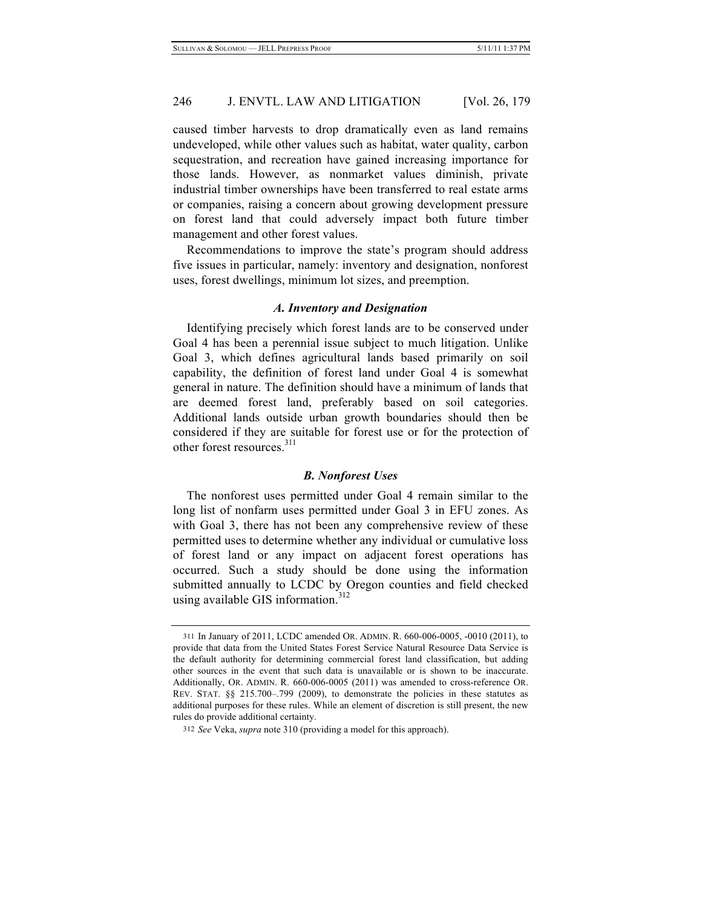caused timber harvests to drop dramatically even as land remains undeveloped, while other values such as habitat, water quality, carbon sequestration, and recreation have gained increasing importance for those lands. However, as nonmarket values diminish, private industrial timber ownerships have been transferred to real estate arms or companies, raising a concern about growing development pressure on forest land that could adversely impact both future timber management and other forest values.

Recommendations to improve the state's program should address five issues in particular, namely: inventory and designation, nonforest uses, forest dwellings, minimum lot sizes, and preemption.

## *A. Inventory and Designation*

Identifying precisely which forest lands are to be conserved under Goal 4 has been a perennial issue subject to much litigation. Unlike Goal 3, which defines agricultural lands based primarily on soil capability, the definition of forest land under Goal 4 is somewhat general in nature. The definition should have a minimum of lands that are deemed forest land, preferably based on soil categories. Additional lands outside urban growth boundaries should then be considered if they are suitable for forest use or for the protection of other forest resources.<sup>311</sup>

### *B. Nonforest Uses*

The nonforest uses permitted under Goal 4 remain similar to the long list of nonfarm uses permitted under Goal 3 in EFU zones. As with Goal 3, there has not been any comprehensive review of these permitted uses to determine whether any individual or cumulative loss of forest land or any impact on adjacent forest operations has occurred. Such a study should be done using the information submitted annually to LCDC by Oregon counties and field checked using available GIS information.<sup>312</sup>

<sup>311</sup> In January of 2011, LCDC amended OR. ADMIN. R. 660-006-0005, -0010 (2011), to provide that data from the United States Forest Service Natural Resource Data Service is the default authority for determining commercial forest land classification, but adding other sources in the event that such data is unavailable or is shown to be inaccurate. Additionally, OR. ADMIN. R. 660-006-0005 (2011) was amended to cross-reference OR. REV. STAT. §§ 215.700–.799 (2009), to demonstrate the policies in these statutes as additional purposes for these rules. While an element of discretion is still present, the new rules do provide additional certainty.

<sup>312</sup> *See* Veka, *supra* note 310 (providing a model for this approach).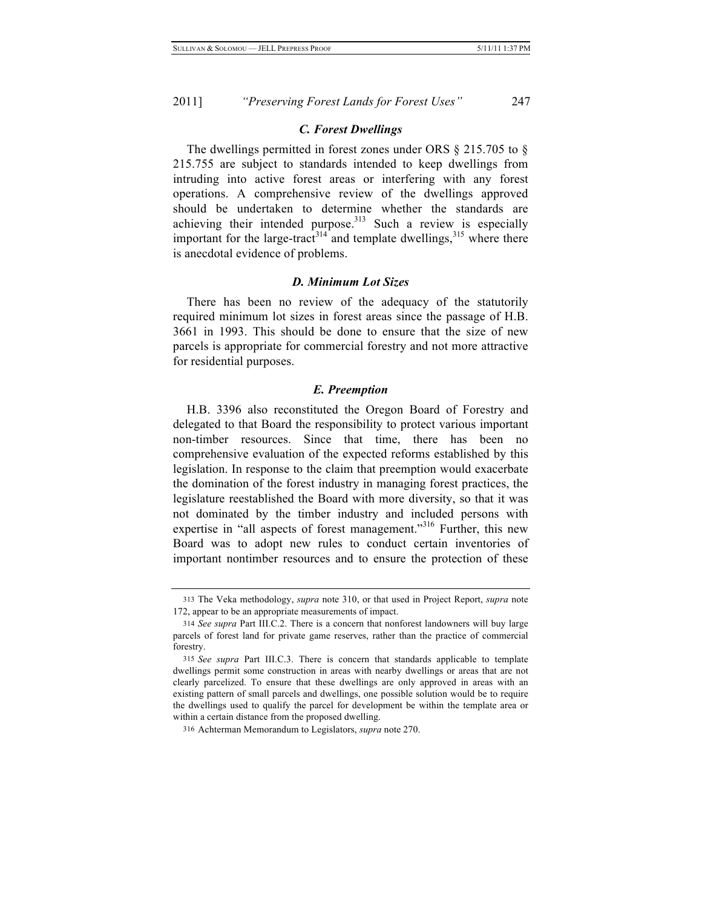#### *C. Forest Dwellings*

The dwellings permitted in forest zones under ORS § 215.705 to § 215.755 are subject to standards intended to keep dwellings from intruding into active forest areas or interfering with any forest operations. A comprehensive review of the dwellings approved should be undertaken to determine whether the standards are achieving their intended purpose.<sup>313</sup> Such a review is especially important for the large-tract<sup>314</sup> and template dwellings,<sup>315</sup> where there is anecdotal evidence of problems.

#### *D. Minimum Lot Sizes*

There has been no review of the adequacy of the statutorily required minimum lot sizes in forest areas since the passage of H.B. 3661 in 1993. This should be done to ensure that the size of new parcels is appropriate for commercial forestry and not more attractive for residential purposes.

#### *E. Preemption*

H.B. 3396 also reconstituted the Oregon Board of Forestry and delegated to that Board the responsibility to protect various important non-timber resources. Since that time, there has been no comprehensive evaluation of the expected reforms established by this legislation. In response to the claim that preemption would exacerbate the domination of the forest industry in managing forest practices, the legislature reestablished the Board with more diversity, so that it was not dominated by the timber industry and included persons with expertise in "all aspects of forest management."<sup>316</sup> Further, this new Board was to adopt new rules to conduct certain inventories of important nontimber resources and to ensure the protection of these

<sup>313</sup> The Veka methodology, *supra* note 310, or that used in Project Report, *supra* note 172, appear to be an appropriate measurements of impact.

<sup>314</sup> *See supra* Part III.C.2. There is a concern that nonforest landowners will buy large parcels of forest land for private game reserves, rather than the practice of commercial forestry.

<sup>315</sup> *See supra* Part III.C.3. There is concern that standards applicable to template dwellings permit some construction in areas with nearby dwellings or areas that are not clearly parcelized. To ensure that these dwellings are only approved in areas with an existing pattern of small parcels and dwellings, one possible solution would be to require the dwellings used to qualify the parcel for development be within the template area or within a certain distance from the proposed dwelling.

<sup>316</sup> Achterman Memorandum to Legislators, *supra* note 270.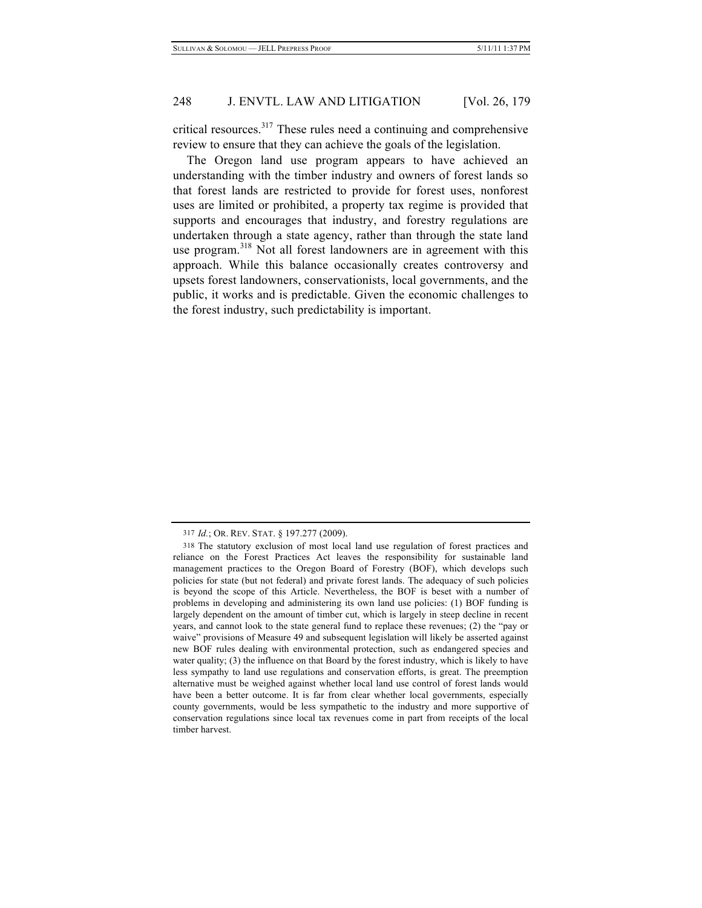critical resources.317 These rules need a continuing and comprehensive review to ensure that they can achieve the goals of the legislation.

The Oregon land use program appears to have achieved an understanding with the timber industry and owners of forest lands so that forest lands are restricted to provide for forest uses, nonforest uses are limited or prohibited, a property tax regime is provided that supports and encourages that industry, and forestry regulations are undertaken through a state agency, rather than through the state land use program.<sup>318</sup> Not all forest landowners are in agreement with this approach. While this balance occasionally creates controversy and upsets forest landowners, conservationists, local governments, and the public, it works and is predictable. Given the economic challenges to the forest industry, such predictability is important.

<sup>317</sup> *Id.*; OR. REV. STAT. § 197.277 (2009).

<sup>318</sup> The statutory exclusion of most local land use regulation of forest practices and reliance on the Forest Practices Act leaves the responsibility for sustainable land management practices to the Oregon Board of Forestry (BOF), which develops such policies for state (but not federal) and private forest lands. The adequacy of such policies is beyond the scope of this Article. Nevertheless, the BOF is beset with a number of problems in developing and administering its own land use policies: (1) BOF funding is largely dependent on the amount of timber cut, which is largely in steep decline in recent years, and cannot look to the state general fund to replace these revenues; (2) the "pay or waive" provisions of Measure 49 and subsequent legislation will likely be asserted against new BOF rules dealing with environmental protection, such as endangered species and water quality; (3) the influence on that Board by the forest industry, which is likely to have less sympathy to land use regulations and conservation efforts, is great. The preemption alternative must be weighed against whether local land use control of forest lands would have been a better outcome. It is far from clear whether local governments, especially county governments, would be less sympathetic to the industry and more supportive of conservation regulations since local tax revenues come in part from receipts of the local timber harvest.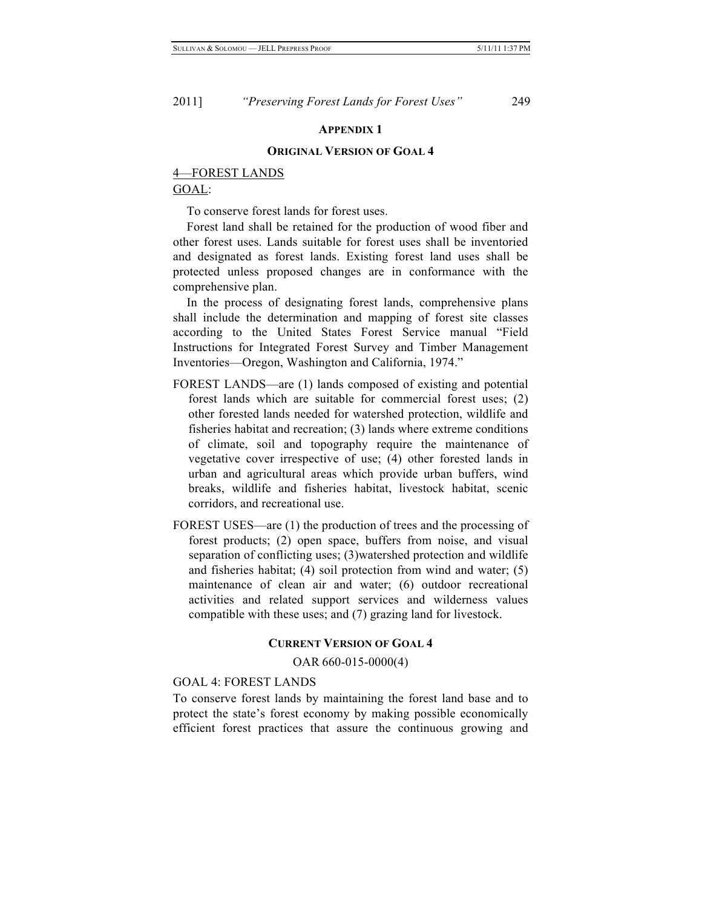#### **APPENDIX 1**

#### **ORIGINAL VERSION OF GOAL 4**

# 4—FOREST LANDS

GOAL:

To conserve forest lands for forest uses.

Forest land shall be retained for the production of wood fiber and other forest uses. Lands suitable for forest uses shall be inventoried and designated as forest lands. Existing forest land uses shall be protected unless proposed changes are in conformance with the comprehensive plan.

In the process of designating forest lands, comprehensive plans shall include the determination and mapping of forest site classes according to the United States Forest Service manual "Field Instructions for Integrated Forest Survey and Timber Management Inventories—Oregon, Washington and California, 1974."

- FOREST LANDS—are (1) lands composed of existing and potential forest lands which are suitable for commercial forest uses; (2) other forested lands needed for watershed protection, wildlife and fisheries habitat and recreation; (3) lands where extreme conditions of climate, soil and topography require the maintenance of vegetative cover irrespective of use; (4) other forested lands in urban and agricultural areas which provide urban buffers, wind breaks, wildlife and fisheries habitat, livestock habitat, scenic corridors, and recreational use.
- FOREST USES—are (1) the production of trees and the processing of forest products; (2) open space, buffers from noise, and visual separation of conflicting uses; (3)watershed protection and wildlife and fisheries habitat; (4) soil protection from wind and water; (5) maintenance of clean air and water; (6) outdoor recreational activities and related support services and wilderness values compatible with these uses; and (7) grazing land for livestock.

### **CURRENT VERSION OF GOAL 4**

OAR 660-015-0000(4)

### GOAL 4: FOREST LANDS

To conserve forest lands by maintaining the forest land base and to protect the state's forest economy by making possible economically efficient forest practices that assure the continuous growing and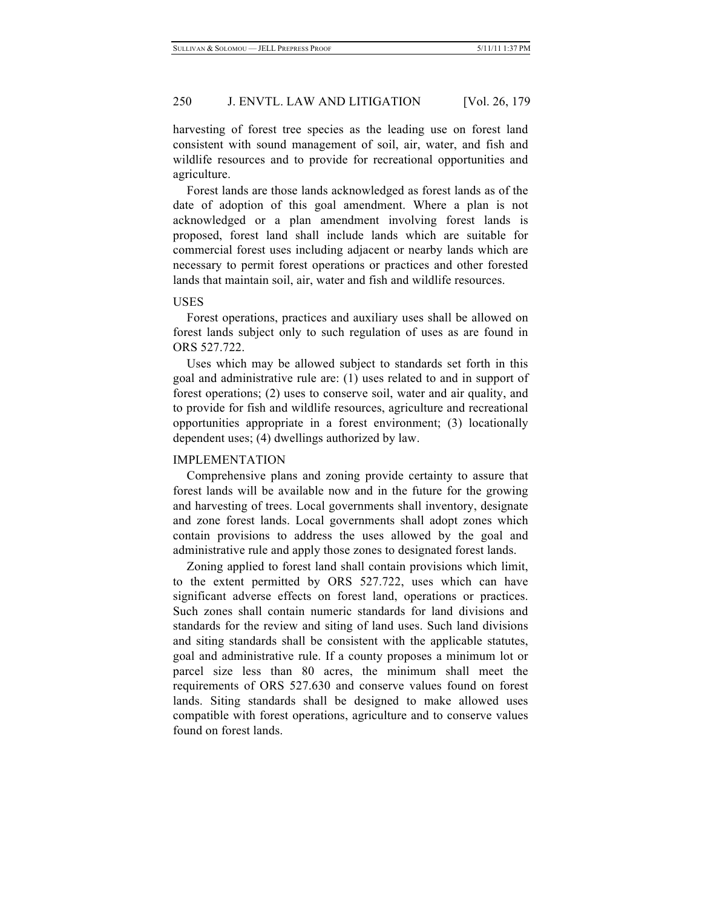harvesting of forest tree species as the leading use on forest land consistent with sound management of soil, air, water, and fish and wildlife resources and to provide for recreational opportunities and agriculture.

Forest lands are those lands acknowledged as forest lands as of the date of adoption of this goal amendment. Where a plan is not acknowledged or a plan amendment involving forest lands is proposed, forest land shall include lands which are suitable for commercial forest uses including adjacent or nearby lands which are necessary to permit forest operations or practices and other forested lands that maintain soil, air, water and fish and wildlife resources.

### USES

Forest operations, practices and auxiliary uses shall be allowed on forest lands subject only to such regulation of uses as are found in ORS 527.722.

Uses which may be allowed subject to standards set forth in this goal and administrative rule are: (1) uses related to and in support of forest operations; (2) uses to conserve soil, water and air quality, and to provide for fish and wildlife resources, agriculture and recreational opportunities appropriate in a forest environment; (3) locationally dependent uses; (4) dwellings authorized by law.

#### IMPLEMENTATION

Comprehensive plans and zoning provide certainty to assure that forest lands will be available now and in the future for the growing and harvesting of trees. Local governments shall inventory, designate and zone forest lands. Local governments shall adopt zones which contain provisions to address the uses allowed by the goal and administrative rule and apply those zones to designated forest lands.

Zoning applied to forest land shall contain provisions which limit, to the extent permitted by ORS 527.722, uses which can have significant adverse effects on forest land, operations or practices. Such zones shall contain numeric standards for land divisions and standards for the review and siting of land uses. Such land divisions and siting standards shall be consistent with the applicable statutes, goal and administrative rule. If a county proposes a minimum lot or parcel size less than 80 acres, the minimum shall meet the requirements of ORS 527.630 and conserve values found on forest lands. Siting standards shall be designed to make allowed uses compatible with forest operations, agriculture and to conserve values found on forest lands.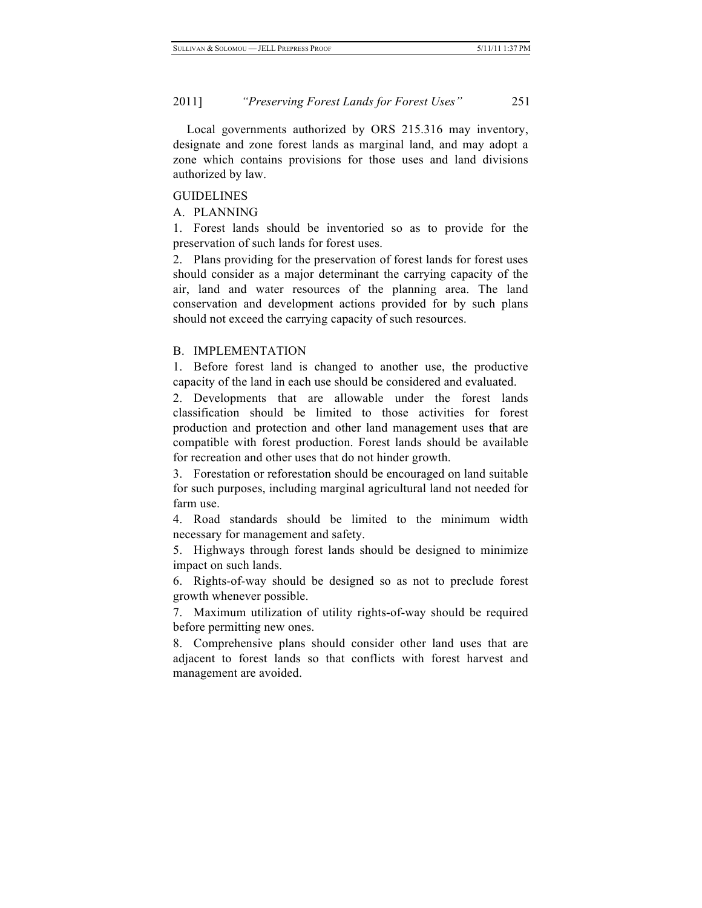Local governments authorized by ORS 215.316 may inventory, designate and zone forest lands as marginal land, and may adopt a zone which contains provisions for those uses and land divisions authorized by law.

#### GUIDELINES

A. PLANNING

1. Forest lands should be inventoried so as to provide for the preservation of such lands for forest uses.

2. Plans providing for the preservation of forest lands for forest uses should consider as a major determinant the carrying capacity of the air, land and water resources of the planning area. The land conservation and development actions provided for by such plans should not exceed the carrying capacity of such resources.

#### B. IMPLEMENTATION

1. Before forest land is changed to another use, the productive capacity of the land in each use should be considered and evaluated.

2. Developments that are allowable under the forest lands classification should be limited to those activities for forest production and protection and other land management uses that are compatible with forest production. Forest lands should be available for recreation and other uses that do not hinder growth.

3. Forestation or reforestation should be encouraged on land suitable for such purposes, including marginal agricultural land not needed for farm use.

4. Road standards should be limited to the minimum width necessary for management and safety.

5. Highways through forest lands should be designed to minimize impact on such lands.

6. Rights-of-way should be designed so as not to preclude forest growth whenever possible.

7. Maximum utilization of utility rights-of-way should be required before permitting new ones.

8. Comprehensive plans should consider other land uses that are adjacent to forest lands so that conflicts with forest harvest and management are avoided.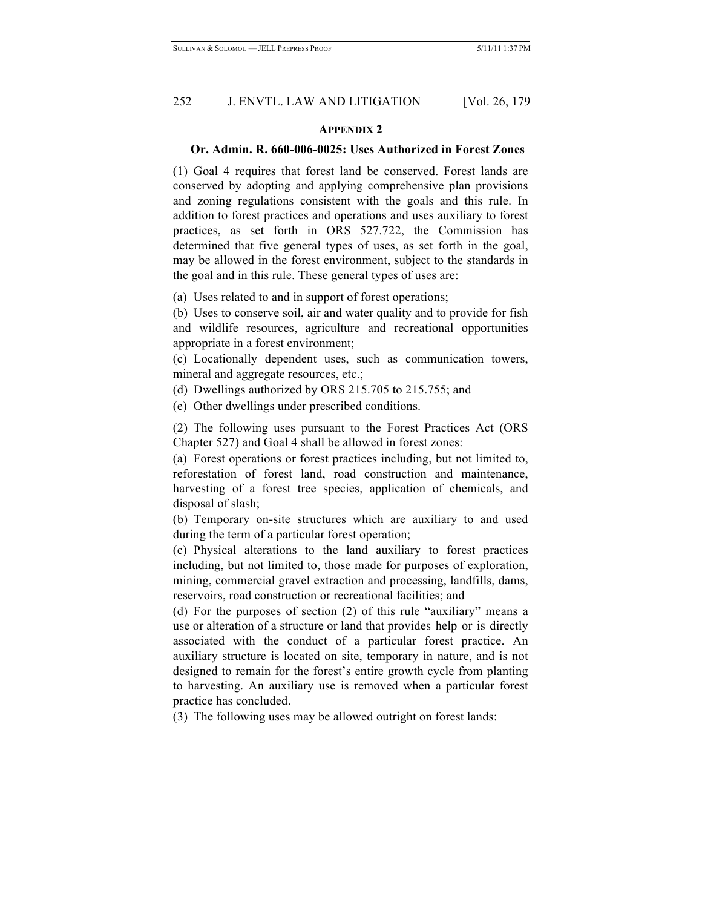# 252 J. ENVTL. LAW AND LITIGATION [Vol. 26, 179]

#### **APPENDIX 2**

### **Or. Admin. R. 660-006-0025: Uses Authorized in Forest Zones**

(1) Goal 4 requires that forest land be conserved. Forest lands are conserved by adopting and applying comprehensive plan provisions and zoning regulations consistent with the goals and this rule. In addition to forest practices and operations and uses auxiliary to forest practices, as set forth in ORS 527.722, the Commission has determined that five general types of uses, as set forth in the goal, may be allowed in the forest environment, subject to the standards in the goal and in this rule. These general types of uses are:

(a) Uses related to and in support of forest operations;

(b) Uses to conserve soil, air and water quality and to provide for fish and wildlife resources, agriculture and recreational opportunities appropriate in a forest environment;

(c) Locationally dependent uses, such as communication towers, mineral and aggregate resources, etc.;

(d) Dwellings authorized by ORS 215.705 to 215.755; and

(e) Other dwellings under prescribed conditions.

(2) The following uses pursuant to the Forest Practices Act (ORS Chapter 527) and Goal 4 shall be allowed in forest zones:

(a) Forest operations or forest practices including, but not limited to, reforestation of forest land, road construction and maintenance, harvesting of a forest tree species, application of chemicals, and disposal of slash;

(b) Temporary on-site structures which are auxiliary to and used during the term of a particular forest operation;

(c) Physical alterations to the land auxiliary to forest practices including, but not limited to, those made for purposes of exploration, mining, commercial gravel extraction and processing, landfills, dams, reservoirs, road construction or recreational facilities; and

(d) For the purposes of section (2) of this rule "auxiliary" means a use or alteration of a structure or land that provides help or is directly associated with the conduct of a particular forest practice. An auxiliary structure is located on site, temporary in nature, and is not designed to remain for the forest's entire growth cycle from planting to harvesting. An auxiliary use is removed when a particular forest practice has concluded.

(3) The following uses may be allowed outright on forest lands: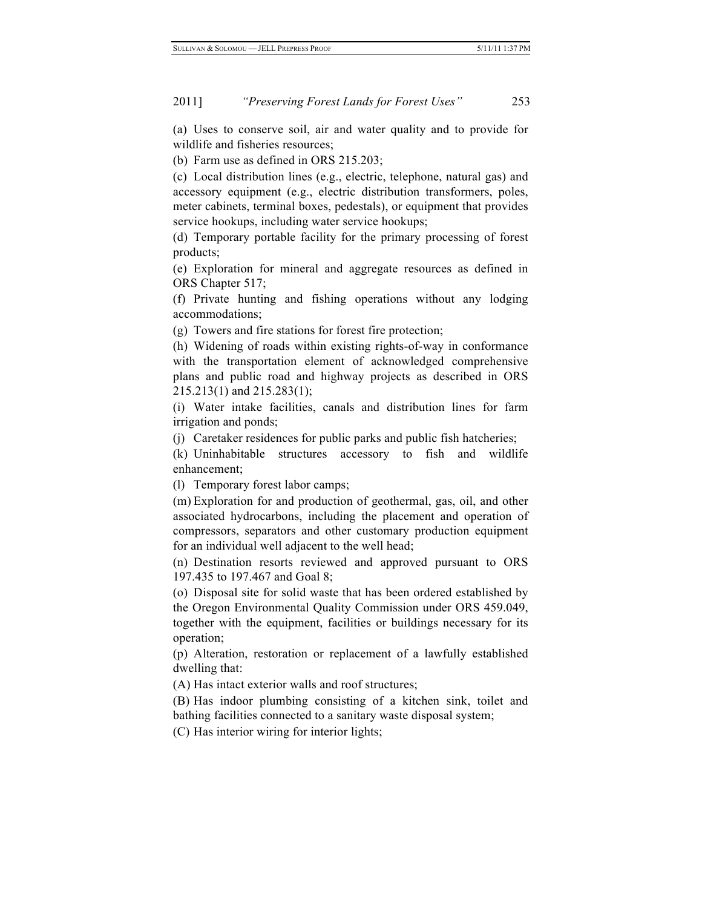(a) Uses to conserve soil, air and water quality and to provide for wildlife and fisheries resources;

(b) Farm use as defined in ORS 215.203;

(c) Local distribution lines (e.g., electric, telephone, natural gas) and accessory equipment (e.g., electric distribution transformers, poles, meter cabinets, terminal boxes, pedestals), or equipment that provides service hookups, including water service hookups;

(d) Temporary portable facility for the primary processing of forest products;

(e) Exploration for mineral and aggregate resources as defined in ORS Chapter 517;

(f) Private hunting and fishing operations without any lodging accommodations;

(g) Towers and fire stations for forest fire protection;

(h) Widening of roads within existing rights-of-way in conformance with the transportation element of acknowledged comprehensive plans and public road and highway projects as described in ORS 215.213(1) and 215.283(1);

(i) Water intake facilities, canals and distribution lines for farm irrigation and ponds;

(j) Caretaker residences for public parks and public fish hatcheries;

(k) Uninhabitable structures accessory to fish and wildlife enhancement;

(l) Temporary forest labor camps;

(m) Exploration for and production of geothermal, gas, oil, and other associated hydrocarbons, including the placement and operation of compressors, separators and other customary production equipment for an individual well adjacent to the well head;

(n) Destination resorts reviewed and approved pursuant to ORS 197.435 to 197.467 and Goal 8;

(o) Disposal site for solid waste that has been ordered established by the Oregon Environmental Quality Commission under ORS 459.049, together with the equipment, facilities or buildings necessary for its operation;

(p) Alteration, restoration or replacement of a lawfully established dwelling that:

(A) Has intact exterior walls and roof structures;

(B) Has indoor plumbing consisting of a kitchen sink, toilet and bathing facilities connected to a sanitary waste disposal system;

(C) Has interior wiring for interior lights;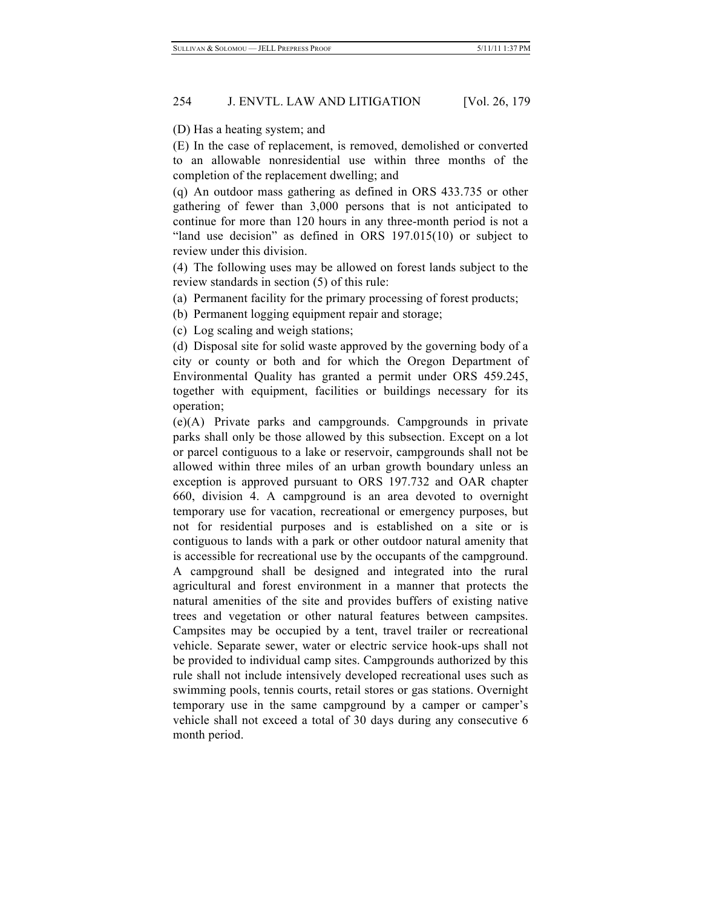# 254 J. ENVTL. LAW AND LITIGATION [Vol. 26, 179]

(D) Has a heating system; and

(E) In the case of replacement, is removed, demolished or converted to an allowable nonresidential use within three months of the completion of the replacement dwelling; and

(q) An outdoor mass gathering as defined in ORS 433.735 or other gathering of fewer than 3,000 persons that is not anticipated to continue for more than 120 hours in any three-month period is not a "land use decision" as defined in ORS 197.015(10) or subject to review under this division.

(4) The following uses may be allowed on forest lands subject to the review standards in section (5) of this rule:

(a) Permanent facility for the primary processing of forest products;

(b) Permanent logging equipment repair and storage;

(c) Log scaling and weigh stations;

(d) Disposal site for solid waste approved by the governing body of a city or county or both and for which the Oregon Department of Environmental Quality has granted a permit under ORS 459.245, together with equipment, facilities or buildings necessary for its operation;

(e)(A) Private parks and campgrounds. Campgrounds in private parks shall only be those allowed by this subsection. Except on a lot or parcel contiguous to a lake or reservoir, campgrounds shall not be allowed within three miles of an urban growth boundary unless an exception is approved pursuant to ORS 197.732 and OAR chapter 660, division 4. A campground is an area devoted to overnight temporary use for vacation, recreational or emergency purposes, but not for residential purposes and is established on a site or is contiguous to lands with a park or other outdoor natural amenity that is accessible for recreational use by the occupants of the campground. A campground shall be designed and integrated into the rural agricultural and forest environment in a manner that protects the natural amenities of the site and provides buffers of existing native trees and vegetation or other natural features between campsites. Campsites may be occupied by a tent, travel trailer or recreational vehicle. Separate sewer, water or electric service hook-ups shall not be provided to individual camp sites. Campgrounds authorized by this rule shall not include intensively developed recreational uses such as swimming pools, tennis courts, retail stores or gas stations. Overnight temporary use in the same campground by a camper or camper's vehicle shall not exceed a total of 30 days during any consecutive 6 month period.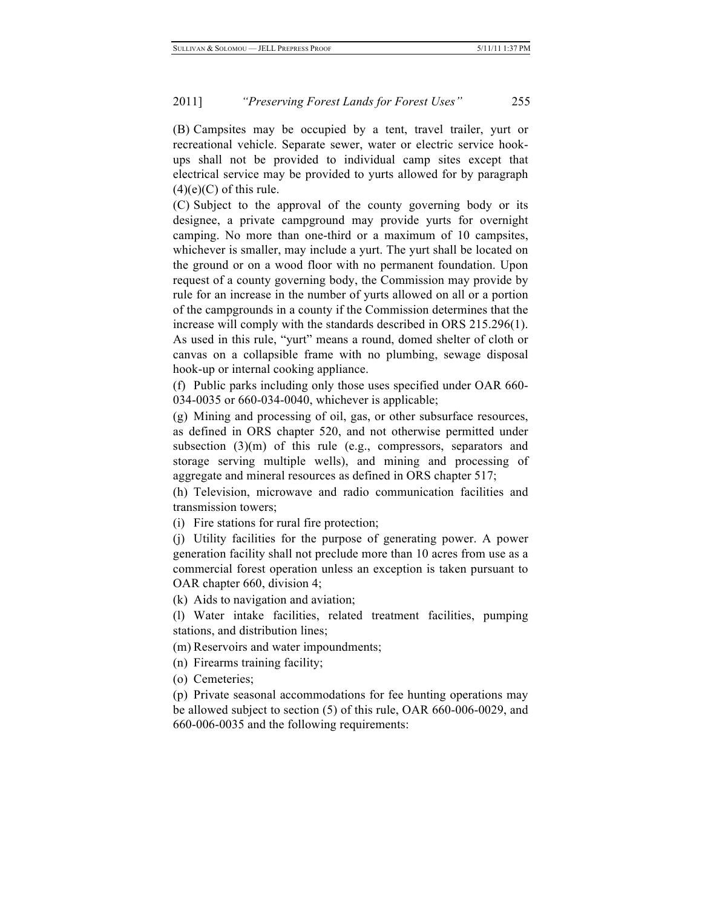(B) Campsites may be occupied by a tent, travel trailer, yurt or recreational vehicle. Separate sewer, water or electric service hookups shall not be provided to individual camp sites except that electrical service may be provided to yurts allowed for by paragraph  $(4)(e)(C)$  of this rule.

(C) Subject to the approval of the county governing body or its designee, a private campground may provide yurts for overnight camping. No more than one-third or a maximum of 10 campsites, whichever is smaller, may include a yurt. The yurt shall be located on the ground or on a wood floor with no permanent foundation. Upon request of a county governing body, the Commission may provide by rule for an increase in the number of yurts allowed on all or a portion of the campgrounds in a county if the Commission determines that the increase will comply with the standards described in ORS 215.296(1). As used in this rule, "yurt" means a round, domed shelter of cloth or canvas on a collapsible frame with no plumbing, sewage disposal hook-up or internal cooking appliance.

(f) Public parks including only those uses specified under OAR 660- 034-0035 or 660-034-0040, whichever is applicable;

(g) Mining and processing of oil, gas, or other subsurface resources, as defined in ORS chapter 520, and not otherwise permitted under subsection (3)(m) of this rule (e.g., compressors, separators and storage serving multiple wells), and mining and processing of aggregate and mineral resources as defined in ORS chapter 517;

(h) Television, microwave and radio communication facilities and transmission towers;

(i) Fire stations for rural fire protection;

(j) Utility facilities for the purpose of generating power. A power generation facility shall not preclude more than 10 acres from use as a commercial forest operation unless an exception is taken pursuant to OAR chapter 660, division 4;

(k) Aids to navigation and aviation;

(l) Water intake facilities, related treatment facilities, pumping stations, and distribution lines;

(m) Reservoirs and water impoundments;

(n) Firearms training facility;

(o) Cemeteries;

(p) Private seasonal accommodations for fee hunting operations may be allowed subject to section (5) of this rule, OAR 660-006-0029, and 660-006-0035 and the following requirements: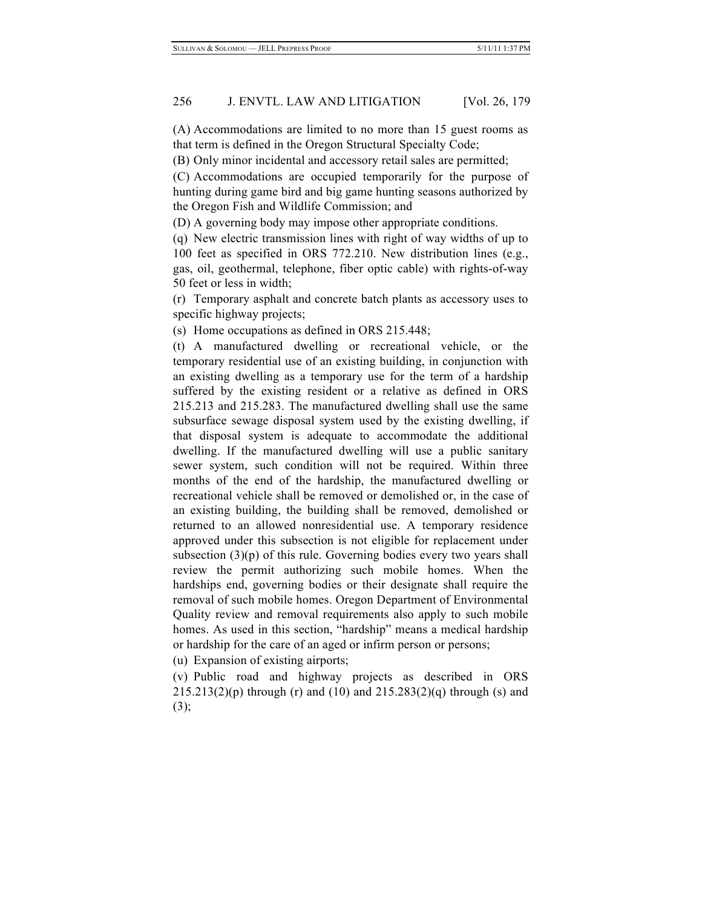# 256 J. ENVTL. LAW AND LITIGATION [Vol. 26, 179]

(A) Accommodations are limited to no more than 15 guest rooms as that term is defined in the Oregon Structural Specialty Code;

(B) Only minor incidental and accessory retail sales are permitted;

(C) Accommodations are occupied temporarily for the purpose of hunting during game bird and big game hunting seasons authorized by the Oregon Fish and Wildlife Commission; and

(D) A governing body may impose other appropriate conditions.

(q) New electric transmission lines with right of way widths of up to 100 feet as specified in ORS 772.210. New distribution lines (e.g., gas, oil, geothermal, telephone, fiber optic cable) with rights-of-way 50 feet or less in width;

(r) Temporary asphalt and concrete batch plants as accessory uses to specific highway projects;

(s) Home occupations as defined in ORS 215.448;

(t) A manufactured dwelling or recreational vehicle, or the temporary residential use of an existing building, in conjunction with an existing dwelling as a temporary use for the term of a hardship suffered by the existing resident or a relative as defined in ORS 215.213 and 215.283. The manufactured dwelling shall use the same subsurface sewage disposal system used by the existing dwelling, if that disposal system is adequate to accommodate the additional dwelling. If the manufactured dwelling will use a public sanitary sewer system, such condition will not be required. Within three months of the end of the hardship, the manufactured dwelling or recreational vehicle shall be removed or demolished or, in the case of an existing building, the building shall be removed, demolished or returned to an allowed nonresidential use. A temporary residence approved under this subsection is not eligible for replacement under subsection  $(3)(p)$  of this rule. Governing bodies every two years shall review the permit authorizing such mobile homes. When the hardships end, governing bodies or their designate shall require the removal of such mobile homes. Oregon Department of Environmental Quality review and removal requirements also apply to such mobile homes. As used in this section, "hardship" means a medical hardship or hardship for the care of an aged or infirm person or persons;

(u) Expansion of existing airports;

(v) Public road and highway projects as described in ORS  $215.213(2)(p)$  through (r) and (10) and  $215.283(2)(q)$  through (s) and (3);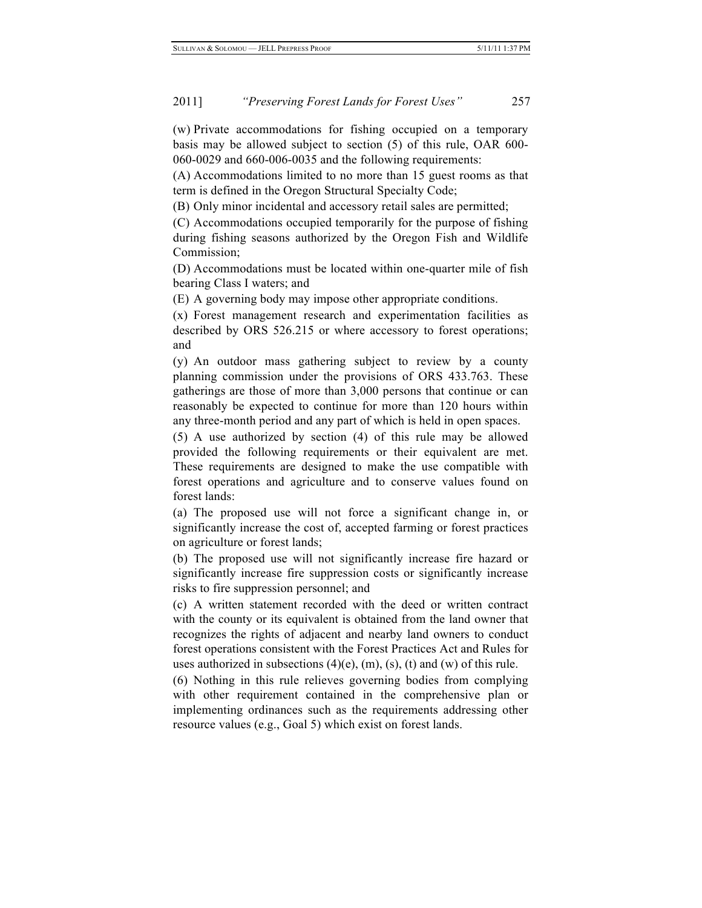(w) Private accommodations for fishing occupied on a temporary basis may be allowed subject to section (5) of this rule, OAR 600- 060-0029 and 660-006-0035 and the following requirements:

(A) Accommodations limited to no more than 15 guest rooms as that term is defined in the Oregon Structural Specialty Code;

(B) Only minor incidental and accessory retail sales are permitted;

(C) Accommodations occupied temporarily for the purpose of fishing during fishing seasons authorized by the Oregon Fish and Wildlife Commission;

(D) Accommodations must be located within one-quarter mile of fish bearing Class I waters; and

(E) A governing body may impose other appropriate conditions.

(x) Forest management research and experimentation facilities as described by ORS 526.215 or where accessory to forest operations; and

(y) An outdoor mass gathering subject to review by a county planning commission under the provisions of ORS 433.763. These gatherings are those of more than 3,000 persons that continue or can reasonably be expected to continue for more than 120 hours within any three-month period and any part of which is held in open spaces.

(5) A use authorized by section (4) of this rule may be allowed provided the following requirements or their equivalent are met. These requirements are designed to make the use compatible with forest operations and agriculture and to conserve values found on forest lands:

(a) The proposed use will not force a significant change in, or significantly increase the cost of, accepted farming or forest practices on agriculture or forest lands;

(b) The proposed use will not significantly increase fire hazard or significantly increase fire suppression costs or significantly increase risks to fire suppression personnel; and

(c) A written statement recorded with the deed or written contract with the county or its equivalent is obtained from the land owner that recognizes the rights of adjacent and nearby land owners to conduct forest operations consistent with the Forest Practices Act and Rules for uses authorized in subsections  $(4)(e)$ ,  $(m)$ ,  $(s)$ ,  $(t)$  and  $(w)$  of this rule.

(6) Nothing in this rule relieves governing bodies from complying with other requirement contained in the comprehensive plan or implementing ordinances such as the requirements addressing other resource values (e.g., Goal 5) which exist on forest lands.